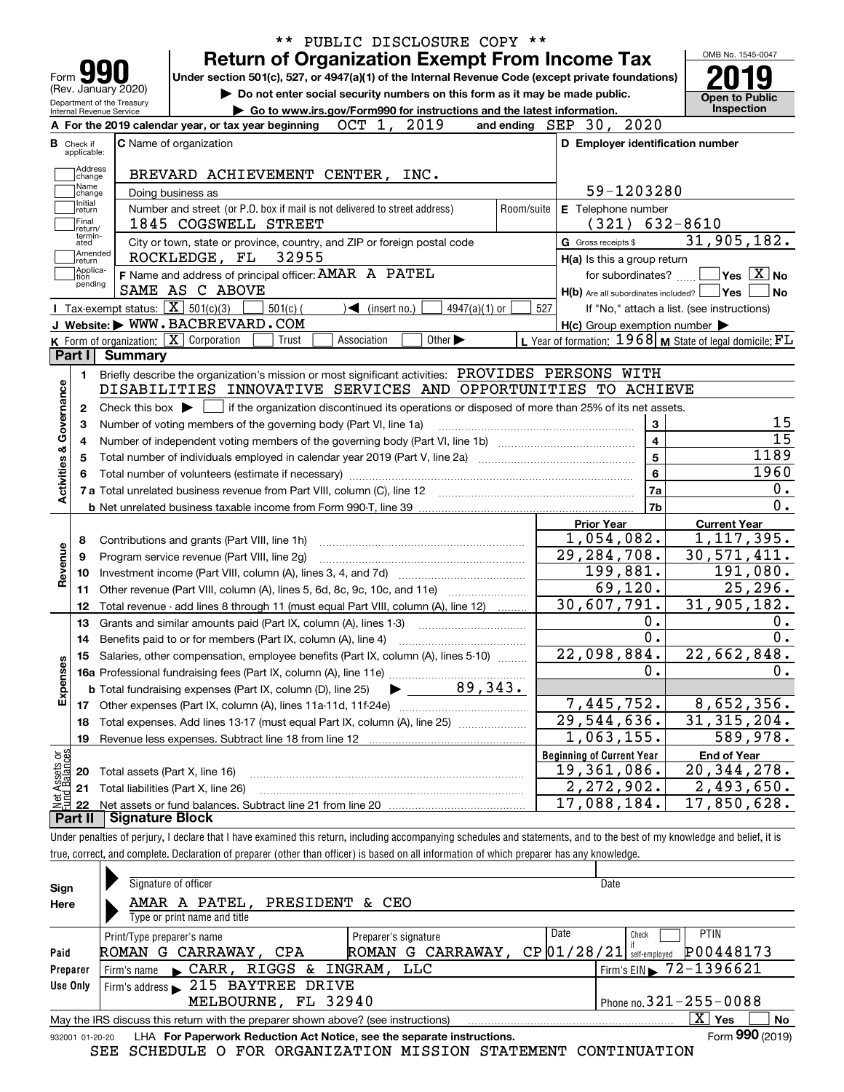|                                                   | PUBLIC DISCLOSURE COPY **<br><b>Return of Organization Exempt From Income Tax</b>                                                       |            |                                                             | OMB No. 1545-0047                          |
|---------------------------------------------------|-----------------------------------------------------------------------------------------------------------------------------------------|------------|-------------------------------------------------------------|--------------------------------------------|
| Form                                              | Under section 501(c), 527, or 4947(a)(1) of the Internal Revenue Code (except private foundations)                                      |            |                                                             |                                            |
| (Rev. January 2020)<br>Department of the Treasury | Do not enter social security numbers on this form as it may be made public.                                                             |            |                                                             | <b>Open to Public</b>                      |
| Internal Revenue Service                          | Go to www.irs.gov/Form990 for instructions and the latest information.                                                                  |            |                                                             | Inspection                                 |
|                                                   | 2019<br>OCT 1,<br>A For the 2019 calendar year, or tax year beginning                                                                   |            | and ending SEP 30, 2020                                     |                                            |
| <b>B</b> Check if<br>applicable:                  | <b>C</b> Name of organization                                                                                                           |            | D Employer identification number                            |                                            |
| Address                                           | BREVARD ACHIEVEMENT CENTER, INC.                                                                                                        |            |                                                             |                                            |
| change<br>Name                                    |                                                                                                                                         |            | 59-1203280                                                  |                                            |
| change<br>Initial                                 | Doing business as<br>Number and street (or P.O. box if mail is not delivered to street address)                                         | Room/suite | E Telephone number                                          |                                            |
| return<br> Final                                  | 1845 COGSWELL STREET                                                                                                                    |            | (321)                                                       | 632-8610                                   |
| return/<br>termin-<br>ated                        | City or town, state or province, country, and ZIP or foreign postal code                                                                |            | G Gross receipts \$                                         | 31,905,182.                                |
| Amended<br>∣return                                | 32955<br>ROCKLEDGE, FL                                                                                                                  |            | $H(a)$ is this a group return                               |                                            |
| Applica-<br>tion                                  | F Name and address of principal officer: AMAR A PATEL                                                                                   |            | for subordinates?                                           | $\sqrt{}$ Yes $\sqrt{}$ X $\sqrt{}$ No     |
| pending                                           | SAME AS C ABOVE                                                                                                                         |            | $H(b)$ Are all subordinates included? $\Box$ Yes            |                                            |
|                                                   | Tax-exempt status: $\boxed{\mathbf{X}}$ 501(c)(3)<br>$501(c)$ (<br>$4947(a)(1)$ or<br>$\triangleleft$ (insert no.)                      | 527        |                                                             | If "No," attach a list. (see instructions) |
|                                                   | J Website: WWW.BACBREVARD.COM                                                                                                           |            | $H(c)$ Group exemption number $\blacktriangleright$         |                                            |
|                                                   | K Form of organization: X Corporation<br>Other $\blacktriangleright$<br>Trust<br>Association                                            |            | L Year of formation: $1968$ M State of legal domicile: $FL$ |                                            |
| Part I                                            | Summary                                                                                                                                 |            |                                                             |                                            |
| 1.                                                | Briefly describe the organization's mission or most significant activities: PROVIDES PERSONS WITH                                       |            |                                                             |                                            |
|                                                   | DISABILITIES INNOVATIVE SERVICES AND OPPORTUNITIES TO ACHIEVE                                                                           |            |                                                             |                                            |
| 2                                                 | if the organization discontinued its operations or disposed of more than 25% of its net assets.<br>Check this box $\blacktriangleright$ |            |                                                             |                                            |
| З                                                 | Number of voting members of the governing body (Part VI, line 1a)                                                                       |            | 3                                                           |                                            |
| 4                                                 |                                                                                                                                         |            | 4                                                           |                                            |
| 5                                                 |                                                                                                                                         |            | 5                                                           | 1189                                       |
|                                                   |                                                                                                                                         |            | 6                                                           | 1960                                       |
| Activities & Governance                           |                                                                                                                                         |            | 7a                                                          |                                            |
|                                                   |                                                                                                                                         |            | 7b                                                          |                                            |
|                                                   |                                                                                                                                         |            | <b>Prior Year</b>                                           | <b>Current Year</b>                        |
| 8                                                 | Contributions and grants (Part VIII, line 1h)                                                                                           |            | 1,054,082.                                                  | 1, 117, 395.                               |
| Revenue<br>9                                      | Program service revenue (Part VIII, line 2g)                                                                                            |            | 29, 284, 708.                                               | 30,571,411.                                |
| 10                                                |                                                                                                                                         |            | 199,881.                                                    | 191,080.                                   |
| 11                                                | Other revenue (Part VIII, column (A), lines 5, 6d, 8c, 9c, 10c, and 11e)                                                                |            | 69,120.                                                     | 25, 296.                                   |
| 12                                                | Total revenue - add lines 8 through 11 (must equal Part VIII, column (A), line 12)                                                      |            | 30,607,791.                                                 | 31,905,182.                                |
| 13                                                | Grants and similar amounts paid (Part IX, column (A), lines 1-3)                                                                        |            | 0.<br>0.                                                    |                                            |
| 14                                                |                                                                                                                                         |            | 22,098,884.                                                 | 22,662,848.                                |
|                                                   | 15 Salaries, other compensation, employee benefits (Part IX, column (A), lines 5-10)                                                    |            | 0.                                                          |                                            |
| Expenses                                          | 89,343.                                                                                                                                 |            |                                                             |                                            |
|                                                   | <b>b</b> Total fundraising expenses (Part IX, column (D), line 25)                                                                      |            | 7,445,752.                                                  | 8,652,356.                                 |
| 17                                                | Total expenses. Add lines 13-17 (must equal Part IX, column (A), line 25)                                                               |            | $\overline{29,544,636}$ .                                   | 31, 315, 204.                              |
| 18<br>19                                          | Revenue less expenses. Subtract line 18 from line 12                                                                                    |            | 1,063,155.                                                  | $\overline{589}$ , 978.                    |
|                                                   |                                                                                                                                         |            | <b>Beginning of Current Year</b>                            | <b>End of Year</b>                         |
|                                                   | Total assets (Part X, line 16)                                                                                                          |            | $\overline{19}$ , 361, 086.                                 | 20, 344, 278.                              |
|                                                   |                                                                                                                                         |            |                                                             |                                            |
| 20                                                |                                                                                                                                         |            |                                                             |                                            |
| t Assets or<br>d Balances<br>21<br>22             | Total liabilities (Part X, line 26)                                                                                                     |            | 2,272,902.<br>17,088,184.                                   | 2,493,650.<br>17,850,628.                  |

true, correct, and complete. Declaration of preparer (other than officer) is based on all information of which preparer has any knowledge.

| Sign     | Signature of officer                                                                                                          |                              | Date                                       |  |  |  |  |  |  |
|----------|-------------------------------------------------------------------------------------------------------------------------------|------------------------------|--------------------------------------------|--|--|--|--|--|--|
| Here     | AMAR A PATEL, PRESIDENT & CEO                                                                                                 |                              |                                            |  |  |  |  |  |  |
|          | Type or print name and title                                                                                                  |                              |                                            |  |  |  |  |  |  |
|          | Print/Type preparer's name                                                                                                    | Preparer's signature         | Date<br><b>PTIN</b><br>Check               |  |  |  |  |  |  |
| Paid     | ROMAN G CARRAWAY, CPA                                                                                                         | G CARRAWAY,<br>ROMAN         | P00448173<br>CP01/28/21<br>self-emploved   |  |  |  |  |  |  |
| Preparer | Firm's name CARR, RIGGS & INGRAM, LLC                                                                                         |                              | $1$ Firm's EIN $\triangleright$ 72-1396621 |  |  |  |  |  |  |
| Use Only | Firm's address > 215 BAYTREE DRIVE                                                                                            |                              |                                            |  |  |  |  |  |  |
|          | MELBOURNE, FL 32940                                                                                                           | Phone no. $321 - 255 - 0088$ |                                            |  |  |  |  |  |  |
|          | $\overline{\mathrm{X}}$ Yes<br><b>No</b><br>May the IRS discuss this return with the preparer shown above? (see instructions) |                              |                                            |  |  |  |  |  |  |
|          | Form 990 (2019)<br>LHA For Paperwork Reduction Act Notice, see the separate instructions.<br>932001 01-20-20                  |                              |                                            |  |  |  |  |  |  |

SEE SCHEDULE O FOR ORGANIZATION MISSION STATEMENT CONTINUATION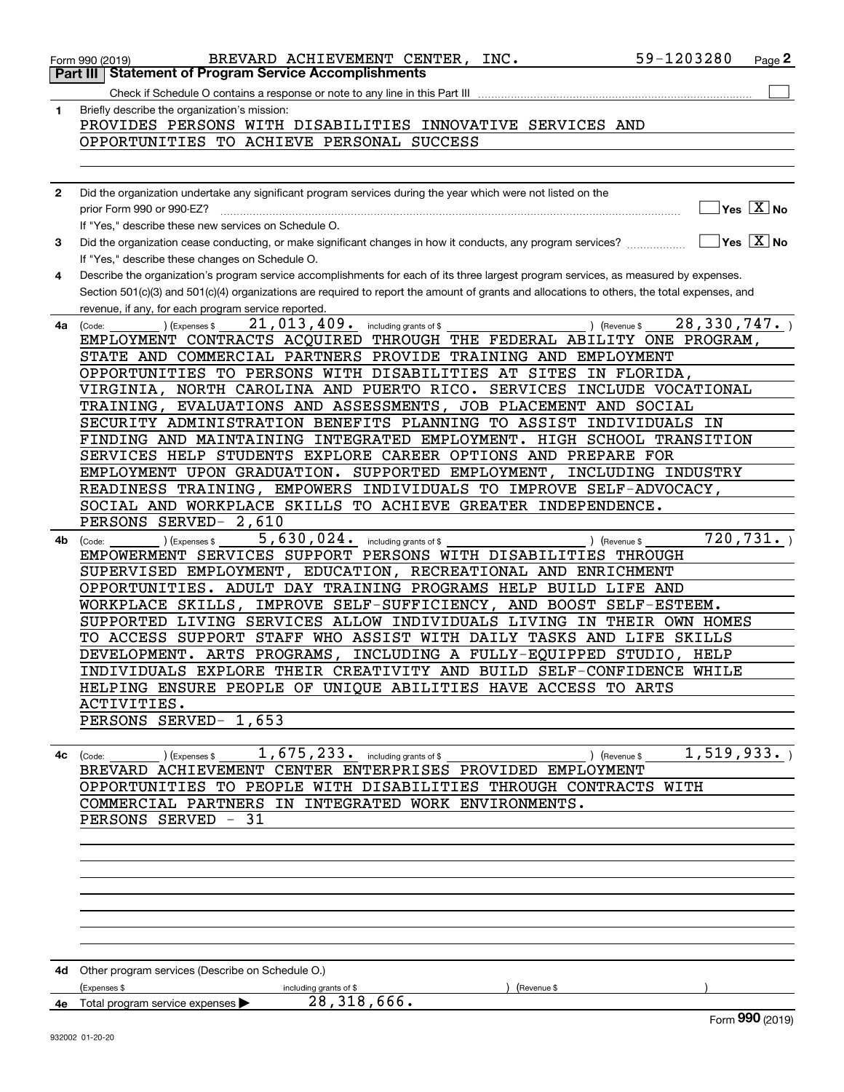|              | BREVARD ACHIEVEMENT CENTER, INC.<br>Form 990 (2019)<br>Part III   Statement of Program Service Accomplishments                               | 59-1203280    | $Page$ 2                                        |
|--------------|----------------------------------------------------------------------------------------------------------------------------------------------|---------------|-------------------------------------------------|
|              |                                                                                                                                              |               |                                                 |
|              |                                                                                                                                              |               |                                                 |
| 1            | Briefly describe the organization's mission:                                                                                                 |               |                                                 |
|              | PROVIDES PERSONS WITH DISABILITIES INNOVATIVE SERVICES AND                                                                                   |               |                                                 |
|              | OPPORTUNITIES TO ACHIEVE PERSONAL SUCCESS                                                                                                    |               |                                                 |
|              |                                                                                                                                              |               |                                                 |
| $\mathbf{2}$ | Did the organization undertake any significant program services during the year which were not listed on the                                 |               |                                                 |
|              | prior Form 990 or 990-EZ?                                                                                                                    |               | $\overline{\ }$ Yes $\overline{\phantom{X}}$ No |
|              | If "Yes," describe these new services on Schedule O.                                                                                         |               |                                                 |
| 3            | Did the organization cease conducting, or make significant changes in how it conducts, any program services?                                 |               | $\overline{\ }$ Yes $\overline{\ \ X}$ No       |
|              | If "Yes," describe these changes on Schedule O.                                                                                              |               |                                                 |
| 4            | Describe the organization's program service accomplishments for each of its three largest program services, as measured by expenses.         |               |                                                 |
|              | Section 501(c)(3) and 501(c)(4) organizations are required to report the amount of grants and allocations to others, the total expenses, and |               |                                                 |
|              | revenue, if any, for each program service reported.                                                                                          |               |                                                 |
| 4a           | 21,013,409.<br>) (Revenue \$<br>(Expenses \$<br>including grants of \$<br>(Code:                                                             | 28, 330, 747. |                                                 |
|              | EMPLOYMENT CONTRACTS ACQUIRED THROUGH THE FEDERAL ABILITY ONE PROGRAM,                                                                       |               |                                                 |
|              | STATE AND COMMERCIAL PARTNERS PROVIDE TRAINING AND EMPLOYMENT                                                                                |               |                                                 |
|              | OPPORTUNITIES TO PERSONS WITH DISABILITIES AT SITES IN FLORIDA,                                                                              |               |                                                 |
|              | VIRGINIA, NORTH CAROLINA AND PUERTO RICO. SERVICES INCLUDE VOCATIONAL                                                                        |               |                                                 |
|              | TRAINING, EVALUATIONS AND ASSESSMENTS, JOB PLACEMENT AND SOCIAL                                                                              |               |                                                 |
|              | SECURITY ADMINISTRATION BENEFITS PLANNING TO ASSIST INDIVIDUALS IN                                                                           |               |                                                 |
|              | FINDING AND MAINTAINING INTEGRATED EMPLOYMENT. HIGH SCHOOL TRANSITION                                                                        |               |                                                 |
|              | SERVICES HELP STUDENTS EXPLORE CAREER OPTIONS AND PREPARE FOR                                                                                |               |                                                 |
|              | EMPLOYMENT UPON GRADUATION. SUPPORTED EMPLOYMENT, INCLUDING INDUSTRY                                                                         |               |                                                 |
|              | READINESS TRAINING, EMPOWERS INDIVIDUALS TO IMPROVE SELF-ADVOCACY,                                                                           |               |                                                 |
|              | SOCIAL AND WORKPLACE SKILLS TO ACHIEVE GREATER INDEPENDENCE.                                                                                 |               |                                                 |
|              | PERSONS SERVED- 2,610                                                                                                                        |               |                                                 |
| 4b           | 5, 630, 024. including grants of \$<br>(Expenses \$<br>) (Revenue \$<br>(Code:                                                               |               | 720, 731.                                       |
|              | EMPOWERMENT SERVICES SUPPORT PERSONS WITH DISABILITIES THROUGH                                                                               |               |                                                 |
|              | SUPERVISED EMPLOYMENT, EDUCATION, RECREATIONAL AND ENRICHMENT                                                                                |               |                                                 |
|              | OPPORTUNITIES. ADULT DAY TRAINING PROGRAMS HELP BUILD LIFE AND                                                                               |               |                                                 |
|              | WORKPLACE SKILLS, IMPROVE SELF-SUFFICIENCY, AND BOOST SELF-ESTEEM.                                                                           |               |                                                 |
|              | SUPPORTED LIVING SERVICES ALLOW INDIVIDUALS LIVING IN THEIR OWN HOMES                                                                        |               |                                                 |
|              | TO ACCESS SUPPORT STAFF WHO ASSIST WITH DAILY TASKS AND LIFE SKILLS                                                                          |               |                                                 |
|              | DEVELOPMENT. ARTS PROGRAMS, INCLUDING A FULLY-EQUIPPED STUDIO, HELP                                                                          |               |                                                 |
|              | INDIVIDUALS EXPLORE THEIR CREATIVITY AND BUILD SELF-CONFIDENCE WHILE                                                                         |               |                                                 |
|              | HELPING ENSURE PEOPLE OF UNIQUE ABILITIES HAVE ACCESS TO ARTS                                                                                |               |                                                 |
|              | ACTIVITIES.                                                                                                                                  |               |                                                 |
|              | PERSONS SERVED- 1,653                                                                                                                        |               |                                                 |
|              |                                                                                                                                              |               |                                                 |
|              | 1, 675, 233. including grants of \$<br>(Expenses \$<br>4c (Code:<br>) (Revenue \$                                                            | 1, 519, 933.  |                                                 |
|              | BREVARD ACHIEVEMENT CENTER ENTERPRISES PROVIDED EMPLOYMENT                                                                                   |               |                                                 |
|              | OPPORTUNITIES TO PEOPLE WITH DISABILITIES THROUGH CONTRACTS WITH                                                                             |               |                                                 |
|              | COMMERCIAL PARTNERS IN INTEGRATED WORK ENVIRONMENTS.                                                                                         |               |                                                 |
|              | PERSONS SERVED - 31                                                                                                                          |               |                                                 |
|              |                                                                                                                                              |               |                                                 |
|              |                                                                                                                                              |               |                                                 |
|              |                                                                                                                                              |               |                                                 |
|              |                                                                                                                                              |               |                                                 |
|              |                                                                                                                                              |               |                                                 |
|              |                                                                                                                                              |               |                                                 |
|              |                                                                                                                                              |               |                                                 |
|              | 4d Other program services (Describe on Schedule O.)                                                                                          |               |                                                 |
|              | (Expenses \$<br>including grants of \$<br>(Revenue \$                                                                                        |               |                                                 |
|              | 28, 318, 666.<br>4e Total program service expenses                                                                                           |               |                                                 |
|              |                                                                                                                                              |               | Form 990 (2019)                                 |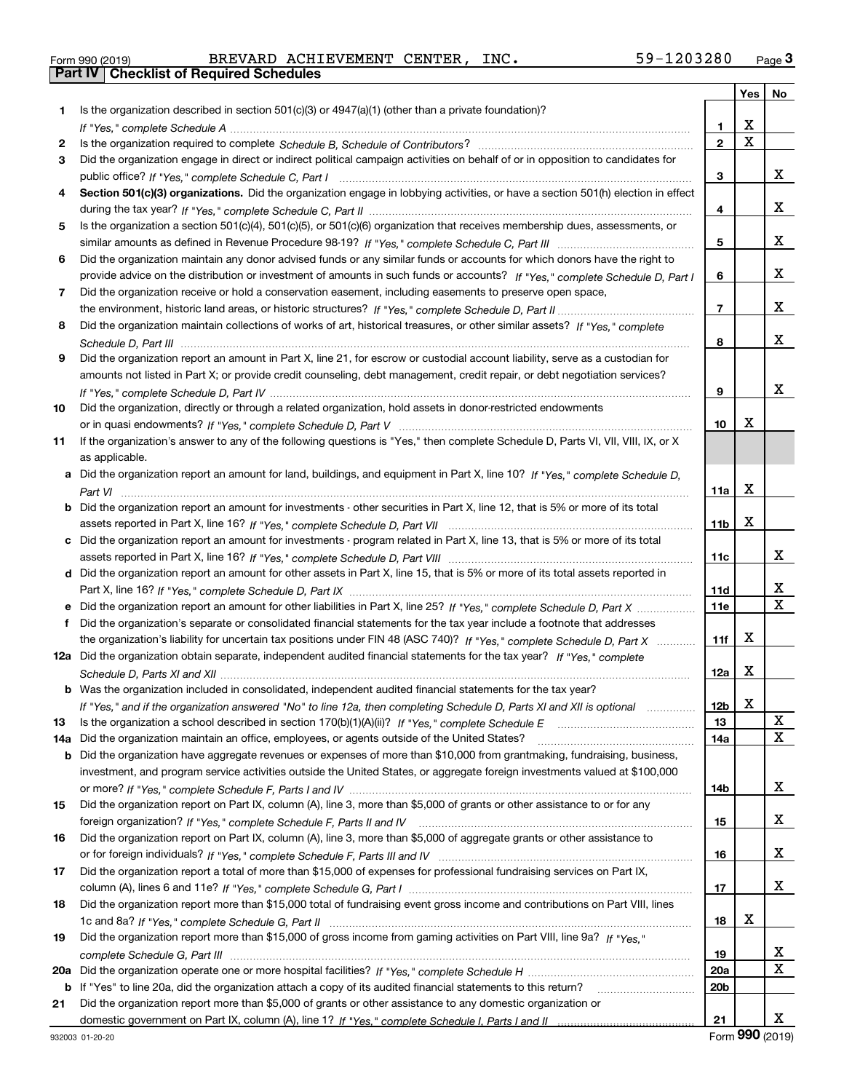| Form 990 (2019) |  |  |
|-----------------|--|--|

Form 990 (2019) Page **3Part IV Checklist of Required Schedules** BREVARD ACHIEVEMENT CENTER, INC. 59-1203280

|     |                                                                                                                                                                                                                                                    |                   | Yes | No                      |
|-----|----------------------------------------------------------------------------------------------------------------------------------------------------------------------------------------------------------------------------------------------------|-------------------|-----|-------------------------|
| 1.  | Is the organization described in section $501(c)(3)$ or $4947(a)(1)$ (other than a private foundation)?                                                                                                                                            |                   |     |                         |
|     |                                                                                                                                                                                                                                                    | 1                 | X   |                         |
| 2   |                                                                                                                                                                                                                                                    | $\mathbf{2}$      | X   |                         |
| 3   | Did the organization engage in direct or indirect political campaign activities on behalf of or in opposition to candidates for                                                                                                                    |                   |     |                         |
|     |                                                                                                                                                                                                                                                    | 3                 |     | X                       |
| 4   | Section 501(c)(3) organizations. Did the organization engage in lobbying activities, or have a section 501(h) election in effect                                                                                                                   |                   |     |                         |
|     |                                                                                                                                                                                                                                                    | 4                 |     | x                       |
| 5   | Is the organization a section 501(c)(4), 501(c)(5), or 501(c)(6) organization that receives membership dues, assessments, or                                                                                                                       |                   |     |                         |
|     |                                                                                                                                                                                                                                                    | 5                 |     | x                       |
| 6   | Did the organization maintain any donor advised funds or any similar funds or accounts for which donors have the right to                                                                                                                          |                   |     |                         |
|     | provide advice on the distribution or investment of amounts in such funds or accounts? If "Yes," complete Schedule D, Part I                                                                                                                       | 6                 |     | x                       |
| 7   | Did the organization receive or hold a conservation easement, including easements to preserve open space,                                                                                                                                          |                   |     |                         |
|     |                                                                                                                                                                                                                                                    | $\overline{7}$    |     | x                       |
| 8   | Did the organization maintain collections of works of art, historical treasures, or other similar assets? If "Yes," complete                                                                                                                       |                   |     |                         |
|     |                                                                                                                                                                                                                                                    | 8                 |     | x                       |
| 9   | Did the organization report an amount in Part X, line 21, for escrow or custodial account liability, serve as a custodian for                                                                                                                      |                   |     |                         |
|     | amounts not listed in Part X; or provide credit counseling, debt management, credit repair, or debt negotiation services?                                                                                                                          |                   |     |                         |
|     |                                                                                                                                                                                                                                                    | 9                 |     | x                       |
| 10  | Did the organization, directly or through a related organization, hold assets in donor-restricted endowments                                                                                                                                       |                   |     |                         |
|     |                                                                                                                                                                                                                                                    | 10                | X   |                         |
| 11  | If the organization's answer to any of the following questions is "Yes," then complete Schedule D, Parts VI, VII, VIII, IX, or X                                                                                                                   |                   |     |                         |
|     | as applicable.                                                                                                                                                                                                                                     |                   |     |                         |
|     | a Did the organization report an amount for land, buildings, and equipment in Part X, line 10? If "Yes," complete Schedule D,                                                                                                                      |                   |     |                         |
|     |                                                                                                                                                                                                                                                    | 11a               | X   |                         |
|     | <b>b</b> Did the organization report an amount for investments - other securities in Part X, line 12, that is 5% or more of its total                                                                                                              |                   |     |                         |
|     |                                                                                                                                                                                                                                                    | 11 <sub>b</sub>   | X   |                         |
|     | c Did the organization report an amount for investments - program related in Part X, line 13, that is 5% or more of its total                                                                                                                      |                   |     | x                       |
|     |                                                                                                                                                                                                                                                    | 11c               |     |                         |
|     | d Did the organization report an amount for other assets in Part X, line 15, that is 5% or more of its total assets reported in                                                                                                                    |                   |     | x                       |
|     |                                                                                                                                                                                                                                                    | 11d<br><b>11e</b> |     | $\overline{\mathbf{x}}$ |
| f   | e Did the organization report an amount for other liabilities in Part X, line 25? If "Yes," complete Schedule D, Part X<br>Did the organization's separate or consolidated financial statements for the tax year include a footnote that addresses |                   |     |                         |
|     | the organization's liability for uncertain tax positions under FIN 48 (ASC 740)? If "Yes," complete Schedule D, Part X                                                                                                                             | 11f               | X   |                         |
|     | 12a Did the organization obtain separate, independent audited financial statements for the tax year? If "Yes," complete                                                                                                                            |                   |     |                         |
|     |                                                                                                                                                                                                                                                    | 12a               | X   |                         |
|     | <b>b</b> Was the organization included in consolidated, independent audited financial statements for the tax year?                                                                                                                                 |                   |     |                         |
|     | If "Yes," and if the organization answered "No" to line 12a, then completing Schedule D, Parts XI and XII is optional <i>manimal</i> .                                                                                                             | 12b               | x   |                         |
| 13  |                                                                                                                                                                                                                                                    | 13                |     | X                       |
| 14a | Did the organization maintain an office, employees, or agents outside of the United States?                                                                                                                                                        | 14a               |     | $\mathbf X$             |
|     | <b>b</b> Did the organization have aggregate revenues or expenses of more than \$10,000 from grantmaking, fundraising, business,                                                                                                                   |                   |     |                         |
|     | investment, and program service activities outside the United States, or aggregate foreign investments valued at \$100,000                                                                                                                         |                   |     |                         |
|     |                                                                                                                                                                                                                                                    | 14b               |     | X                       |
| 15  | Did the organization report on Part IX, column (A), line 3, more than \$5,000 of grants or other assistance to or for any                                                                                                                          |                   |     |                         |
|     |                                                                                                                                                                                                                                                    | 15                |     | х                       |
| 16  | Did the organization report on Part IX, column (A), line 3, more than \$5,000 of aggregate grants or other assistance to                                                                                                                           |                   |     |                         |
|     |                                                                                                                                                                                                                                                    | 16                |     | х                       |
| 17  | Did the organization report a total of more than \$15,000 of expenses for professional fundraising services on Part IX,                                                                                                                            |                   |     |                         |
|     |                                                                                                                                                                                                                                                    | 17                |     | X                       |
| 18  | Did the organization report more than \$15,000 total of fundraising event gross income and contributions on Part VIII, lines                                                                                                                       |                   |     |                         |
|     |                                                                                                                                                                                                                                                    | 18                | X   |                         |
| 19  | Did the organization report more than \$15,000 of gross income from gaming activities on Part VIII, line 9a? If "Yes."                                                                                                                             |                   |     |                         |
|     |                                                                                                                                                                                                                                                    | 19                |     | х                       |
| 20a |                                                                                                                                                                                                                                                    | 20a               |     | $\mathbf X$             |
| b   | If "Yes" to line 20a, did the organization attach a copy of its audited financial statements to this return?                                                                                                                                       | 20b               |     |                         |
| 21  | Did the organization report more than \$5,000 of grants or other assistance to any domestic organization or                                                                                                                                        |                   |     |                         |
|     |                                                                                                                                                                                                                                                    | 21                |     | X                       |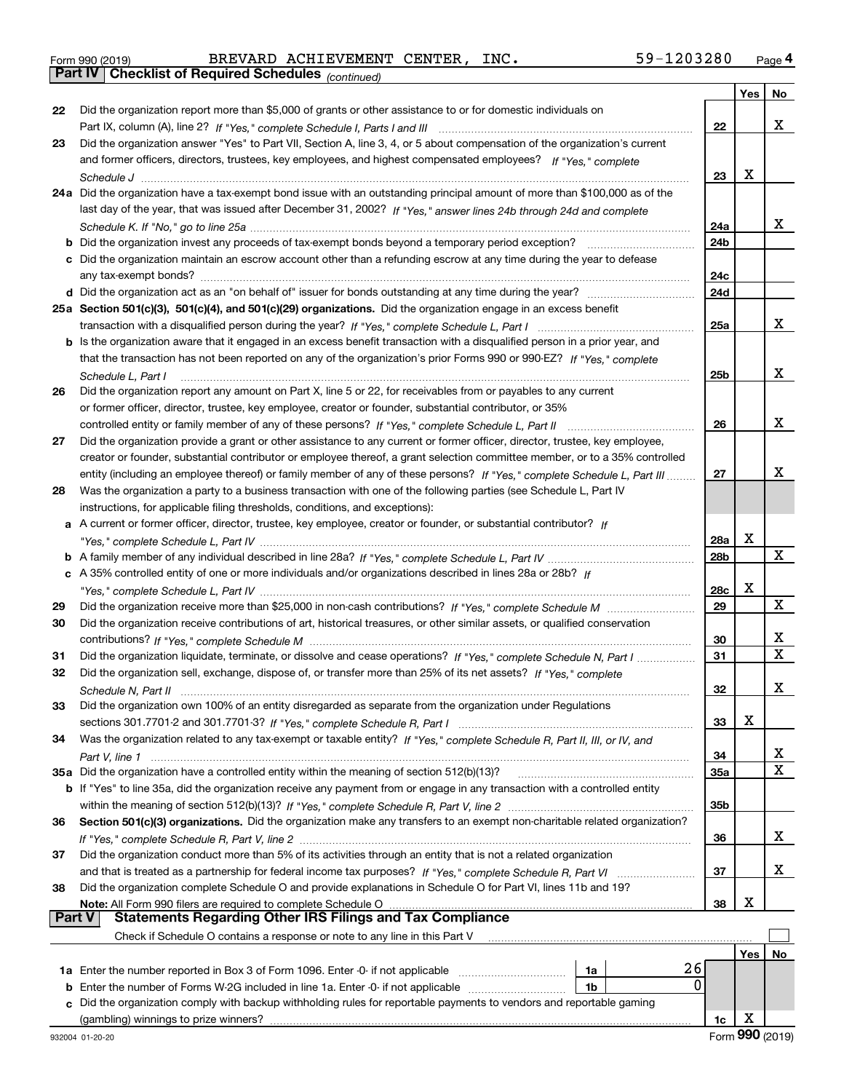|  | Form 990 (2019) |  |
|--|-----------------|--|
|  |                 |  |

*(continued)* Form 990 (2019) Page **4Part IV Checklist of Required Schedules** BREVARD ACHIEVEMENT CENTER, INC. 59-1203280

|               |                                                                                                                              |            | Yes | No |
|---------------|------------------------------------------------------------------------------------------------------------------------------|------------|-----|----|
| 22            | Did the organization report more than \$5,000 of grants or other assistance to or for domestic individuals on                |            |     |    |
|               |                                                                                                                              | 22         |     | x  |
| 23            | Did the organization answer "Yes" to Part VII, Section A, line 3, 4, or 5 about compensation of the organization's current   |            |     |    |
|               | and former officers, directors, trustees, key employees, and highest compensated employees? If "Yes," complete               |            |     |    |
|               |                                                                                                                              | 23         | x   |    |
|               | 24a Did the organization have a tax-exempt bond issue with an outstanding principal amount of more than \$100,000 as of the  |            |     |    |
|               | last day of the year, that was issued after December 31, 2002? If "Yes," answer lines 24b through 24d and complete           |            |     |    |
|               |                                                                                                                              | 24a        |     | X. |
|               |                                                                                                                              | 24b        |     |    |
|               | c Did the organization maintain an escrow account other than a refunding escrow at any time during the year to defease       |            |     |    |
|               |                                                                                                                              | 24c        |     |    |
|               | d Did the organization act as an "on behalf of" issuer for bonds outstanding at any time during the year?                    | 24d        |     |    |
|               | 25a Section 501(c)(3), 501(c)(4), and 501(c)(29) organizations. Did the organization engage in an excess benefit             |            |     |    |
|               |                                                                                                                              | 25a        |     | x  |
|               | b Is the organization aware that it engaged in an excess benefit transaction with a disqualified person in a prior year, and |            |     |    |
|               | that the transaction has not been reported on any of the organization's prior Forms 990 or 990-EZ? If "Yes," complete        |            |     |    |
|               | Schedule L. Part I                                                                                                           | 25b        |     | x  |
| 26            | Did the organization report any amount on Part X, line 5 or 22, for receivables from or payables to any current              |            |     |    |
|               | or former officer, director, trustee, key employee, creator or founder, substantial contributor, or 35%                      |            |     |    |
|               | controlled entity or family member of any of these persons? If "Yes," complete Schedule L, Part II                           | 26         |     | x  |
| 27            | Did the organization provide a grant or other assistance to any current or former officer, director, trustee, key employee,  |            |     |    |
|               | creator or founder, substantial contributor or employee thereof, a grant selection committee member, or to a 35% controlled  |            |     |    |
|               | entity (including an employee thereof) or family member of any of these persons? If "Yes," complete Schedule L, Part III     | 27         |     | x  |
| 28            | Was the organization a party to a business transaction with one of the following parties (see Schedule L, Part IV            |            |     |    |
|               | instructions, for applicable filing thresholds, conditions, and exceptions):                                                 |            |     |    |
|               | a A current or former officer, director, trustee, key employee, creator or founder, or substantial contributor? If           |            |     |    |
|               |                                                                                                                              | <b>28a</b> | x   | X  |
|               |                                                                                                                              | 28b        |     |    |
|               | c A 35% controlled entity of one or more individuals and/or organizations described in lines 28a or 28b? If                  | 28c        | х   |    |
|               |                                                                                                                              | 29         |     | X  |
| 29<br>30      | Did the organization receive contributions of art, historical treasures, or other similar assets, or qualified conservation  |            |     |    |
|               |                                                                                                                              | 30         |     | х  |
| 31            | Did the organization liquidate, terminate, or dissolve and cease operations? If "Yes," complete Schedule N, Part I           | 31         |     | X  |
| 32            | Did the organization sell, exchange, dispose of, or transfer more than 25% of its net assets? If "Yes," complete             |            |     |    |
|               |                                                                                                                              | 32         |     | x  |
| 33            | Did the organization own 100% of an entity disregarded as separate from the organization under Regulations                   |            |     |    |
|               |                                                                                                                              | 33         | X   |    |
| 34            | Was the organization related to any tax-exempt or taxable entity? If "Yes," complete Schedule R, Part II, III, or IV, and    |            |     |    |
|               |                                                                                                                              | 34         |     | x  |
|               | 35a Did the organization have a controlled entity within the meaning of section 512(b)(13)?                                  | 35a        |     | X  |
|               | b If "Yes" to line 35a, did the organization receive any payment from or engage in any transaction with a controlled entity  |            |     |    |
|               |                                                                                                                              | 35b        |     |    |
| 36            | Section 501(c)(3) organizations. Did the organization make any transfers to an exempt non-charitable related organization?   |            |     |    |
|               |                                                                                                                              | 36         |     | x  |
| 37            | Did the organization conduct more than 5% of its activities through an entity that is not a related organization             |            |     |    |
|               |                                                                                                                              | 37         |     | x  |
| 38            | Did the organization complete Schedule O and provide explanations in Schedule O for Part VI, lines 11b and 19?               |            |     |    |
|               | Note: All Form 990 filers are required to complete Schedule O                                                                | 38         | х   |    |
| <b>Part V</b> | <b>Statements Regarding Other IRS Filings and Tax Compliance</b>                                                             |            |     |    |
|               | Check if Schedule O contains a response or note to any line in this Part V                                                   |            |     |    |
|               |                                                                                                                              |            | Yes | No |
|               | 26<br>1a Enter the number reported in Box 3 of Form 1096. Enter -0- if not applicable<br>1a                                  |            |     |    |
| b             | 0<br>Enter the number of Forms W-2G included in line 1a. Enter -0- if not applicable<br>1b                                   |            |     |    |
| c             | Did the organization comply with backup withholding rules for reportable payments to vendors and reportable gaming           |            |     |    |
|               |                                                                                                                              | 1c         | х   |    |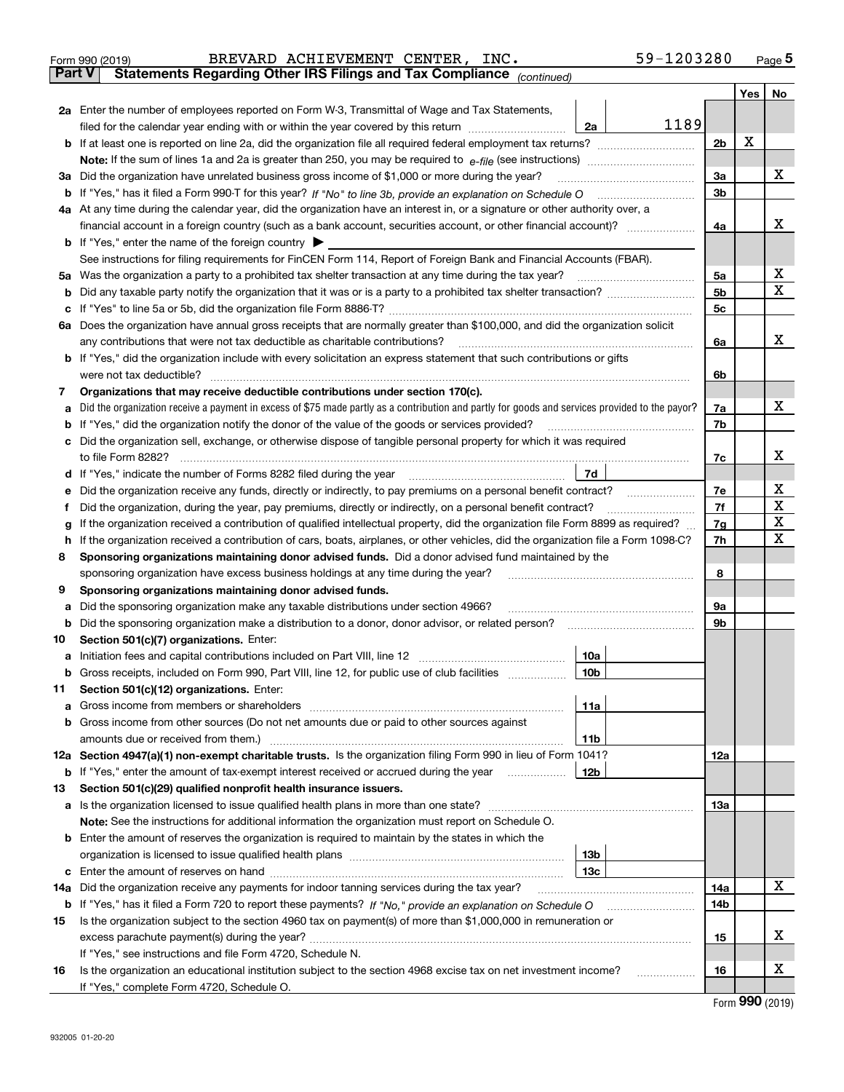| Form 990 (2019) |  | BREVARD ACHIEVEMENT CENTER, INC.                                                               |  | 59-1203280 | Page $5$ |
|-----------------|--|------------------------------------------------------------------------------------------------|--|------------|----------|
|                 |  | <b>Part V</b> Statements Regarding Other IRS Filings and Tax Compliance <sub>(continued)</sub> |  |            |          |

| rai l V | Statements Regarding Other IRS Fillings and Tax Compilance $_{(continued)}$                                                                     |      |     |     |    |  |
|---------|-------------------------------------------------------------------------------------------------------------------------------------------------|------|-----|-----|----|--|
|         |                                                                                                                                                 |      |     | Yes | No |  |
|         | 2a Enter the number of employees reported on Form W-3, Transmittal of Wage and Tax Statements,                                                  |      |     |     |    |  |
|         | filed for the calendar year ending with or within the year covered by this return<br>2a                                                         | 1189 |     |     |    |  |
|         |                                                                                                                                                 |      | 2b  | X   |    |  |
|         |                                                                                                                                                 |      |     |     |    |  |
|         | 3a Did the organization have unrelated business gross income of \$1,000 or more during the year?                                                |      | За  |     | x  |  |
|         |                                                                                                                                                 |      | 3b  |     |    |  |
|         | 4a At any time during the calendar year, did the organization have an interest in, or a signature or other authority over, a                    |      |     |     |    |  |
|         |                                                                                                                                                 |      | 4a  |     | x  |  |
|         | <b>b</b> If "Yes," enter the name of the foreign country                                                                                        |      |     |     |    |  |
|         | See instructions for filing requirements for FinCEN Form 114, Report of Foreign Bank and Financial Accounts (FBAR).                             |      |     |     |    |  |
|         | 5a Was the organization a party to a prohibited tax shelter transaction at any time during the tax year?                                        |      | 5a  |     | х  |  |
|         |                                                                                                                                                 |      | 5b  |     | X  |  |
|         |                                                                                                                                                 |      | 5c  |     |    |  |
|         | 6a Does the organization have annual gross receipts that are normally greater than \$100,000, and did the organization solicit                  |      |     |     |    |  |
|         | any contributions that were not tax deductible as charitable contributions?                                                                     |      | 6a  |     | x  |  |
|         | <b>b</b> If "Yes," did the organization include with every solicitation an express statement that such contributions or gifts                   |      |     |     |    |  |
|         | were not tax deductible?                                                                                                                        |      | 6b  |     |    |  |
| 7       | Organizations that may receive deductible contributions under section 170(c).                                                                   |      |     |     |    |  |
| а       | Did the organization receive a payment in excess of \$75 made partly as a contribution and partly for goods and services provided to the payor? |      | 7a  |     | x  |  |
|         | <b>b</b> If "Yes," did the organization notify the donor of the value of the goods or services provided?                                        |      | 7b  |     |    |  |
|         | c Did the organization sell, exchange, or otherwise dispose of tangible personal property for which it was required                             |      |     |     |    |  |
|         | to file Form 8282?                                                                                                                              |      | 7c  |     | x  |  |
|         | 7d<br>d If "Yes," indicate the number of Forms 8282 filed during the year                                                                       |      |     |     | х  |  |
|         | e Did the organization receive any funds, directly or indirectly, to pay premiums on a personal benefit contract?                               |      |     |     |    |  |
| Ť.      | Did the organization, during the year, pay premiums, directly or indirectly, on a personal benefit contract?                                    |      | 7f  |     | X  |  |
| g       | If the organization received a contribution of qualified intellectual property, did the organization file Form 8899 as required?                |      | 7g  |     | X  |  |
|         | h If the organization received a contribution of cars, boats, airplanes, or other vehicles, did the organization file a Form 1098-C?            |      | 7h  |     | X  |  |
| 8       | Sponsoring organizations maintaining donor advised funds. Did a donor advised fund maintained by the                                            |      |     |     |    |  |
|         | sponsoring organization have excess business holdings at any time during the year?                                                              |      | 8   |     |    |  |
| 9       | Sponsoring organizations maintaining donor advised funds.                                                                                       |      |     |     |    |  |
|         | a Did the sponsoring organization make any taxable distributions under section 4966?                                                            |      | 9а  |     |    |  |
|         | <b>b</b> Did the sponsoring organization make a distribution to a donor, donor advisor, or related person?                                      |      | 9b  |     |    |  |
| 10      | Section 501(c)(7) organizations. Enter:                                                                                                         |      |     |     |    |  |
|         | 10a                                                                                                                                             |      |     |     |    |  |
|         | b Gross receipts, included on Form 990, Part VIII, line 12, for public use of club facilities<br>10b                                            |      |     |     |    |  |
| 11.     | Section 501(c)(12) organizations. Enter:                                                                                                        |      |     |     |    |  |
|         | 11a                                                                                                                                             |      |     |     |    |  |
|         | <b>b</b> Gross income from other sources (Do not net amounts due or paid to other sources against                                               |      |     |     |    |  |
|         | 11b                                                                                                                                             |      |     |     |    |  |
|         | 12a Section 4947(a)(1) non-exempt charitable trusts. Is the organization filing Form 990 in lieu of Form 1041?                                  |      | 12a |     |    |  |
|         | 12b<br><b>b</b> If "Yes," enter the amount of tax-exempt interest received or accrued during the year                                           |      |     |     |    |  |
| 13      | Section 501(c)(29) qualified nonprofit health insurance issuers.                                                                                |      |     |     |    |  |
|         | a Is the organization licensed to issue qualified health plans in more than one state?                                                          |      | 13а |     |    |  |
|         | Note: See the instructions for additional information the organization must report on Schedule O.                                               |      |     |     |    |  |
|         | <b>b</b> Enter the amount of reserves the organization is required to maintain by the states in which the                                       |      |     |     |    |  |
|         | 13 <sub>b</sub>                                                                                                                                 |      |     |     |    |  |
|         | 13с                                                                                                                                             |      |     |     |    |  |
|         | 14a Did the organization receive any payments for indoor tanning services during the tax year?                                                  |      | 14a |     | X  |  |
|         |                                                                                                                                                 |      | 14b |     |    |  |
| 15      | Is the organization subject to the section 4960 tax on payment(s) of more than \$1,000,000 in remuneration or                                   |      |     |     |    |  |
|         |                                                                                                                                                 |      | 15  |     | х  |  |
|         | If "Yes," see instructions and file Form 4720, Schedule N.                                                                                      |      |     |     |    |  |
| 16      | Is the organization an educational institution subject to the section 4968 excise tax on net investment income?                                 |      | 16  |     | x  |  |
|         | If "Yes," complete Form 4720, Schedule O.                                                                                                       |      |     |     |    |  |

Form (2019) **990**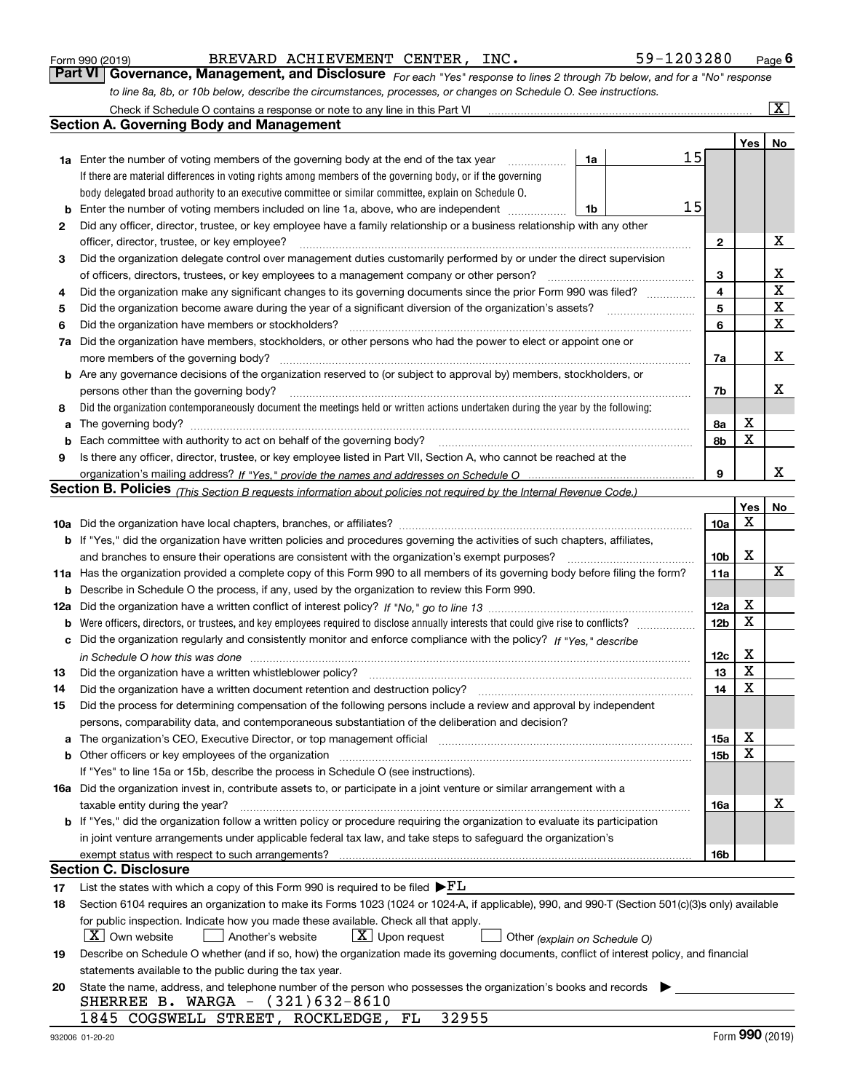| Form 990 (2019) |  |  |
|-----------------|--|--|
|                 |  |  |

| Form 990 (2019) |  | BREVARD ACHIEVEMENT CENTER. | INC. | 59-1203280                                                                                                                  | $P$ <sub>age</sub> 6 |
|-----------------|--|-----------------------------|------|-----------------------------------------------------------------------------------------------------------------------------|----------------------|
|                 |  |                             |      | Part VI Governance, Management, and Disclosure For each "Yes" response to lines 2 through 7b below, and for a "No" response |                      |
|                 |  |                             |      | to line 8a, 8b, or 10b below, describe the circumstances, processes, or changes on Schedule O. See instructions.            |                      |

|     | Check if Schedule O contains a response or note to any line in this Part VI                                                                                                                                                    |    |    |                 |     | ΙX. |
|-----|--------------------------------------------------------------------------------------------------------------------------------------------------------------------------------------------------------------------------------|----|----|-----------------|-----|-----|
|     | <b>Section A. Governing Body and Management</b>                                                                                                                                                                                |    |    |                 |     |     |
|     |                                                                                                                                                                                                                                |    |    |                 | Yes | No  |
|     | <b>1a</b> Enter the number of voting members of the governing body at the end of the tax year                                                                                                                                  | 1a | 15 |                 |     |     |
|     | If there are material differences in voting rights among members of the governing body, or if the governing                                                                                                                    |    |    |                 |     |     |
|     | body delegated broad authority to an executive committee or similar committee, explain on Schedule O.                                                                                                                          |    |    |                 |     |     |
| b   | Enter the number of voting members included on line 1a, above, who are independent                                                                                                                                             | 1b | 15 |                 |     |     |
| 2   | Did any officer, director, trustee, or key employee have a family relationship or a business relationship with any other                                                                                                       |    |    |                 |     |     |
|     | officer, director, trustee, or key employee?                                                                                                                                                                                   |    |    | $\mathbf{2}$    |     | X   |
| 3   | Did the organization delegate control over management duties customarily performed by or under the direct supervision                                                                                                          |    |    |                 |     |     |
|     | of officers, directors, trustees, or key employees to a management company or other person?                                                                                                                                    |    |    | 3               |     | x   |
| 4   | Did the organization make any significant changes to its governing documents since the prior Form 990 was filed?                                                                                                               |    |    | $\overline{4}$  |     | X   |
| 5   |                                                                                                                                                                                                                                |    |    | 5               |     | X   |
| 6   | Did the organization have members or stockholders?                                                                                                                                                                             |    |    | 6               |     | X   |
| 7a  | Did the organization have members, stockholders, or other persons who had the power to elect or appoint one or                                                                                                                 |    |    |                 |     |     |
|     | more members of the governing body?                                                                                                                                                                                            |    |    | 7a              |     | x   |
|     | <b>b</b> Are any governance decisions of the organization reserved to (or subject to approval by) members, stockholders, or                                                                                                    |    |    |                 |     |     |
|     | persons other than the governing body?                                                                                                                                                                                         |    |    | 7b              |     | x   |
|     | Did the organization contemporaneously document the meetings held or written actions undertaken during the year by the following:                                                                                              |    |    |                 |     |     |
| 8   |                                                                                                                                                                                                                                |    |    |                 | X   |     |
| a   |                                                                                                                                                                                                                                |    |    | 8a              | X   |     |
| b   | Each committee with authority to act on behalf of the governing body?                                                                                                                                                          |    |    | 8b              |     |     |
| 9   | Is there any officer, director, trustee, or key employee listed in Part VII, Section A, who cannot be reached at the                                                                                                           |    |    | 9               |     | x   |
|     | Section B. Policies <sub>(This Section B requests information about policies not required by the Internal Revenue Code.)</sub>                                                                                                 |    |    |                 |     |     |
|     |                                                                                                                                                                                                                                |    |    |                 | Yes | No  |
|     |                                                                                                                                                                                                                                |    |    | 10a             | Х   |     |
|     | <b>b</b> If "Yes," did the organization have written policies and procedures governing the activities of such chapters, affiliates,                                                                                            |    |    |                 |     |     |
|     | and branches to ensure their operations are consistent with the organization's exempt purposes?                                                                                                                                |    |    | 10 <sub>b</sub> | X   |     |
|     | 11a Has the organization provided a complete copy of this Form 990 to all members of its governing body before filing the form?                                                                                                |    |    | 11a             |     | х   |
| b   | Describe in Schedule O the process, if any, used by the organization to review this Form 990.                                                                                                                                  |    |    |                 |     |     |
| 12a |                                                                                                                                                                                                                                |    |    | 12a             | X   |     |
| b   | Were officers, directors, or trustees, and key employees required to disclose annually interests that could give rise to conflicts?                                                                                            |    |    | 12 <sub>b</sub> | X   |     |
| с   | Did the organization regularly and consistently monitor and enforce compliance with the policy? If "Yes." describe                                                                                                             |    |    |                 |     |     |
|     |                                                                                                                                                                                                                                |    |    | 12c             | X   |     |
|     | in Schedule O how this was done measured and the control of the control of the state of the control of the control of the control of the control of the control of the control of the control of the control of the control of |    |    | 13              | X   |     |
| 13  | Did the organization have a written whistleblower policy?<br>Did the organization have a written document retention and destruction policy?                                                                                    |    |    | 14              | X   |     |
| 14  |                                                                                                                                                                                                                                |    |    |                 |     |     |
| 15  | Did the process for determining compensation of the following persons include a review and approval by independent<br>persons, comparability data, and contemporaneous substantiation of the deliberation and decision?        |    |    |                 |     |     |
|     |                                                                                                                                                                                                                                |    |    |                 | X   |     |
| а   | The organization's CEO, Executive Director, or top management official manufactured content of the organization's CEO, Executive Director, or top management official                                                          |    |    | 15a             | X   |     |
|     | If "Yes" to line 15a or 15b, describe the process in Schedule O (see instructions).                                                                                                                                            |    |    | 15b             |     |     |
|     | 16a Did the organization invest in, contribute assets to, or participate in a joint venture or similar arrangement with a                                                                                                      |    |    |                 |     |     |
|     |                                                                                                                                                                                                                                |    |    | 16a             |     | X   |
|     | taxable entity during the year?<br>b If "Yes," did the organization follow a written policy or procedure requiring the organization to evaluate its participation                                                              |    |    |                 |     |     |
|     | in joint venture arrangements under applicable federal tax law, and take steps to safeguard the organization's                                                                                                                 |    |    |                 |     |     |
|     | exempt status with respect to such arrangements?                                                                                                                                                                               |    |    | 16b             |     |     |
|     | <b>Section C. Disclosure</b>                                                                                                                                                                                                   |    |    |                 |     |     |
| 17  | List the states with which a copy of this Form 990 is required to be filed $\blacktriangleright$ $FL$                                                                                                                          |    |    |                 |     |     |
| 18  | Section 6104 requires an organization to make its Forms 1023 (1024 or 1024-A, if applicable), 990, and 990-T (Section 501(c)(3)s only) available                                                                               |    |    |                 |     |     |
|     | for public inspection. Indicate how you made these available. Check all that apply.                                                                                                                                            |    |    |                 |     |     |
|     | $X$ Own website<br>$X$ Upon request<br>Another's website<br>Other (explain on Schedule O)                                                                                                                                      |    |    |                 |     |     |
| 19  | Describe on Schedule O whether (and if so, how) the organization made its governing documents, conflict of interest policy, and financial                                                                                      |    |    |                 |     |     |
|     | statements available to the public during the tax year.                                                                                                                                                                        |    |    |                 |     |     |
| 20  | State the name, address, and telephone number of the person who possesses the organization's books and records                                                                                                                 |    |    |                 |     |     |
|     | SHERREE B. WARGA - (321)632-8610                                                                                                                                                                                               |    |    |                 |     |     |
|     | 1845 COGSWELL STREET, ROCKLEDGE, FL<br>32955                                                                                                                                                                                   |    |    |                 |     |     |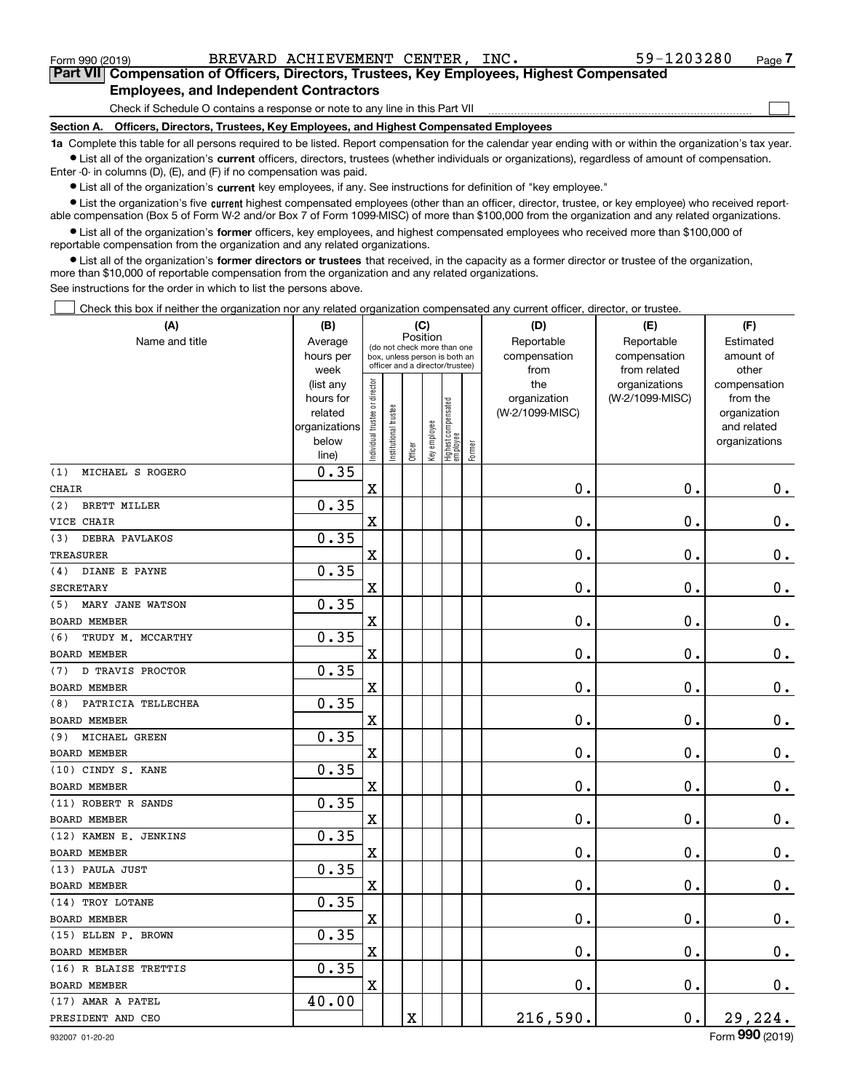$\mathcal{L}^{\text{max}}$ 

**7Part VII Compensation of Officers, Directors, Trustees, Key Employees, Highest Compensated Employees, and Independent Contractors**

Check if Schedule O contains a response or note to any line in this Part VII

**Section A. Officers, Directors, Trustees, Key Employees, and Highest Compensated Employees**

**1a**  Complete this table for all persons required to be listed. Report compensation for the calendar year ending with or within the organization's tax year. **•** List all of the organization's current officers, directors, trustees (whether individuals or organizations), regardless of amount of compensation.

Enter -0- in columns (D), (E), and (F) if no compensation was paid.

 $\bullet$  List all of the organization's  $\,$ current key employees, if any. See instructions for definition of "key employee."

**•** List the organization's five current highest compensated employees (other than an officer, director, trustee, or key employee) who received reportable compensation (Box 5 of Form W-2 and/or Box 7 of Form 1099-MISC) of more than \$100,000 from the organization and any related organizations.

**•** List all of the organization's former officers, key employees, and highest compensated employees who received more than \$100,000 of reportable compensation from the organization and any related organizations.

**former directors or trustees**  ¥ List all of the organization's that received, in the capacity as a former director or trustee of the organization, more than \$10,000 of reportable compensation from the organization and any related organizations.

See instructions for the order in which to list the persons above.

Check this box if neither the organization nor any related organization compensated any current officer, director, or trustee.  $\mathcal{L}^{\text{max}}$ 

| (A)                            | (B)               |                               |                                                                  | (C)     |              |                                   |           | (D)             | (E)                           | (F)                   |
|--------------------------------|-------------------|-------------------------------|------------------------------------------------------------------|---------|--------------|-----------------------------------|-----------|-----------------|-------------------------------|-----------------------|
| Name and title                 | Average           |                               | Position<br>(do not check more than one                          |         | Reportable   | Reportable                        | Estimated |                 |                               |                       |
|                                | hours per         |                               | box, unless person is both an<br>officer and a director/trustee) |         | compensation | compensation                      | amount of |                 |                               |                       |
|                                | week<br>(list any |                               |                                                                  |         |              |                                   |           | from<br>the     | from related<br>organizations | other<br>compensation |
|                                | hours for         |                               |                                                                  |         |              |                                   |           | organization    | (W-2/1099-MISC)               | from the              |
|                                | related           |                               |                                                                  |         |              |                                   |           | (W-2/1099-MISC) |                               | organization          |
|                                | organizations     |                               |                                                                  |         |              |                                   |           |                 |                               | and related           |
|                                | below             | ndividual trustee or director | nstitutional trustee                                             |         | Key employee | Highest compensated<br>  employee | Former    |                 |                               | organizations         |
|                                | line)             |                               |                                                                  | Officer |              |                                   |           |                 |                               |                       |
| MICHAEL S ROGERO<br>(1)        | 0.35              |                               |                                                                  |         |              |                                   |           |                 |                               |                       |
| <b>CHAIR</b>                   |                   | $\mathbf X$                   |                                                                  |         |              |                                   |           | $\mathbf 0$ .   | $\mathbf 0$ .                 | $\mathbf 0$ .         |
| (2)<br><b>BRETT MILLER</b>     | 0.35              |                               |                                                                  |         |              |                                   |           |                 |                               |                       |
| VICE CHAIR                     |                   | X                             |                                                                  |         |              |                                   |           | $\mathbf 0$ .   | $\mathbf 0$ .                 | $\mathbf 0$ .         |
| DEBRA PAVLAKOS<br>(3)          | 0.35              |                               |                                                                  |         |              |                                   |           |                 |                               |                       |
| <b>TREASURER</b>               |                   | $\mathbf X$                   |                                                                  |         |              |                                   |           | $\mathbf 0$ .   | $\mathbf 0$ .                 | $\mathbf 0$ .         |
| DIANE E PAYNE<br>(4)           | 0.35              |                               |                                                                  |         |              |                                   |           |                 |                               |                       |
| <b>SECRETARY</b>               |                   | $\mathbf X$                   |                                                                  |         |              |                                   |           | $\mathbf 0$ .   | $\mathbf 0$ .                 | $\mathbf 0$ .         |
| MARY JANE WATSON<br>(5)        | 0.35              |                               |                                                                  |         |              |                                   |           |                 |                               |                       |
| <b>BOARD MEMBER</b>            |                   | $\mathbf X$                   |                                                                  |         |              |                                   |           | $\mathbf 0$ .   | $\mathbf 0$ .                 | $\mathbf 0$ .         |
| TRUDY M. MCCARTHY<br>(6)       | 0.35              |                               |                                                                  |         |              |                                   |           |                 |                               |                       |
| <b>BOARD MEMBER</b>            |                   | X                             |                                                                  |         |              |                                   |           | $\mathbf 0$ .   | $\mathbf 0$ .                 | $\mathbf 0$ .         |
| <b>D TRAVIS PROCTOR</b><br>(7) | 0.35              |                               |                                                                  |         |              |                                   |           |                 |                               |                       |
| <b>BOARD MEMBER</b>            |                   | $\mathbf X$                   |                                                                  |         |              |                                   |           | $\mathbf 0$ .   | $\mathbf 0$ .                 | $\mathbf 0$ .         |
| PATRICIA TELLECHEA<br>(8)      | 0.35              |                               |                                                                  |         |              |                                   |           |                 |                               |                       |
| <b>BOARD MEMBER</b>            |                   | $\mathbf X$                   |                                                                  |         |              |                                   |           | $\mathbf 0$ .   | $\mathbf 0$ .                 | $\mathbf 0$ .         |
| MICHAEL GREEN<br>(9)           | 0.35              |                               |                                                                  |         |              |                                   |           |                 |                               |                       |
| <b>BOARD MEMBER</b>            |                   | $\mathbf X$                   |                                                                  |         |              |                                   |           | 0.              | $\mathbf 0$ .                 | $0_{.}$               |
| (10) CINDY S. KANE             | 0.35              |                               |                                                                  |         |              |                                   |           |                 |                               |                       |
| <b>BOARD MEMBER</b>            |                   | X                             |                                                                  |         |              |                                   |           | $\mathbf 0$ .   | $\mathbf 0$ .                 | $\mathbf 0$ .         |
| (11) ROBERT R SANDS            | 0.35              |                               |                                                                  |         |              |                                   |           |                 |                               |                       |
| BOARD MEMBER                   |                   | $\mathbf X$                   |                                                                  |         |              |                                   |           | $\mathbf 0$ .   | $\mathbf 0$ .                 | $\mathbf 0$ .         |
| (12) KAMEN E. JENKINS          | 0.35              |                               |                                                                  |         |              |                                   |           |                 |                               |                       |
| <b>BOARD MEMBER</b>            |                   | $\mathbf X$                   |                                                                  |         |              |                                   |           | $\mathbf 0$ .   | $\mathbf 0$ .                 | 0.                    |
| (13) PAULA JUST                | 0.35              |                               |                                                                  |         |              |                                   |           |                 |                               |                       |
| BOARD MEMBER                   |                   | $\mathbf X$                   |                                                                  |         |              |                                   |           | 0.              | $\mathbf 0$ .                 | $0_{.}$               |
| (14) TROY LOTANE               | 0.35              |                               |                                                                  |         |              |                                   |           |                 |                               |                       |
| <b>BOARD MEMBER</b>            |                   | X                             |                                                                  |         |              |                                   |           | $\mathbf 0$ .   | 0.                            | $\mathbf 0$ .         |
| (15) ELLEN P. BROWN            | 0.35              |                               |                                                                  |         |              |                                   |           |                 |                               |                       |
| <b>BOARD MEMBER</b>            |                   | $\mathbf X$                   |                                                                  |         |              |                                   |           | 0.              | $\mathbf 0$ .                 | $0_{.}$               |
| (16) R BLAISE TRETTIS          | 0.35              |                               |                                                                  |         |              |                                   |           |                 |                               |                       |
| <b>BOARD MEMBER</b>            |                   | $\mathbf X$                   |                                                                  |         |              |                                   |           | 0.              | 0.                            | $\mathbf 0$ .         |
| (17) AMAR A PATEL              | 40.00             |                               |                                                                  |         |              |                                   |           |                 |                               |                       |
| PRESIDENT AND CEO              |                   |                               |                                                                  | X       |              |                                   |           | 216,590.        | 0.                            | 29,224.               |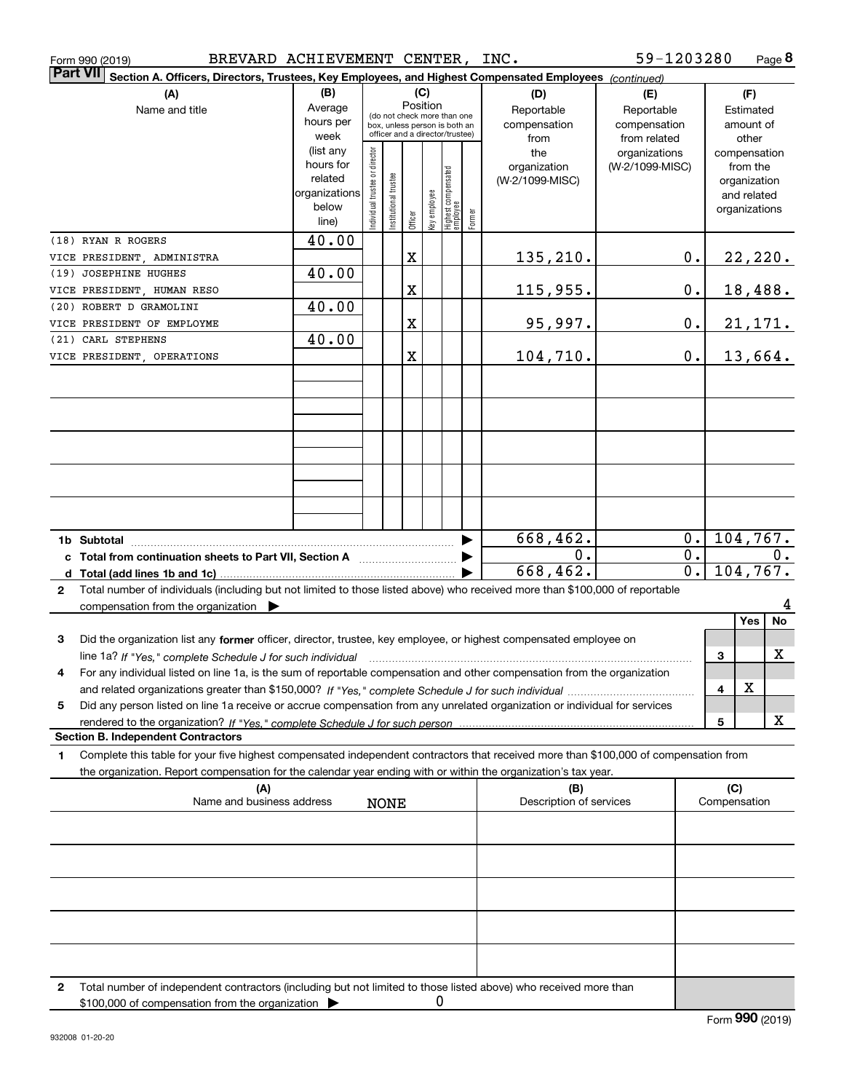| <b>Part VII</b><br>Section A. Officers, Directors, Trustees, Key Employees, and Highest Compensated Employees (continued)<br>(B)<br>(C)<br>(A)<br>(D)<br>(F)<br>(E)<br>Position<br>Average<br>Reportable<br>Name and title<br>Reportable<br>Estimated<br>(do not check more than one<br>hours per<br>compensation<br>compensation<br>amount of<br>box, unless person is both an<br>officer and a director/trustee)<br>week<br>from related<br>from<br>other<br>(list any<br>Individual trustee or director<br>the<br>organizations<br>compensation<br>hours for<br>(W-2/1099-MISC)<br>from the<br>organization<br>  Highest compensated<br>  employee<br>Institutional trustee<br>related<br>(W-2/1099-MISC)<br>organization<br>organizations<br>Key employee<br>and related<br>below<br>organizations<br>Former<br>Officer<br>line)<br>40.00<br>(18) RYAN R ROGERS<br>135,210.<br>X<br>22,220.<br>$0$ .<br>VICE PRESIDENT, ADMINISTRA<br>40.00<br>(19) JOSEPHINE HUGHES<br>18,488.<br>X<br>115,955.<br>0.<br>VICE PRESIDENT, HUMAN RESO<br>40.00<br>(20) ROBERT D GRAMOLINI<br>95,997.<br>X<br><u>21,171.</u><br>0.<br>VICE PRESIDENT OF EMPLOYME<br>40.00<br>(21) CARL STEPHENS<br>104,710.<br>13,664.<br>X<br>0.<br>VICE PRESIDENT, OPERATIONS<br>668,462.<br>104, 767.<br>0.<br>1b Subtotal<br>▶<br>$\overline{0}$ .<br>$\overline{0}$ .<br>0.<br>c Total from continuation sheets to Part VII, Section A [111] [120] [20]<br>104, 767.<br>668, 462.<br>$\overline{0}$ .<br>Total number of individuals (including but not limited to those listed above) who received more than \$100,000 of reportable<br>$\mathbf{2}$<br>compensation from the organization $\blacktriangleright$<br>No<br>Yes<br>Did the organization list any former officer, director, trustee, key employee, or highest compensated employee on<br>3<br>X<br>3<br>line 1a? If "Yes," complete Schedule J for such individual material content in the first of the New York of the<br>For any individual listed on line 1a, is the sum of reportable compensation and other compensation from the organization<br>4<br>X<br>4<br>Did any person listed on line 1a receive or accrue compensation from any unrelated organization or individual for services<br>5<br>x<br>5<br><b>Section B. Independent Contractors</b><br>Complete this table for your five highest compensated independent contractors that received more than \$100,000 of compensation from<br>1<br>the organization. Report compensation for the calendar year ending with or within the organization's tax year.<br>(C)<br>(B)<br>(A)<br>Name and business address<br>Description of services<br>Compensation<br><b>NONE</b><br>Total number of independent contractors (including but not limited to those listed above) who received more than<br>2<br>0 | BREVARD ACHIEVEMENT CENTER, INC.<br>Form 990 (2019) |  |  |  |  |  | 59-1203280 |  | Page 8 |
|------------------------------------------------------------------------------------------------------------------------------------------------------------------------------------------------------------------------------------------------------------------------------------------------------------------------------------------------------------------------------------------------------------------------------------------------------------------------------------------------------------------------------------------------------------------------------------------------------------------------------------------------------------------------------------------------------------------------------------------------------------------------------------------------------------------------------------------------------------------------------------------------------------------------------------------------------------------------------------------------------------------------------------------------------------------------------------------------------------------------------------------------------------------------------------------------------------------------------------------------------------------------------------------------------------------------------------------------------------------------------------------------------------------------------------------------------------------------------------------------------------------------------------------------------------------------------------------------------------------------------------------------------------------------------------------------------------------------------------------------------------------------------------------------------------------------------------------------------------------------------------------------------------------------------------------------------------------------------------------------------------------------------------------------------------------------------------------------------------------------------------------------------------------------------------------------------------------------------------------------------------------------------------------------------------------------------------------------------------------------------------------------------------------------------------------------------------------------------------------------------------------------------------------------------------------------------------------------------------------------------------------------------------------------------------------------------------------------------------------------------------------------------------------------------------|-----------------------------------------------------|--|--|--|--|--|------------|--|--------|
|                                                                                                                                                                                                                                                                                                                                                                                                                                                                                                                                                                                                                                                                                                                                                                                                                                                                                                                                                                                                                                                                                                                                                                                                                                                                                                                                                                                                                                                                                                                                                                                                                                                                                                                                                                                                                                                                                                                                                                                                                                                                                                                                                                                                                                                                                                                                                                                                                                                                                                                                                                                                                                                                                                                                                                                                            |                                                     |  |  |  |  |  |            |  |        |
|                                                                                                                                                                                                                                                                                                                                                                                                                                                                                                                                                                                                                                                                                                                                                                                                                                                                                                                                                                                                                                                                                                                                                                                                                                                                                                                                                                                                                                                                                                                                                                                                                                                                                                                                                                                                                                                                                                                                                                                                                                                                                                                                                                                                                                                                                                                                                                                                                                                                                                                                                                                                                                                                                                                                                                                                            |                                                     |  |  |  |  |  |            |  |        |
|                                                                                                                                                                                                                                                                                                                                                                                                                                                                                                                                                                                                                                                                                                                                                                                                                                                                                                                                                                                                                                                                                                                                                                                                                                                                                                                                                                                                                                                                                                                                                                                                                                                                                                                                                                                                                                                                                                                                                                                                                                                                                                                                                                                                                                                                                                                                                                                                                                                                                                                                                                                                                                                                                                                                                                                                            |                                                     |  |  |  |  |  |            |  |        |
|                                                                                                                                                                                                                                                                                                                                                                                                                                                                                                                                                                                                                                                                                                                                                                                                                                                                                                                                                                                                                                                                                                                                                                                                                                                                                                                                                                                                                                                                                                                                                                                                                                                                                                                                                                                                                                                                                                                                                                                                                                                                                                                                                                                                                                                                                                                                                                                                                                                                                                                                                                                                                                                                                                                                                                                                            |                                                     |  |  |  |  |  |            |  |        |
|                                                                                                                                                                                                                                                                                                                                                                                                                                                                                                                                                                                                                                                                                                                                                                                                                                                                                                                                                                                                                                                                                                                                                                                                                                                                                                                                                                                                                                                                                                                                                                                                                                                                                                                                                                                                                                                                                                                                                                                                                                                                                                                                                                                                                                                                                                                                                                                                                                                                                                                                                                                                                                                                                                                                                                                                            |                                                     |  |  |  |  |  |            |  |        |
|                                                                                                                                                                                                                                                                                                                                                                                                                                                                                                                                                                                                                                                                                                                                                                                                                                                                                                                                                                                                                                                                                                                                                                                                                                                                                                                                                                                                                                                                                                                                                                                                                                                                                                                                                                                                                                                                                                                                                                                                                                                                                                                                                                                                                                                                                                                                                                                                                                                                                                                                                                                                                                                                                                                                                                                                            |                                                     |  |  |  |  |  |            |  |        |
|                                                                                                                                                                                                                                                                                                                                                                                                                                                                                                                                                                                                                                                                                                                                                                                                                                                                                                                                                                                                                                                                                                                                                                                                                                                                                                                                                                                                                                                                                                                                                                                                                                                                                                                                                                                                                                                                                                                                                                                                                                                                                                                                                                                                                                                                                                                                                                                                                                                                                                                                                                                                                                                                                                                                                                                                            |                                                     |  |  |  |  |  |            |  |        |
|                                                                                                                                                                                                                                                                                                                                                                                                                                                                                                                                                                                                                                                                                                                                                                                                                                                                                                                                                                                                                                                                                                                                                                                                                                                                                                                                                                                                                                                                                                                                                                                                                                                                                                                                                                                                                                                                                                                                                                                                                                                                                                                                                                                                                                                                                                                                                                                                                                                                                                                                                                                                                                                                                                                                                                                                            |                                                     |  |  |  |  |  |            |  |        |
|                                                                                                                                                                                                                                                                                                                                                                                                                                                                                                                                                                                                                                                                                                                                                                                                                                                                                                                                                                                                                                                                                                                                                                                                                                                                                                                                                                                                                                                                                                                                                                                                                                                                                                                                                                                                                                                                                                                                                                                                                                                                                                                                                                                                                                                                                                                                                                                                                                                                                                                                                                                                                                                                                                                                                                                                            |                                                     |  |  |  |  |  |            |  |        |
|                                                                                                                                                                                                                                                                                                                                                                                                                                                                                                                                                                                                                                                                                                                                                                                                                                                                                                                                                                                                                                                                                                                                                                                                                                                                                                                                                                                                                                                                                                                                                                                                                                                                                                                                                                                                                                                                                                                                                                                                                                                                                                                                                                                                                                                                                                                                                                                                                                                                                                                                                                                                                                                                                                                                                                                                            |                                                     |  |  |  |  |  |            |  |        |
|                                                                                                                                                                                                                                                                                                                                                                                                                                                                                                                                                                                                                                                                                                                                                                                                                                                                                                                                                                                                                                                                                                                                                                                                                                                                                                                                                                                                                                                                                                                                                                                                                                                                                                                                                                                                                                                                                                                                                                                                                                                                                                                                                                                                                                                                                                                                                                                                                                                                                                                                                                                                                                                                                                                                                                                                            |                                                     |  |  |  |  |  |            |  |        |
|                                                                                                                                                                                                                                                                                                                                                                                                                                                                                                                                                                                                                                                                                                                                                                                                                                                                                                                                                                                                                                                                                                                                                                                                                                                                                                                                                                                                                                                                                                                                                                                                                                                                                                                                                                                                                                                                                                                                                                                                                                                                                                                                                                                                                                                                                                                                                                                                                                                                                                                                                                                                                                                                                                                                                                                                            |                                                     |  |  |  |  |  |            |  |        |
|                                                                                                                                                                                                                                                                                                                                                                                                                                                                                                                                                                                                                                                                                                                                                                                                                                                                                                                                                                                                                                                                                                                                                                                                                                                                                                                                                                                                                                                                                                                                                                                                                                                                                                                                                                                                                                                                                                                                                                                                                                                                                                                                                                                                                                                                                                                                                                                                                                                                                                                                                                                                                                                                                                                                                                                                            |                                                     |  |  |  |  |  |            |  |        |
|                                                                                                                                                                                                                                                                                                                                                                                                                                                                                                                                                                                                                                                                                                                                                                                                                                                                                                                                                                                                                                                                                                                                                                                                                                                                                                                                                                                                                                                                                                                                                                                                                                                                                                                                                                                                                                                                                                                                                                                                                                                                                                                                                                                                                                                                                                                                                                                                                                                                                                                                                                                                                                                                                                                                                                                                            |                                                     |  |  |  |  |  |            |  |        |
|                                                                                                                                                                                                                                                                                                                                                                                                                                                                                                                                                                                                                                                                                                                                                                                                                                                                                                                                                                                                                                                                                                                                                                                                                                                                                                                                                                                                                                                                                                                                                                                                                                                                                                                                                                                                                                                                                                                                                                                                                                                                                                                                                                                                                                                                                                                                                                                                                                                                                                                                                                                                                                                                                                                                                                                                            |                                                     |  |  |  |  |  |            |  |        |
|                                                                                                                                                                                                                                                                                                                                                                                                                                                                                                                                                                                                                                                                                                                                                                                                                                                                                                                                                                                                                                                                                                                                                                                                                                                                                                                                                                                                                                                                                                                                                                                                                                                                                                                                                                                                                                                                                                                                                                                                                                                                                                                                                                                                                                                                                                                                                                                                                                                                                                                                                                                                                                                                                                                                                                                                            |                                                     |  |  |  |  |  |            |  |        |
|                                                                                                                                                                                                                                                                                                                                                                                                                                                                                                                                                                                                                                                                                                                                                                                                                                                                                                                                                                                                                                                                                                                                                                                                                                                                                                                                                                                                                                                                                                                                                                                                                                                                                                                                                                                                                                                                                                                                                                                                                                                                                                                                                                                                                                                                                                                                                                                                                                                                                                                                                                                                                                                                                                                                                                                                            |                                                     |  |  |  |  |  |            |  |        |
|                                                                                                                                                                                                                                                                                                                                                                                                                                                                                                                                                                                                                                                                                                                                                                                                                                                                                                                                                                                                                                                                                                                                                                                                                                                                                                                                                                                                                                                                                                                                                                                                                                                                                                                                                                                                                                                                                                                                                                                                                                                                                                                                                                                                                                                                                                                                                                                                                                                                                                                                                                                                                                                                                                                                                                                                            |                                                     |  |  |  |  |  |            |  |        |
|                                                                                                                                                                                                                                                                                                                                                                                                                                                                                                                                                                                                                                                                                                                                                                                                                                                                                                                                                                                                                                                                                                                                                                                                                                                                                                                                                                                                                                                                                                                                                                                                                                                                                                                                                                                                                                                                                                                                                                                                                                                                                                                                                                                                                                                                                                                                                                                                                                                                                                                                                                                                                                                                                                                                                                                                            |                                                     |  |  |  |  |  |            |  |        |
|                                                                                                                                                                                                                                                                                                                                                                                                                                                                                                                                                                                                                                                                                                                                                                                                                                                                                                                                                                                                                                                                                                                                                                                                                                                                                                                                                                                                                                                                                                                                                                                                                                                                                                                                                                                                                                                                                                                                                                                                                                                                                                                                                                                                                                                                                                                                                                                                                                                                                                                                                                                                                                                                                                                                                                                                            |                                                     |  |  |  |  |  |            |  |        |
|                                                                                                                                                                                                                                                                                                                                                                                                                                                                                                                                                                                                                                                                                                                                                                                                                                                                                                                                                                                                                                                                                                                                                                                                                                                                                                                                                                                                                                                                                                                                                                                                                                                                                                                                                                                                                                                                                                                                                                                                                                                                                                                                                                                                                                                                                                                                                                                                                                                                                                                                                                                                                                                                                                                                                                                                            |                                                     |  |  |  |  |  |            |  |        |
|                                                                                                                                                                                                                                                                                                                                                                                                                                                                                                                                                                                                                                                                                                                                                                                                                                                                                                                                                                                                                                                                                                                                                                                                                                                                                                                                                                                                                                                                                                                                                                                                                                                                                                                                                                                                                                                                                                                                                                                                                                                                                                                                                                                                                                                                                                                                                                                                                                                                                                                                                                                                                                                                                                                                                                                                            |                                                     |  |  |  |  |  |            |  |        |
|                                                                                                                                                                                                                                                                                                                                                                                                                                                                                                                                                                                                                                                                                                                                                                                                                                                                                                                                                                                                                                                                                                                                                                                                                                                                                                                                                                                                                                                                                                                                                                                                                                                                                                                                                                                                                                                                                                                                                                                                                                                                                                                                                                                                                                                                                                                                                                                                                                                                                                                                                                                                                                                                                                                                                                                                            |                                                     |  |  |  |  |  |            |  |        |
|                                                                                                                                                                                                                                                                                                                                                                                                                                                                                                                                                                                                                                                                                                                                                                                                                                                                                                                                                                                                                                                                                                                                                                                                                                                                                                                                                                                                                                                                                                                                                                                                                                                                                                                                                                                                                                                                                                                                                                                                                                                                                                                                                                                                                                                                                                                                                                                                                                                                                                                                                                                                                                                                                                                                                                                                            |                                                     |  |  |  |  |  |            |  |        |
|                                                                                                                                                                                                                                                                                                                                                                                                                                                                                                                                                                                                                                                                                                                                                                                                                                                                                                                                                                                                                                                                                                                                                                                                                                                                                                                                                                                                                                                                                                                                                                                                                                                                                                                                                                                                                                                                                                                                                                                                                                                                                                                                                                                                                                                                                                                                                                                                                                                                                                                                                                                                                                                                                                                                                                                                            |                                                     |  |  |  |  |  |            |  |        |
|                                                                                                                                                                                                                                                                                                                                                                                                                                                                                                                                                                                                                                                                                                                                                                                                                                                                                                                                                                                                                                                                                                                                                                                                                                                                                                                                                                                                                                                                                                                                                                                                                                                                                                                                                                                                                                                                                                                                                                                                                                                                                                                                                                                                                                                                                                                                                                                                                                                                                                                                                                                                                                                                                                                                                                                                            |                                                     |  |  |  |  |  |            |  |        |
|                                                                                                                                                                                                                                                                                                                                                                                                                                                                                                                                                                                                                                                                                                                                                                                                                                                                                                                                                                                                                                                                                                                                                                                                                                                                                                                                                                                                                                                                                                                                                                                                                                                                                                                                                                                                                                                                                                                                                                                                                                                                                                                                                                                                                                                                                                                                                                                                                                                                                                                                                                                                                                                                                                                                                                                                            |                                                     |  |  |  |  |  |            |  |        |
|                                                                                                                                                                                                                                                                                                                                                                                                                                                                                                                                                                                                                                                                                                                                                                                                                                                                                                                                                                                                                                                                                                                                                                                                                                                                                                                                                                                                                                                                                                                                                                                                                                                                                                                                                                                                                                                                                                                                                                                                                                                                                                                                                                                                                                                                                                                                                                                                                                                                                                                                                                                                                                                                                                                                                                                                            |                                                     |  |  |  |  |  |            |  |        |
|                                                                                                                                                                                                                                                                                                                                                                                                                                                                                                                                                                                                                                                                                                                                                                                                                                                                                                                                                                                                                                                                                                                                                                                                                                                                                                                                                                                                                                                                                                                                                                                                                                                                                                                                                                                                                                                                                                                                                                                                                                                                                                                                                                                                                                                                                                                                                                                                                                                                                                                                                                                                                                                                                                                                                                                                            |                                                     |  |  |  |  |  |            |  |        |
|                                                                                                                                                                                                                                                                                                                                                                                                                                                                                                                                                                                                                                                                                                                                                                                                                                                                                                                                                                                                                                                                                                                                                                                                                                                                                                                                                                                                                                                                                                                                                                                                                                                                                                                                                                                                                                                                                                                                                                                                                                                                                                                                                                                                                                                                                                                                                                                                                                                                                                                                                                                                                                                                                                                                                                                                            |                                                     |  |  |  |  |  |            |  |        |
|                                                                                                                                                                                                                                                                                                                                                                                                                                                                                                                                                                                                                                                                                                                                                                                                                                                                                                                                                                                                                                                                                                                                                                                                                                                                                                                                                                                                                                                                                                                                                                                                                                                                                                                                                                                                                                                                                                                                                                                                                                                                                                                                                                                                                                                                                                                                                                                                                                                                                                                                                                                                                                                                                                                                                                                                            |                                                     |  |  |  |  |  |            |  |        |
|                                                                                                                                                                                                                                                                                                                                                                                                                                                                                                                                                                                                                                                                                                                                                                                                                                                                                                                                                                                                                                                                                                                                                                                                                                                                                                                                                                                                                                                                                                                                                                                                                                                                                                                                                                                                                                                                                                                                                                                                                                                                                                                                                                                                                                                                                                                                                                                                                                                                                                                                                                                                                                                                                                                                                                                                            |                                                     |  |  |  |  |  |            |  |        |
|                                                                                                                                                                                                                                                                                                                                                                                                                                                                                                                                                                                                                                                                                                                                                                                                                                                                                                                                                                                                                                                                                                                                                                                                                                                                                                                                                                                                                                                                                                                                                                                                                                                                                                                                                                                                                                                                                                                                                                                                                                                                                                                                                                                                                                                                                                                                                                                                                                                                                                                                                                                                                                                                                                                                                                                                            |                                                     |  |  |  |  |  |            |  |        |
|                                                                                                                                                                                                                                                                                                                                                                                                                                                                                                                                                                                                                                                                                                                                                                                                                                                                                                                                                                                                                                                                                                                                                                                                                                                                                                                                                                                                                                                                                                                                                                                                                                                                                                                                                                                                                                                                                                                                                                                                                                                                                                                                                                                                                                                                                                                                                                                                                                                                                                                                                                                                                                                                                                                                                                                                            |                                                     |  |  |  |  |  |            |  |        |
|                                                                                                                                                                                                                                                                                                                                                                                                                                                                                                                                                                                                                                                                                                                                                                                                                                                                                                                                                                                                                                                                                                                                                                                                                                                                                                                                                                                                                                                                                                                                                                                                                                                                                                                                                                                                                                                                                                                                                                                                                                                                                                                                                                                                                                                                                                                                                                                                                                                                                                                                                                                                                                                                                                                                                                                                            |                                                     |  |  |  |  |  |            |  |        |
|                                                                                                                                                                                                                                                                                                                                                                                                                                                                                                                                                                                                                                                                                                                                                                                                                                                                                                                                                                                                                                                                                                                                                                                                                                                                                                                                                                                                                                                                                                                                                                                                                                                                                                                                                                                                                                                                                                                                                                                                                                                                                                                                                                                                                                                                                                                                                                                                                                                                                                                                                                                                                                                                                                                                                                                                            |                                                     |  |  |  |  |  |            |  |        |
|                                                                                                                                                                                                                                                                                                                                                                                                                                                                                                                                                                                                                                                                                                                                                                                                                                                                                                                                                                                                                                                                                                                                                                                                                                                                                                                                                                                                                                                                                                                                                                                                                                                                                                                                                                                                                                                                                                                                                                                                                                                                                                                                                                                                                                                                                                                                                                                                                                                                                                                                                                                                                                                                                                                                                                                                            |                                                     |  |  |  |  |  |            |  |        |
|                                                                                                                                                                                                                                                                                                                                                                                                                                                                                                                                                                                                                                                                                                                                                                                                                                                                                                                                                                                                                                                                                                                                                                                                                                                                                                                                                                                                                                                                                                                                                                                                                                                                                                                                                                                                                                                                                                                                                                                                                                                                                                                                                                                                                                                                                                                                                                                                                                                                                                                                                                                                                                                                                                                                                                                                            |                                                     |  |  |  |  |  |            |  |        |
|                                                                                                                                                                                                                                                                                                                                                                                                                                                                                                                                                                                                                                                                                                                                                                                                                                                                                                                                                                                                                                                                                                                                                                                                                                                                                                                                                                                                                                                                                                                                                                                                                                                                                                                                                                                                                                                                                                                                                                                                                                                                                                                                                                                                                                                                                                                                                                                                                                                                                                                                                                                                                                                                                                                                                                                                            |                                                     |  |  |  |  |  |            |  |        |
|                                                                                                                                                                                                                                                                                                                                                                                                                                                                                                                                                                                                                                                                                                                                                                                                                                                                                                                                                                                                                                                                                                                                                                                                                                                                                                                                                                                                                                                                                                                                                                                                                                                                                                                                                                                                                                                                                                                                                                                                                                                                                                                                                                                                                                                                                                                                                                                                                                                                                                                                                                                                                                                                                                                                                                                                            |                                                     |  |  |  |  |  |            |  |        |
|                                                                                                                                                                                                                                                                                                                                                                                                                                                                                                                                                                                                                                                                                                                                                                                                                                                                                                                                                                                                                                                                                                                                                                                                                                                                                                                                                                                                                                                                                                                                                                                                                                                                                                                                                                                                                                                                                                                                                                                                                                                                                                                                                                                                                                                                                                                                                                                                                                                                                                                                                                                                                                                                                                                                                                                                            |                                                     |  |  |  |  |  |            |  |        |
|                                                                                                                                                                                                                                                                                                                                                                                                                                                                                                                                                                                                                                                                                                                                                                                                                                                                                                                                                                                                                                                                                                                                                                                                                                                                                                                                                                                                                                                                                                                                                                                                                                                                                                                                                                                                                                                                                                                                                                                                                                                                                                                                                                                                                                                                                                                                                                                                                                                                                                                                                                                                                                                                                                                                                                                                            |                                                     |  |  |  |  |  |            |  |        |
|                                                                                                                                                                                                                                                                                                                                                                                                                                                                                                                                                                                                                                                                                                                                                                                                                                                                                                                                                                                                                                                                                                                                                                                                                                                                                                                                                                                                                                                                                                                                                                                                                                                                                                                                                                                                                                                                                                                                                                                                                                                                                                                                                                                                                                                                                                                                                                                                                                                                                                                                                                                                                                                                                                                                                                                                            |                                                     |  |  |  |  |  |            |  |        |
|                                                                                                                                                                                                                                                                                                                                                                                                                                                                                                                                                                                                                                                                                                                                                                                                                                                                                                                                                                                                                                                                                                                                                                                                                                                                                                                                                                                                                                                                                                                                                                                                                                                                                                                                                                                                                                                                                                                                                                                                                                                                                                                                                                                                                                                                                                                                                                                                                                                                                                                                                                                                                                                                                                                                                                                                            |                                                     |  |  |  |  |  |            |  |        |
|                                                                                                                                                                                                                                                                                                                                                                                                                                                                                                                                                                                                                                                                                                                                                                                                                                                                                                                                                                                                                                                                                                                                                                                                                                                                                                                                                                                                                                                                                                                                                                                                                                                                                                                                                                                                                                                                                                                                                                                                                                                                                                                                                                                                                                                                                                                                                                                                                                                                                                                                                                                                                                                                                                                                                                                                            |                                                     |  |  |  |  |  |            |  |        |
|                                                                                                                                                                                                                                                                                                                                                                                                                                                                                                                                                                                                                                                                                                                                                                                                                                                                                                                                                                                                                                                                                                                                                                                                                                                                                                                                                                                                                                                                                                                                                                                                                                                                                                                                                                                                                                                                                                                                                                                                                                                                                                                                                                                                                                                                                                                                                                                                                                                                                                                                                                                                                                                                                                                                                                                                            |                                                     |  |  |  |  |  |            |  |        |
|                                                                                                                                                                                                                                                                                                                                                                                                                                                                                                                                                                                                                                                                                                                                                                                                                                                                                                                                                                                                                                                                                                                                                                                                                                                                                                                                                                                                                                                                                                                                                                                                                                                                                                                                                                                                                                                                                                                                                                                                                                                                                                                                                                                                                                                                                                                                                                                                                                                                                                                                                                                                                                                                                                                                                                                                            |                                                     |  |  |  |  |  |            |  |        |
|                                                                                                                                                                                                                                                                                                                                                                                                                                                                                                                                                                                                                                                                                                                                                                                                                                                                                                                                                                                                                                                                                                                                                                                                                                                                                                                                                                                                                                                                                                                                                                                                                                                                                                                                                                                                                                                                                                                                                                                                                                                                                                                                                                                                                                                                                                                                                                                                                                                                                                                                                                                                                                                                                                                                                                                                            |                                                     |  |  |  |  |  |            |  |        |
|                                                                                                                                                                                                                                                                                                                                                                                                                                                                                                                                                                                                                                                                                                                                                                                                                                                                                                                                                                                                                                                                                                                                                                                                                                                                                                                                                                                                                                                                                                                                                                                                                                                                                                                                                                                                                                                                                                                                                                                                                                                                                                                                                                                                                                                                                                                                                                                                                                                                                                                                                                                                                                                                                                                                                                                                            |                                                     |  |  |  |  |  |            |  |        |
|                                                                                                                                                                                                                                                                                                                                                                                                                                                                                                                                                                                                                                                                                                                                                                                                                                                                                                                                                                                                                                                                                                                                                                                                                                                                                                                                                                                                                                                                                                                                                                                                                                                                                                                                                                                                                                                                                                                                                                                                                                                                                                                                                                                                                                                                                                                                                                                                                                                                                                                                                                                                                                                                                                                                                                                                            |                                                     |  |  |  |  |  |            |  |        |
|                                                                                                                                                                                                                                                                                                                                                                                                                                                                                                                                                                                                                                                                                                                                                                                                                                                                                                                                                                                                                                                                                                                                                                                                                                                                                                                                                                                                                                                                                                                                                                                                                                                                                                                                                                                                                                                                                                                                                                                                                                                                                                                                                                                                                                                                                                                                                                                                                                                                                                                                                                                                                                                                                                                                                                                                            |                                                     |  |  |  |  |  |            |  |        |
|                                                                                                                                                                                                                                                                                                                                                                                                                                                                                                                                                                                                                                                                                                                                                                                                                                                                                                                                                                                                                                                                                                                                                                                                                                                                                                                                                                                                                                                                                                                                                                                                                                                                                                                                                                                                                                                                                                                                                                                                                                                                                                                                                                                                                                                                                                                                                                                                                                                                                                                                                                                                                                                                                                                                                                                                            |                                                     |  |  |  |  |  |            |  |        |
|                                                                                                                                                                                                                                                                                                                                                                                                                                                                                                                                                                                                                                                                                                                                                                                                                                                                                                                                                                                                                                                                                                                                                                                                                                                                                                                                                                                                                                                                                                                                                                                                                                                                                                                                                                                                                                                                                                                                                                                                                                                                                                                                                                                                                                                                                                                                                                                                                                                                                                                                                                                                                                                                                                                                                                                                            |                                                     |  |  |  |  |  |            |  |        |
|                                                                                                                                                                                                                                                                                                                                                                                                                                                                                                                                                                                                                                                                                                                                                                                                                                                                                                                                                                                                                                                                                                                                                                                                                                                                                                                                                                                                                                                                                                                                                                                                                                                                                                                                                                                                                                                                                                                                                                                                                                                                                                                                                                                                                                                                                                                                                                                                                                                                                                                                                                                                                                                                                                                                                                                                            | \$100,000 of compensation from the organization     |  |  |  |  |  |            |  |        |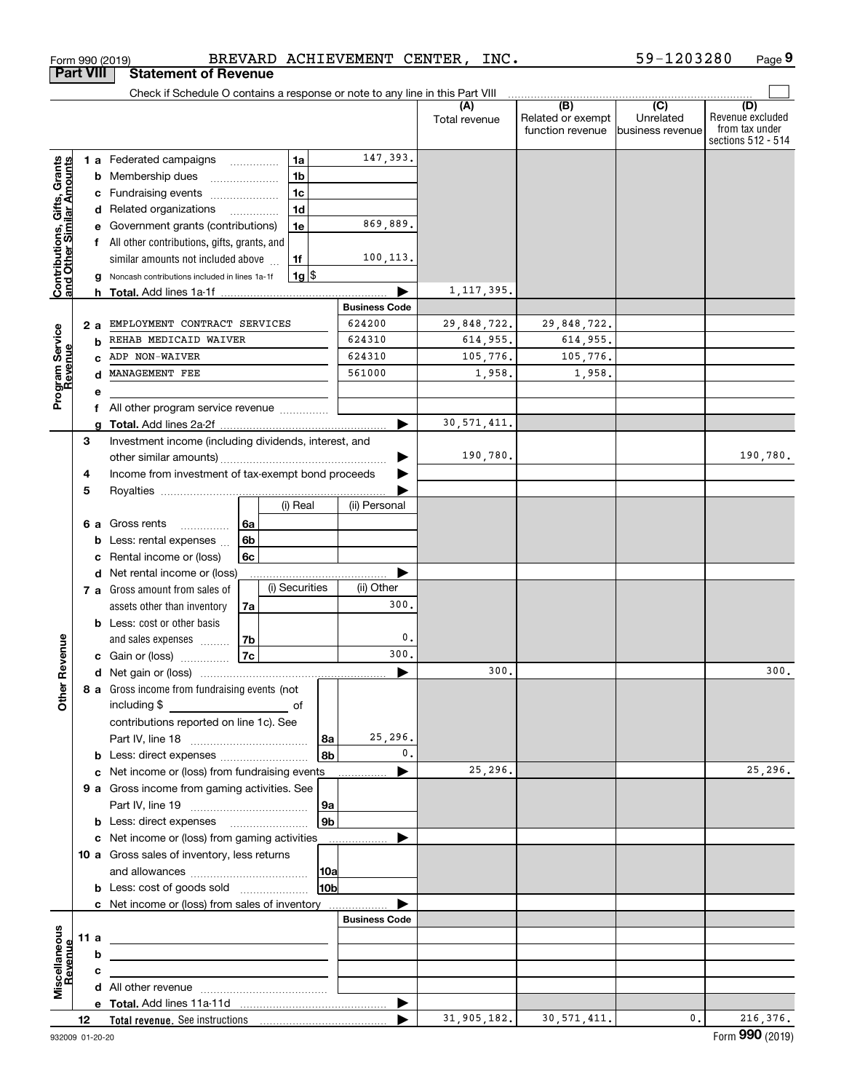|                                                           | <b>Part VIII</b> |    | <b>Statement of Revenue</b>                                                                                           |                      |                |                |                           |                      |                                              |                                                 |                                                                 |
|-----------------------------------------------------------|------------------|----|-----------------------------------------------------------------------------------------------------------------------|----------------------|----------------|----------------|---------------------------|----------------------|----------------------------------------------|-------------------------------------------------|-----------------------------------------------------------------|
|                                                           |                  |    | Check if Schedule O contains a response or note to any line in this Part VIII                                         |                      |                |                |                           |                      |                                              |                                                 |                                                                 |
|                                                           |                  |    |                                                                                                                       |                      |                |                |                           | (A)<br>Total revenue | (B)<br>Related or exempt<br>function revenue | $\overline{C}$<br>Unrelated<br>business revenue | (D)<br>Revenue excluded<br>from tax under<br>sections 512 - 514 |
|                                                           |                  |    | 1 a Federated campaigns                                                                                               |                      | 1a             |                | 147,393.                  |                      |                                              |                                                 |                                                                 |
|                                                           |                  | b  | Membership dues                                                                                                       |                      | 1 <sub>b</sub> |                |                           |                      |                                              |                                                 |                                                                 |
|                                                           |                  | с  | Fundraising events                                                                                                    |                      | 1 <sub>c</sub> |                |                           |                      |                                              |                                                 |                                                                 |
|                                                           |                  | d  | Related organizations                                                                                                 |                      | 1 <sub>d</sub> |                |                           |                      |                                              |                                                 |                                                                 |
|                                                           |                  | е  | Government grants (contributions)                                                                                     |                      | 1e             |                | 869,889.                  |                      |                                              |                                                 |                                                                 |
|                                                           |                  | f  | All other contributions, gifts, grants, and                                                                           |                      |                |                |                           |                      |                                              |                                                 |                                                                 |
|                                                           |                  |    | similar amounts not included above                                                                                    |                      | 1f             |                | 100,113.                  |                      |                                              |                                                 |                                                                 |
| Contributions, Gifts, Grants<br>and Other Similar Amounts |                  |    | Noncash contributions included in lines 1a-1f                                                                         |                      | $1g$ \$        |                |                           |                      |                                              |                                                 |                                                                 |
|                                                           |                  | h. |                                                                                                                       |                      |                |                |                           | 1,117,395.           |                                              |                                                 |                                                                 |
|                                                           |                  |    |                                                                                                                       |                      |                |                | <b>Business Code</b>      |                      |                                              |                                                 |                                                                 |
|                                                           | 2a               |    | EMPLOYMENT CONTRACT SERVICES                                                                                          |                      |                |                | 624200                    | 29,848,722.          | 29,848,722.                                  |                                                 |                                                                 |
|                                                           |                  | b  | REHAB MEDICAID WAIVER                                                                                                 |                      |                |                | 624310                    | 614,955.             | 614,955.                                     |                                                 |                                                                 |
|                                                           |                  |    | ADP NON-WAIVER                                                                                                        |                      |                |                | 624310                    | 105,776.             | 105,776.                                     |                                                 |                                                                 |
| Program Service<br>Revenue                                |                  | d  | MANAGEMENT FEE                                                                                                        |                      |                |                | 561000                    | 1,958.               | 1,958.                                       |                                                 |                                                                 |
|                                                           |                  | е  |                                                                                                                       |                      |                |                |                           |                      |                                              |                                                 |                                                                 |
|                                                           |                  | f  | All other program service revenue                                                                                     |                      |                |                |                           |                      |                                              |                                                 |                                                                 |
|                                                           |                  | a  |                                                                                                                       |                      |                |                | ▶                         | 30, 571, 411.        |                                              |                                                 |                                                                 |
|                                                           | 3                |    | Investment income (including dividends, interest, and                                                                 |                      |                |                |                           |                      |                                              |                                                 |                                                                 |
|                                                           |                  |    |                                                                                                                       |                      |                |                |                           | 190,780.             |                                              |                                                 | 190,780.                                                        |
|                                                           | 4                |    | Income from investment of tax-exempt bond proceeds                                                                    |                      |                |                |                           |                      |                                              |                                                 |                                                                 |
|                                                           | 5                |    |                                                                                                                       |                      | (i) Real       |                | (ii) Personal             |                      |                                              |                                                 |                                                                 |
|                                                           |                  |    |                                                                                                                       |                      |                |                |                           |                      |                                              |                                                 |                                                                 |
|                                                           | 6а               | b  | Gross rents<br>.<br>Less: rental expenses                                                                             | 6a<br>6 <sub>b</sub> |                |                |                           |                      |                                              |                                                 |                                                                 |
|                                                           |                  | c  | Rental income or (loss)                                                                                               | 6c                   |                |                |                           |                      |                                              |                                                 |                                                                 |
|                                                           |                  | d  | Net rental income or (loss)                                                                                           |                      |                |                |                           |                      |                                              |                                                 |                                                                 |
|                                                           |                  |    | 7 a Gross amount from sales of                                                                                        |                      | (i) Securities |                | (ii) Other                |                      |                                              |                                                 |                                                                 |
|                                                           |                  |    | assets other than inventory                                                                                           | 7a                   |                |                | 300                       |                      |                                              |                                                 |                                                                 |
|                                                           |                  |    | <b>b</b> Less: cost or other basis                                                                                    |                      |                |                |                           |                      |                                              |                                                 |                                                                 |
|                                                           |                  |    | and sales expenses                                                                                                    | 7b                   |                |                | 0.                        |                      |                                              |                                                 |                                                                 |
| Revenue                                                   |                  |    | c Gain or (loss) $\ldots$                                                                                             | <b>7c</b>            |                |                | 300.                      |                      |                                              |                                                 |                                                                 |
|                                                           |                  |    |                                                                                                                       |                      |                |                |                           | 300.                 |                                              |                                                 | 300.                                                            |
| <b>Other</b>                                              |                  |    | 8 a Gross income from fundraising events (not                                                                         |                      |                |                |                           |                      |                                              |                                                 |                                                                 |
|                                                           |                  |    | including \$                                                                                                          |                      | of             |                |                           |                      |                                              |                                                 |                                                                 |
|                                                           |                  |    | contributions reported on line 1c). See                                                                               |                      |                |                |                           |                      |                                              |                                                 |                                                                 |
|                                                           |                  |    |                                                                                                                       |                      |                | 8a<br>8b       | 25,296.<br>$\mathbf{0}$ . |                      |                                              |                                                 |                                                                 |
|                                                           |                  |    | <b>b</b> Less: direct expenses                                                                                        |                      |                |                |                           | 25,296.              |                                              |                                                 | 25, 296.                                                        |
|                                                           |                  |    | c Net income or (loss) from fundraising events<br>9 a Gross income from gaming activities. See                        |                      |                |                |                           |                      |                                              |                                                 |                                                                 |
|                                                           |                  |    |                                                                                                                       |                      |                | 9a             |                           |                      |                                              |                                                 |                                                                 |
|                                                           |                  |    | <b>b</b> Less: direct expenses <b>manually</b>                                                                        |                      |                | 9 <sub>b</sub> |                           |                      |                                              |                                                 |                                                                 |
|                                                           |                  |    | c Net income or (loss) from gaming activities _______________                                                         |                      |                |                |                           |                      |                                              |                                                 |                                                                 |
|                                                           |                  |    | 10 a Gross sales of inventory, less returns                                                                           |                      |                |                |                           |                      |                                              |                                                 |                                                                 |
|                                                           |                  |    |                                                                                                                       |                      |                | 10a            |                           |                      |                                              |                                                 |                                                                 |
|                                                           |                  |    | <b>b</b> Less: cost of goods sold                                                                                     |                      |                | 10bl           |                           |                      |                                              |                                                 |                                                                 |
|                                                           |                  |    | c Net income or (loss) from sales of inventory                                                                        |                      |                |                |                           |                      |                                              |                                                 |                                                                 |
|                                                           |                  |    |                                                                                                                       |                      |                |                | <b>Business Code</b>      |                      |                                              |                                                 |                                                                 |
|                                                           | 11 a             |    | <u> 1989 - Johann Barbara, martin amerikan basal dan berasal dalam basal dalam basal dalam basal dalam basal dala</u> |                      |                |                |                           |                      |                                              |                                                 |                                                                 |
|                                                           |                  | b  |                                                                                                                       |                      |                |                |                           |                      |                                              |                                                 |                                                                 |
| Revenue                                                   |                  | c  |                                                                                                                       |                      |                |                |                           |                      |                                              |                                                 |                                                                 |
| Miscellaneous                                             |                  |    |                                                                                                                       |                      |                |                |                           |                      |                                              |                                                 |                                                                 |
|                                                           |                  |    |                                                                                                                       |                      |                |                |                           |                      |                                              |                                                 |                                                                 |
|                                                           | 12               |    |                                                                                                                       |                      |                |                |                           | 31,905,182.          | 30, 571, 411.                                | 0.                                              | 216, 376.                                                       |

Form 990 (2019) BREVARD ACHIEVEMENT CENTER, INC。 59-1203280 Page

**9**

59-1203280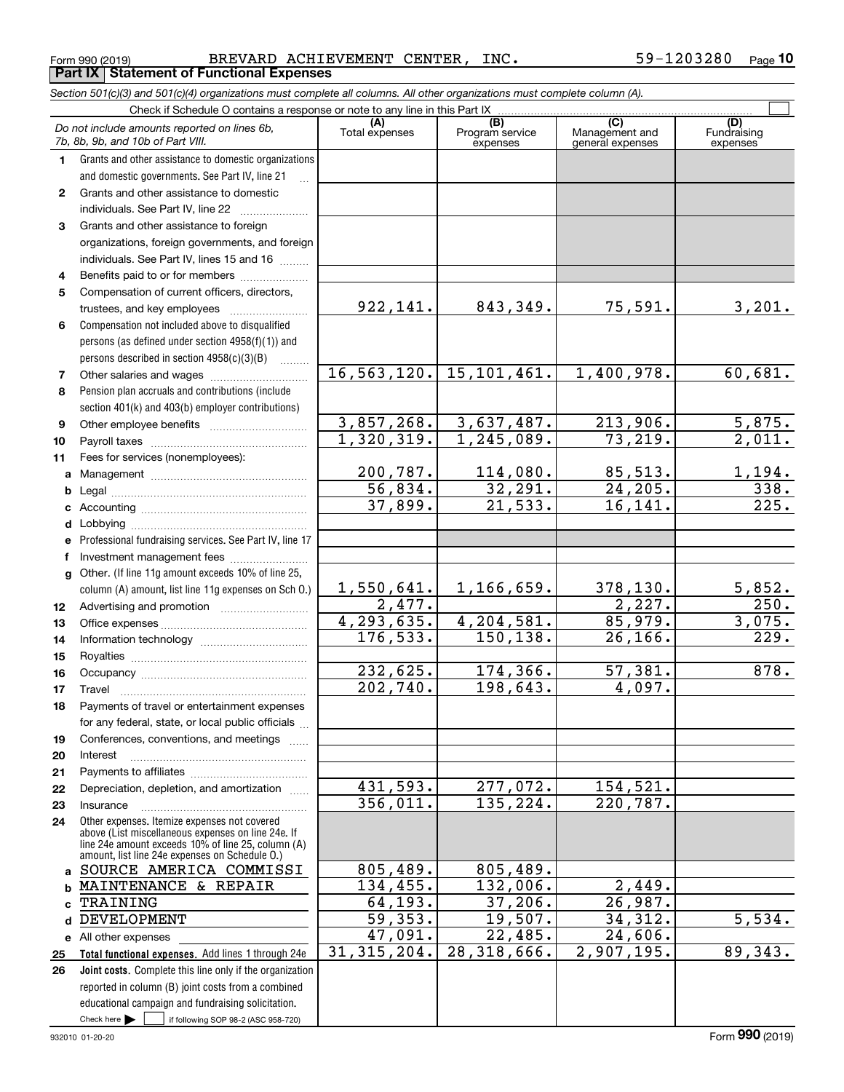| Form 990 (2019)                                                                                                                                              | BREVARD ACHIEVEMENT CENTER, INC. |                                    |                                           | 59-1203280<br>Page             |
|--------------------------------------------------------------------------------------------------------------------------------------------------------------|----------------------------------|------------------------------------|-------------------------------------------|--------------------------------|
| Part IX   Statement of Functional Expenses                                                                                                                   |                                  |                                    |                                           |                                |
| Section 501(c)(3) and 501(c)(4) organizations must complete all columns. All other organizations must complete column (A).                                   |                                  |                                    |                                           |                                |
| Check if Schedule O contains a response or note to any line in this Part IX                                                                                  |                                  |                                    |                                           |                                |
| Do not include amounts reported on lines 6b,<br>7b, 8b, 9b, and 10b of Part VIII.                                                                            | (A)<br>Total expenses            | (B)<br>Program service<br>expenses | (C)<br>Management and<br>general expenses | (D)<br>Fundraising<br>expenses |
| Grants and other assistance to domestic organizations<br>1<br>and domestic governments. See Part IV, line 21                                                 |                                  |                                    |                                           |                                |
| Grants and other assistance to domestic<br>$\mathbf{2}$<br>individuals. See Part IV, line 22                                                                 |                                  |                                    |                                           |                                |
| Grants and other assistance to foreign<br>3                                                                                                                  |                                  |                                    |                                           |                                |
| organizations, foreign governments, and foreign<br>individuals. See Part IV, lines 15 and 16                                                                 |                                  |                                    |                                           |                                |
| Benefits paid to or for members<br>4                                                                                                                         |                                  |                                    |                                           |                                |
| 5<br>Compensation of current officers, directors,<br>trustees, and key employees                                                                             | 922,141.                         | 843,349.                           | 75,591.                                   | 3,201                          |
| Compensation not included above to disqualified<br>6<br>persons (as defined under section $4958(f)(1)$ ) and<br>persons described in section $4958(c)(3)(B)$ |                                  |                                    |                                           |                                |
| Other salaries and wages                                                                                                                                     | 16, 563, 120.                    | 15, 101, 461.                      | 1,400,978.                                | 60,681                         |

#### **8 9** Pension section Other

**1011**

| e Professional fundraising services. See Part IV, line 17 |
|-----------------------------------------------------------|
| f Investment management fees                              |
| g Other. (If line 11g amount exceeds 10% of line 25,      |
| column (A) amount, list line 11g expenses on Sch 0.)      |
|                                                           |
|                                                           |

#### **131415**column (A) amount, list line 11g expenses on Sch O.) Office Inform Royalt

**1617 18192021222324**Other e Occup TravelPayme for any Confer Interes Payme Depre Insura

#### **abc**above (List miscellaneous expenses on line 24e. If line 24e amount exceeds 10% of line 25, column (A) amoun <u>SOU</u> MAI: **TRA**

Check here  $\bullet$  if following SOP 98-2 (ASC 958-720) **Total for Joint c e** All other expenses **25 26** Add lines 1 through 24e Complete this line only if the organization reporte educati Check here

| tion 501(c)(3) and 501(c)(4) organizations must complete all columns. All other organizations must complete column (A).                                                                                    |                       |                                    |                                           |                                |
|------------------------------------------------------------------------------------------------------------------------------------------------------------------------------------------------------------|-----------------------|------------------------------------|-------------------------------------------|--------------------------------|
| Check if Schedule O contains a response or note to any line in this Part IX                                                                                                                                |                       |                                    |                                           |                                |
| not include amounts reported on lines 6b,<br>8b, 9b, and 10b of Part VIII.                                                                                                                                 | (A)<br>Total expenses | (B)<br>Program service<br>expenses | (C)<br>Management and<br>general expenses | (D)<br>Fundraising<br>expenses |
| Grants and other assistance to domestic organizations                                                                                                                                                      |                       |                                    |                                           |                                |
| and domestic governments. See Part IV, line 21                                                                                                                                                             |                       |                                    |                                           |                                |
| Grants and other assistance to domestic                                                                                                                                                                    |                       |                                    |                                           |                                |
| individuals. See Part IV, line 22                                                                                                                                                                          |                       |                                    |                                           |                                |
| Grants and other assistance to foreign                                                                                                                                                                     |                       |                                    |                                           |                                |
| organizations, foreign governments, and foreign                                                                                                                                                            |                       |                                    |                                           |                                |
| individuals. See Part IV, lines 15 and 16                                                                                                                                                                  |                       |                                    |                                           |                                |
| Benefits paid to or for members                                                                                                                                                                            |                       |                                    |                                           |                                |
| Compensation of current officers, directors,                                                                                                                                                               |                       |                                    |                                           |                                |
| trustees, and key employees                                                                                                                                                                                | 922,141.              | 843,349.                           | 75,591.                                   | 3, 201.                        |
| Compensation not included above to disqualified                                                                                                                                                            |                       |                                    |                                           |                                |
| persons (as defined under section 4958(f)(1)) and                                                                                                                                                          |                       |                                    |                                           |                                |
| persons described in section $4958(c)(3)(B)$<br>$\overline{\phantom{a}}$                                                                                                                                   |                       |                                    |                                           |                                |
| Other salaries and wages                                                                                                                                                                                   | 16, 563, 120.         | 15, 101, 461.                      | 1,400,978.                                | 60,681.                        |
| Pension plan accruals and contributions (include                                                                                                                                                           |                       |                                    |                                           |                                |
| section 401(k) and 403(b) employer contributions)                                                                                                                                                          |                       |                                    |                                           |                                |
|                                                                                                                                                                                                            | 3,857,268.            | 3,637,487.                         | 213,906.                                  | 5,875.                         |
|                                                                                                                                                                                                            | 1,320,319.            | 1, 245, 089.                       | 73, 219.                                  | 2,011.                         |
| Fees for services (nonemployees):                                                                                                                                                                          |                       |                                    |                                           |                                |
|                                                                                                                                                                                                            | 200,787.              | 114,080.                           | 85,513.                                   | 1,194.                         |
|                                                                                                                                                                                                            | 56,834.               | 32, 291.                           | 24, 205.                                  | 338.                           |
|                                                                                                                                                                                                            | 37,899.               | $\overline{21,533}$ .              | 16, 141.                                  | $\overline{225}$ .             |
|                                                                                                                                                                                                            |                       |                                    |                                           |                                |
| e Professional fundraising services. See Part IV, line 17                                                                                                                                                  |                       |                                    |                                           |                                |
| f Investment management fees                                                                                                                                                                               |                       |                                    |                                           |                                |
| g Other. (If line 11g amount exceeds 10% of line 25,                                                                                                                                                       |                       |                                    |                                           |                                |
| column (A) amount, list line 11g expenses on Sch 0.)                                                                                                                                                       | 1,550,641.            | 1,166,659.                         | 378, 130.                                 | 5,852.                         |
|                                                                                                                                                                                                            | 2,477.                |                                    | $\overline{2,227}$ .                      | 250.                           |
|                                                                                                                                                                                                            | 4, 293, 635.          | 4,204,581.                         | 85,979.                                   | 3,075.                         |
|                                                                                                                                                                                                            | 176, 533.             | 150, 138.                          | 26, 166.                                  | 229.                           |
|                                                                                                                                                                                                            |                       |                                    |                                           |                                |
|                                                                                                                                                                                                            | 232,625.              | 174, 366.                          | 57,381.                                   | 878.                           |
|                                                                                                                                                                                                            | 202,740.              | 198,643.                           | 4,097.                                    |                                |
| Travel                                                                                                                                                                                                     |                       |                                    |                                           |                                |
| Payments of travel or entertainment expenses                                                                                                                                                               |                       |                                    |                                           |                                |
| for any federal, state, or local public officials                                                                                                                                                          |                       |                                    |                                           |                                |
| Conferences, conventions, and meetings                                                                                                                                                                     |                       |                                    |                                           |                                |
| Interest                                                                                                                                                                                                   |                       |                                    |                                           |                                |
|                                                                                                                                                                                                            | 431,593.              | 277,072.                           | 154,521.                                  |                                |
| Depreciation, depletion, and amortization                                                                                                                                                                  | 356,011.              | 135, 224.                          | 220, 787.                                 |                                |
| Insurance                                                                                                                                                                                                  |                       |                                    |                                           |                                |
| Other expenses. Itemize expenses not covered<br>above (List miscellaneous expenses on line 24e. If<br>line 24e amount exceeds 10% of line 25, column (A)<br>amount, list line 24e expenses on Schedule O.) |                       |                                    |                                           |                                |
| a SOURCE AMERICA COMMISSI                                                                                                                                                                                  | 805,489.              | 805,489.                           |                                           |                                |
| b MAINTENANCE & REPAIR                                                                                                                                                                                     | 134,455.              | 132,006.                           | 2,449.                                    |                                |
| <sub>c</sub> TRAINING                                                                                                                                                                                      | 64,193.               | 37,206.                            | 26,987.                                   |                                |
| d DEVELOPMENT                                                                                                                                                                                              | 59,353.               | 19,507.                            | 34,312.                                   | $\overline{5,534.}$            |
| e All other expenses                                                                                                                                                                                       | 47,091.               | 22,485.                            | 24,606.                                   |                                |
| Total functional expenses. Add lines 1 through 24e                                                                                                                                                         | 31, 315, 204.         | $\overline{28,318,666}$ .          | 2,907,195.                                | 89,343.                        |
| Joint costs. Complete this line only if the organization                                                                                                                                                   |                       |                                    |                                           |                                |
| reported in column (B) joint costs from a combined                                                                                                                                                         |                       |                                    |                                           |                                |
| educational campaign and fundraising solicitation.                                                                                                                                                         |                       |                                    |                                           |                                |

Form (2019) **990**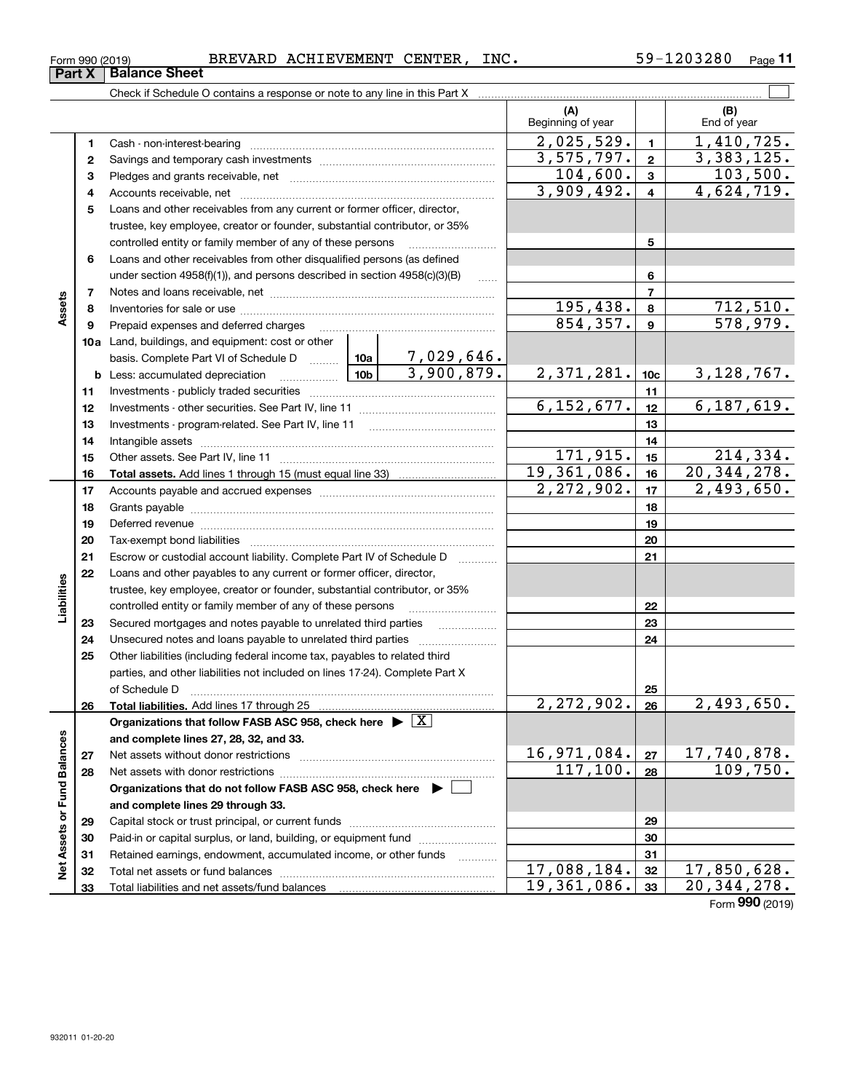| 203280ء<br>INC.<br><b>BREVARD</b><br><b>ACHIEVEMENT</b><br><b>CENTER</b><br>$\overline{a}$<br>Form 990 (2019) | Page |
|---------------------------------------------------------------------------------------------------------------|------|
|---------------------------------------------------------------------------------------------------------------|------|

|                             |    |                                                                                                                                                                                                                               | (A)<br>Beginning of year      |                 | (B)<br>End of year                             |
|-----------------------------|----|-------------------------------------------------------------------------------------------------------------------------------------------------------------------------------------------------------------------------------|-------------------------------|-----------------|------------------------------------------------|
|                             | 1  |                                                                                                                                                                                                                               | 2,025,529.                    | $\blacksquare$  | 1,410,725.                                     |
|                             | 2  |                                                                                                                                                                                                                               | 3,575,797.                    | $\mathbf{2}$    | 3,383,125.                                     |
|                             | з  |                                                                                                                                                                                                                               | 104,600.                      | $\mathbf{3}$    | 103,500.                                       |
|                             | 4  |                                                                                                                                                                                                                               | 3,909,492.                    | $\overline{4}$  | 4,624,719.                                     |
|                             | 5  | Loans and other receivables from any current or former officer, director,                                                                                                                                                     |                               |                 |                                                |
|                             |    | trustee, key employee, creator or founder, substantial contributor, or 35%                                                                                                                                                    |                               |                 |                                                |
|                             |    | controlled entity or family member of any of these persons                                                                                                                                                                    |                               | 5               |                                                |
|                             | 6  | Loans and other receivables from other disqualified persons (as defined                                                                                                                                                       |                               |                 |                                                |
|                             |    | under section $4958(f)(1)$ , and persons described in section $4958(c)(3)(B)$                                                                                                                                                 |                               | 6               |                                                |
|                             | 7  |                                                                                                                                                                                                                               |                               | $\overline{7}$  |                                                |
| Assets                      | 8  |                                                                                                                                                                                                                               | <u>195,438.</u>               | 8               | 712,510.                                       |
|                             | 9  | Prepaid expenses and deferred charges                                                                                                                                                                                         | 854, 357.                     | $\mathbf{9}$    | 578,979.                                       |
|                             |    | <b>10a</b> Land, buildings, and equipment: cost or other                                                                                                                                                                      |                               |                 |                                                |
|                             |    | 7,029,646.<br>basis. Complete Part VI of Schedule D  10a                                                                                                                                                                      |                               |                 |                                                |
|                             |    | 3,900,879.<br>10 <sub>b</sub><br><b>b</b> Less: accumulated depreciation<br>. 1                                                                                                                                               | 2,371,281.                    | 10 <sub>c</sub> | 3, 128, 767.                                   |
|                             | 11 |                                                                                                                                                                                                                               |                               | 11              |                                                |
|                             | 12 |                                                                                                                                                                                                                               | 6, 152, 677.                  | 12              | 6, 187, 619.                                   |
|                             | 13 |                                                                                                                                                                                                                               |                               | 13              |                                                |
|                             | 14 |                                                                                                                                                                                                                               |                               | 14              |                                                |
|                             | 15 |                                                                                                                                                                                                                               | 171,915.                      | 15              | 214,334.                                       |
|                             | 16 |                                                                                                                                                                                                                               | 19, 361, 086.<br>2, 272, 902. | 16              | 20, 344, 278.                                  |
|                             | 17 |                                                                                                                                                                                                                               |                               | 17              | 2,493,650.                                     |
|                             | 18 |                                                                                                                                                                                                                               |                               | 18              |                                                |
|                             | 19 | Deferred revenue material contracts and contracts are contracted and contract and contract are contracted and contract are contracted and contract are contracted and contract are contracted and contract are contracted and |                               | 19              |                                                |
|                             | 20 |                                                                                                                                                                                                                               |                               | 20              |                                                |
|                             | 21 | Escrow or custodial account liability. Complete Part IV of Schedule D                                                                                                                                                         |                               | 21              |                                                |
|                             | 22 | Loans and other payables to any current or former officer, director,<br>trustee, key employee, creator or founder, substantial contributor, or 35%                                                                            |                               |                 |                                                |
| Liabilities                 |    | controlled entity or family member of any of these persons                                                                                                                                                                    |                               | 22              |                                                |
|                             | 23 | Secured mortgages and notes payable to unrelated third parties                                                                                                                                                                |                               | 23              |                                                |
|                             | 24 | Unsecured notes and loans payable to unrelated third parties                                                                                                                                                                  |                               | 24              |                                                |
|                             | 25 | Other liabilities (including federal income tax, payables to related third                                                                                                                                                    |                               |                 |                                                |
|                             |    | parties, and other liabilities not included on lines 17-24). Complete Part X                                                                                                                                                  |                               |                 |                                                |
|                             |    | of Schedule D <b>contract the contract of Schedule D</b>                                                                                                                                                                      |                               | 25              |                                                |
|                             | 26 |                                                                                                                                                                                                                               | 2,272,902.                    | 26              | 2,493,650.                                     |
|                             |    | Organizations that follow FASB ASC 958, check here $\blacktriangleright \boxed{X}$                                                                                                                                            |                               |                 |                                                |
|                             |    | and complete lines 27, 28, 32, and 33.                                                                                                                                                                                        |                               |                 |                                                |
|                             | 27 | Net assets without donor restrictions                                                                                                                                                                                         | 16,971,084.                   | 27              | $\frac{17,740,878.}{109,750.}$                 |
|                             | 28 |                                                                                                                                                                                                                               | 117, 100.                     | 28              |                                                |
|                             |    | Organizations that do not follow FASB ASC 958, check here $\blacktriangleright$                                                                                                                                               |                               |                 |                                                |
|                             |    | and complete lines 29 through 33.                                                                                                                                                                                             |                               |                 |                                                |
|                             | 29 |                                                                                                                                                                                                                               |                               | 29              |                                                |
|                             | 30 | Paid-in or capital surplus, or land, building, or equipment fund                                                                                                                                                              |                               | 30              |                                                |
| Net Assets or Fund Balances | 31 | Retained earnings, endowment, accumulated income, or other funds                                                                                                                                                              |                               | 31              |                                                |
|                             | 32 | Total net assets or fund balances                                                                                                                                                                                             | 17,088,184.                   | 32              | 17,850,628.                                    |
|                             | 33 |                                                                                                                                                                                                                               | 19,361,086.                   | 33              | $\overline{20, 344, 278}$ .<br>Form 990 (2019) |
|                             |    |                                                                                                                                                                                                                               |                               |                 |                                                |

**Part X Balance Sheet**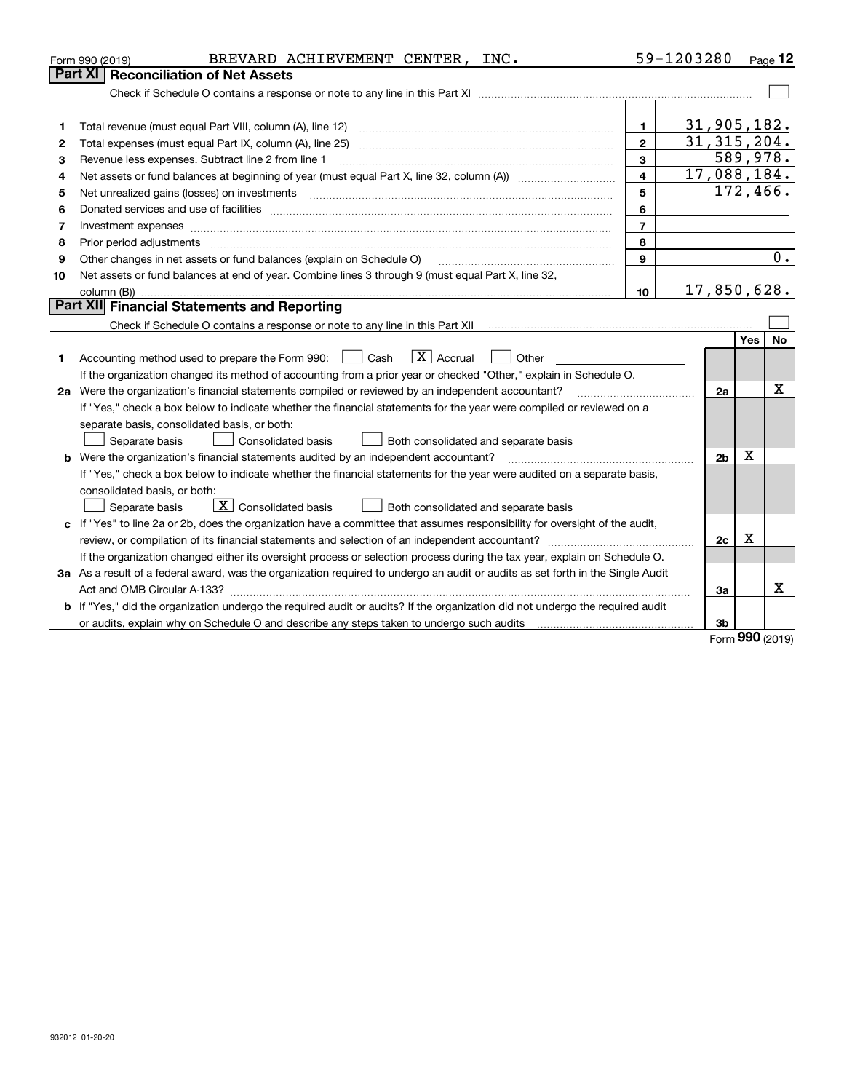|    | BREVARD ACHIEVEMENT CENTER, INC.<br>Form 990 (2019)                                                                             |                         | 59-1203280     |            | Page $12$ |
|----|---------------------------------------------------------------------------------------------------------------------------------|-------------------------|----------------|------------|-----------|
|    | <b>Reconciliation of Net Assets</b><br>Part XI                                                                                  |                         |                |            |           |
|    |                                                                                                                                 |                         |                |            |           |
|    |                                                                                                                                 |                         |                |            |           |
| 1  | Total revenue (must equal Part VIII, column (A), line 12)                                                                       | 1.                      | 31,905,182.    |            |           |
| 2  | Total expenses (must equal Part IX, column (A), line 25)                                                                        | $\mathbf{2}$            | 31, 315, 204.  |            |           |
| 3  | Revenue less expenses. Subtract line 2 from line 1                                                                              | 3                       |                | 589,978.   |           |
| 4  |                                                                                                                                 | $\overline{\mathbf{4}}$ | 17,088,184.    |            |           |
| 5  |                                                                                                                                 | 5                       |                | 172,466.   |           |
| 6  |                                                                                                                                 | 6                       |                |            |           |
| 7  |                                                                                                                                 | $\overline{7}$          |                |            |           |
| 8  | Prior period adjustments                                                                                                        | 8                       |                |            |           |
| 9  | Other changes in net assets or fund balances (explain on Schedule O)                                                            | 9                       |                |            | 0.        |
| 10 | Net assets or fund balances at end of year. Combine lines 3 through 9 (must equal Part X, line 32,                              |                         |                |            |           |
|    | column (B)).                                                                                                                    | 10                      | 17,850,628.    |            |           |
|    | Part XII Financial Statements and Reporting                                                                                     |                         |                |            |           |
|    |                                                                                                                                 |                         |                |            |           |
|    |                                                                                                                                 |                         |                | <b>Yes</b> | <b>No</b> |
| 1  | $\boxed{\mathbf{X}}$ Accrual<br>Accounting method used to prepare the Form 990: <u>I</u> Cash<br>Other                          |                         |                |            |           |
|    | If the organization changed its method of accounting from a prior year or checked "Other," explain in Schedule O.               |                         |                |            |           |
|    | 2a Were the organization's financial statements compiled or reviewed by an independent accountant?                              |                         | 2a             |            | Χ         |
|    | If "Yes," check a box below to indicate whether the financial statements for the year were compiled or reviewed on a            |                         |                |            |           |
|    | separate basis, consolidated basis, or both:                                                                                    |                         |                |            |           |
|    | Separate basis<br><b>Consolidated basis</b><br>Both consolidated and separate basis                                             |                         |                |            |           |
|    | <b>b</b> Were the organization's financial statements audited by an independent accountant?                                     |                         | 2 <sub>b</sub> | X          |           |
|    | If "Yes," check a box below to indicate whether the financial statements for the year were audited on a separate basis,         |                         |                |            |           |
|    | consolidated basis, or both:                                                                                                    |                         |                |            |           |
|    | $\mathbf{X}$ Consolidated basis<br>Separate basis<br>Both consolidated and separate basis                                       |                         |                |            |           |
|    | c If "Yes" to line 2a or 2b, does the organization have a committee that assumes responsibility for oversight of the audit,     |                         |                |            |           |
|    |                                                                                                                                 |                         | 2c             | х          |           |
|    | If the organization changed either its oversight process or selection process during the tax year, explain on Schedule O.       |                         |                |            |           |
|    | 3a As a result of a federal award, was the organization required to undergo an audit or audits as set forth in the Single Audit |                         |                |            |           |
|    |                                                                                                                                 |                         | За             |            | х         |
|    | b If "Yes," did the organization undergo the required audit or audits? If the organization did not undergo the required audit   |                         |                |            |           |
|    | or audits, explain why on Schedule O and describe any steps taken to undergo such audits                                        |                         | 3b             | ההה        |           |

Form (2019) **990**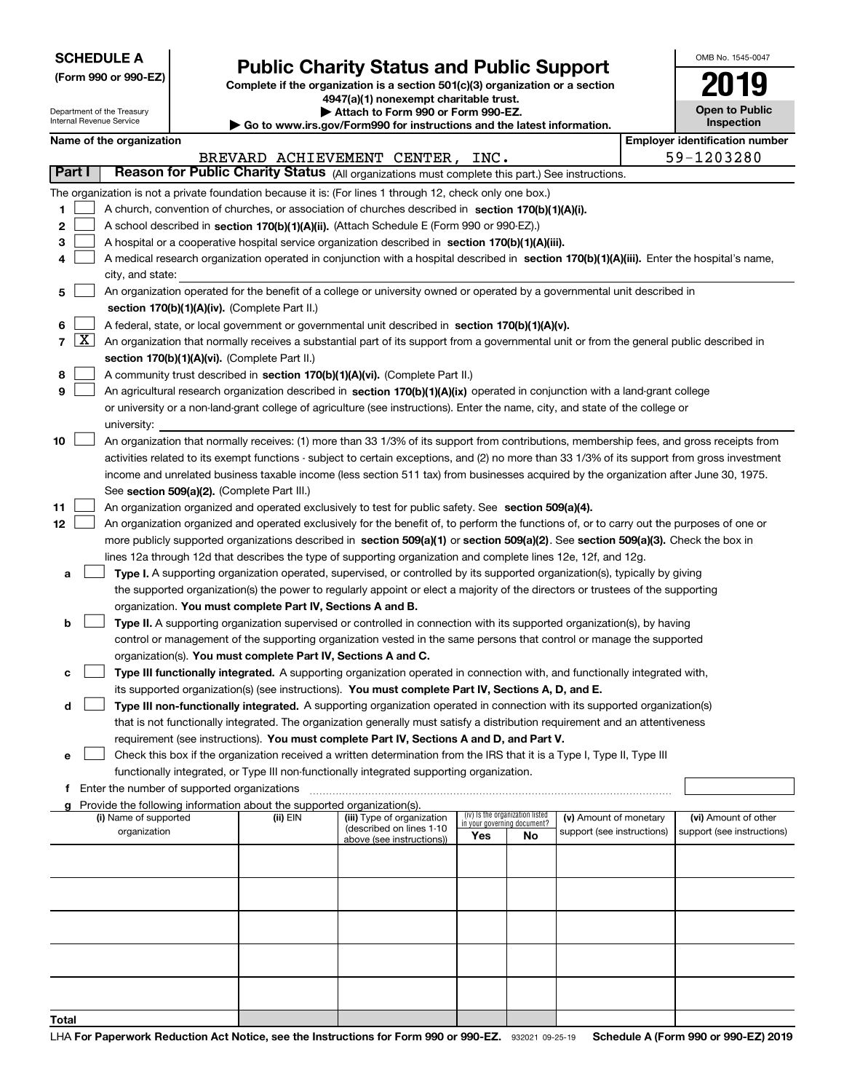| <b>SCHEDULE A</b> |  |
|-------------------|--|
|-------------------|--|

Department of the Treasury Internal Revenue Service

**(Form 990 or 990-EZ)**

# **Public Charity Status and Public Support**

**Complete if the organization is a section 501(c)(3) organization or a section 4947(a)(1) nonexempt charitable trust. | Attach to Form 990 or Form 990-EZ.** 

| $\triangleright$ Allach to Form occurs the children EL.                  |
|--------------------------------------------------------------------------|
| ▶ Go to www.irs.gov/Form990 for instructions and the latest information. |

| OMB No 1545-0047             |
|------------------------------|
| 2019                         |
| Open to Public<br>Inspection |

| Name of the organization |  |
|--------------------------|--|
|                          |  |

|        | Name of the organization<br><b>Employer identification number</b> |                                                                                                                                                                                                                                                                 |          |                                                       |                             |                                 |                            |                            |
|--------|-------------------------------------------------------------------|-----------------------------------------------------------------------------------------------------------------------------------------------------------------------------------------------------------------------------------------------------------------|----------|-------------------------------------------------------|-----------------------------|---------------------------------|----------------------------|----------------------------|
|        |                                                                   |                                                                                                                                                                                                                                                                 |          | BREVARD ACHIEVEMENT CENTER, INC.                      |                             |                                 |                            | 59-1203280                 |
| Part I |                                                                   | Reason for Public Charity Status (All organizations must complete this part.) See instructions.                                                                                                                                                                 |          |                                                       |                             |                                 |                            |                            |
|        |                                                                   | The organization is not a private foundation because it is: (For lines 1 through 12, check only one box.)                                                                                                                                                       |          |                                                       |                             |                                 |                            |                            |
| 1      |                                                                   | A church, convention of churches, or association of churches described in section 170(b)(1)(A)(i).                                                                                                                                                              |          |                                                       |                             |                                 |                            |                            |
| 2      |                                                                   | A school described in section 170(b)(1)(A)(ii). (Attach Schedule E (Form 990 or 990-EZ).)                                                                                                                                                                       |          |                                                       |                             |                                 |                            |                            |
| з      |                                                                   | A hospital or a cooperative hospital service organization described in section 170(b)(1)(A)(iii).                                                                                                                                                               |          |                                                       |                             |                                 |                            |                            |
| 4      |                                                                   | A medical research organization operated in conjunction with a hospital described in section 170(b)(1)(A)(iii). Enter the hospital's name,                                                                                                                      |          |                                                       |                             |                                 |                            |                            |
|        |                                                                   | city, and state:                                                                                                                                                                                                                                                |          |                                                       |                             |                                 |                            |                            |
| 5      |                                                                   | An organization operated for the benefit of a college or university owned or operated by a governmental unit described in                                                                                                                                       |          |                                                       |                             |                                 |                            |                            |
|        |                                                                   | section 170(b)(1)(A)(iv). (Complete Part II.)                                                                                                                                                                                                                   |          |                                                       |                             |                                 |                            |                            |
| 6      |                                                                   | A federal, state, or local government or governmental unit described in section 170(b)(1)(A)(v).                                                                                                                                                                |          |                                                       |                             |                                 |                            |                            |
|        | $7\left[\frac{\text{X}}{\text{A}}\right]$                         | An organization that normally receives a substantial part of its support from a governmental unit or from the general public described in                                                                                                                       |          |                                                       |                             |                                 |                            |                            |
|        |                                                                   | section 170(b)(1)(A)(vi). (Complete Part II.)                                                                                                                                                                                                                   |          |                                                       |                             |                                 |                            |                            |
| 8<br>9 |                                                                   | A community trust described in section 170(b)(1)(A)(vi). (Complete Part II.)                                                                                                                                                                                    |          |                                                       |                             |                                 |                            |                            |
|        |                                                                   | An agricultural research organization described in section 170(b)(1)(A)(ix) operated in conjunction with a land-grant college<br>or university or a non-land-grant college of agriculture (see instructions). Enter the name, city, and state of the college or |          |                                                       |                             |                                 |                            |                            |
|        |                                                                   | university:                                                                                                                                                                                                                                                     |          |                                                       |                             |                                 |                            |                            |
| 10     |                                                                   | An organization that normally receives: (1) more than 33 1/3% of its support from contributions, membership fees, and gross receipts from                                                                                                                       |          |                                                       |                             |                                 |                            |                            |
|        |                                                                   | activities related to its exempt functions - subject to certain exceptions, and (2) no more than 33 1/3% of its support from gross investment                                                                                                                   |          |                                                       |                             |                                 |                            |                            |
|        |                                                                   | income and unrelated business taxable income (less section 511 tax) from businesses acquired by the organization after June 30, 1975.                                                                                                                           |          |                                                       |                             |                                 |                            |                            |
|        |                                                                   | See section 509(a)(2). (Complete Part III.)                                                                                                                                                                                                                     |          |                                                       |                             |                                 |                            |                            |
| 11     |                                                                   | An organization organized and operated exclusively to test for public safety. See section 509(a)(4).                                                                                                                                                            |          |                                                       |                             |                                 |                            |                            |
| 12     |                                                                   | An organization organized and operated exclusively for the benefit of, to perform the functions of, or to carry out the purposes of one or                                                                                                                      |          |                                                       |                             |                                 |                            |                            |
|        |                                                                   | more publicly supported organizations described in section 509(a)(1) or section 509(a)(2). See section 509(a)(3). Check the box in                                                                                                                              |          |                                                       |                             |                                 |                            |                            |
|        |                                                                   | lines 12a through 12d that describes the type of supporting organization and complete lines 12e, 12f, and 12g.                                                                                                                                                  |          |                                                       |                             |                                 |                            |                            |
| а      |                                                                   | Type I. A supporting organization operated, supervised, or controlled by its supported organization(s), typically by giving                                                                                                                                     |          |                                                       |                             |                                 |                            |                            |
|        |                                                                   | the supported organization(s) the power to regularly appoint or elect a majority of the directors or trustees of the supporting                                                                                                                                 |          |                                                       |                             |                                 |                            |                            |
|        |                                                                   | organization. You must complete Part IV, Sections A and B.                                                                                                                                                                                                      |          |                                                       |                             |                                 |                            |                            |
| b      |                                                                   | Type II. A supporting organization supervised or controlled in connection with its supported organization(s), by having                                                                                                                                         |          |                                                       |                             |                                 |                            |                            |
|        |                                                                   | control or management of the supporting organization vested in the same persons that control or manage the supported                                                                                                                                            |          |                                                       |                             |                                 |                            |                            |
|        |                                                                   | organization(s). You must complete Part IV, Sections A and C.                                                                                                                                                                                                   |          |                                                       |                             |                                 |                            |                            |
| с      |                                                                   | Type III functionally integrated. A supporting organization operated in connection with, and functionally integrated with,                                                                                                                                      |          |                                                       |                             |                                 |                            |                            |
|        |                                                                   | its supported organization(s) (see instructions). You must complete Part IV, Sections A, D, and E.                                                                                                                                                              |          |                                                       |                             |                                 |                            |                            |
| d      |                                                                   | Type III non-functionally integrated. A supporting organization operated in connection with its supported organization(s)                                                                                                                                       |          |                                                       |                             |                                 |                            |                            |
|        |                                                                   | that is not functionally integrated. The organization generally must satisfy a distribution requirement and an attentiveness                                                                                                                                    |          |                                                       |                             |                                 |                            |                            |
|        |                                                                   | requirement (see instructions). You must complete Part IV, Sections A and D, and Part V.                                                                                                                                                                        |          |                                                       |                             |                                 |                            |                            |
| е      |                                                                   | Check this box if the organization received a written determination from the IRS that it is a Type I, Type II, Type III                                                                                                                                         |          |                                                       |                             |                                 |                            |                            |
|        |                                                                   | functionally integrated, or Type III non-functionally integrated supporting organization.                                                                                                                                                                       |          |                                                       |                             |                                 |                            |                            |
| f      |                                                                   | Enter the number of supported organizations<br>g Provide the following information about the supported organization(s).                                                                                                                                         |          |                                                       |                             |                                 |                            |                            |
|        |                                                                   | (i) Name of supported                                                                                                                                                                                                                                           | (ii) EIN | (iii) Type of organization                            | in your governing document? | (iv) Is the organization listed | (v) Amount of monetary     | (vi) Amount of other       |
|        |                                                                   | organization                                                                                                                                                                                                                                                    |          | (described on lines 1-10<br>above (see instructions)) | Yes                         | No.                             | support (see instructions) | support (see instructions) |
|        |                                                                   |                                                                                                                                                                                                                                                                 |          |                                                       |                             |                                 |                            |                            |
|        |                                                                   |                                                                                                                                                                                                                                                                 |          |                                                       |                             |                                 |                            |                            |
|        |                                                                   |                                                                                                                                                                                                                                                                 |          |                                                       |                             |                                 |                            |                            |
|        |                                                                   |                                                                                                                                                                                                                                                                 |          |                                                       |                             |                                 |                            |                            |
|        |                                                                   |                                                                                                                                                                                                                                                                 |          |                                                       |                             |                                 |                            |                            |
|        |                                                                   |                                                                                                                                                                                                                                                                 |          |                                                       |                             |                                 |                            |                            |
|        |                                                                   |                                                                                                                                                                                                                                                                 |          |                                                       |                             |                                 |                            |                            |
|        |                                                                   |                                                                                                                                                                                                                                                                 |          |                                                       |                             |                                 |                            |                            |
|        |                                                                   |                                                                                                                                                                                                                                                                 |          |                                                       |                             |                                 |                            |                            |
|        |                                                                   |                                                                                                                                                                                                                                                                 |          |                                                       |                             |                                 |                            |                            |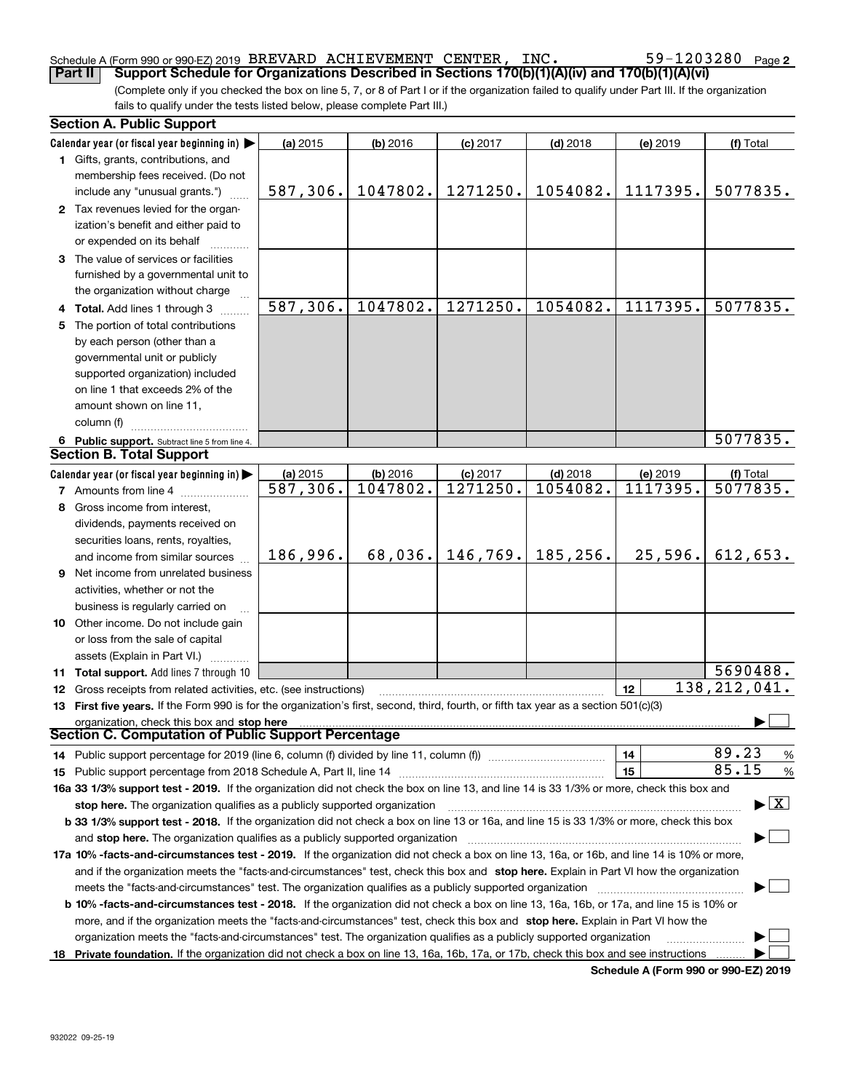### Schedule A (Form 990 or 990-EZ) 2019 Page BREVARD ACHIEVEMENT CENTER, INC. 59-1203280

(Complete only if you checked the box on line 5, 7, or 8 of Part I or if the organization failed to qualify under Part III. If the organization fails to qualify under the tests listed below, please complete Part III.) **Part II Support Schedule for Organizations Described in Sections 170(b)(1)(A)(iv) and 170(b)(1)(A)(vi)** 

|    | <b>Section A. Public Support</b>                                                                                                               |          |            |            |            |          |                                          |
|----|------------------------------------------------------------------------------------------------------------------------------------------------|----------|------------|------------|------------|----------|------------------------------------------|
|    | Calendar year (or fiscal year beginning in) $\blacktriangleright$                                                                              | (a) 2015 | $(b)$ 2016 | $(c)$ 2017 | $(d)$ 2018 | (e) 2019 | (f) Total                                |
|    | <b>1</b> Gifts, grants, contributions, and                                                                                                     |          |            |            |            |          |                                          |
|    | membership fees received. (Do not                                                                                                              |          |            |            |            |          |                                          |
|    | include any "unusual grants.")                                                                                                                 | 587,306. | 1047802.   | 1271250.   | 1054082.   | 1117395. | 5077835.                                 |
|    | 2 Tax revenues levied for the organ-                                                                                                           |          |            |            |            |          |                                          |
|    | ization's benefit and either paid to                                                                                                           |          |            |            |            |          |                                          |
|    | or expended on its behalf                                                                                                                      |          |            |            |            |          |                                          |
|    | 3 The value of services or facilities                                                                                                          |          |            |            |            |          |                                          |
|    | furnished by a governmental unit to                                                                                                            |          |            |            |            |          |                                          |
|    | the organization without charge                                                                                                                |          |            |            |            |          |                                          |
|    | 4 Total. Add lines 1 through 3                                                                                                                 | 587,306. | 1047802.   | 1271250.   | 1054082.   | 1117395. | 5077835.                                 |
| 5. | The portion of total contributions                                                                                                             |          |            |            |            |          |                                          |
|    | by each person (other than a                                                                                                                   |          |            |            |            |          |                                          |
|    | governmental unit or publicly                                                                                                                  |          |            |            |            |          |                                          |
|    | supported organization) included                                                                                                               |          |            |            |            |          |                                          |
|    | on line 1 that exceeds 2% of the                                                                                                               |          |            |            |            |          |                                          |
|    | amount shown on line 11,                                                                                                                       |          |            |            |            |          |                                          |
|    | column (f)                                                                                                                                     |          |            |            |            |          |                                          |
|    | 6 Public support. Subtract line 5 from line 4.                                                                                                 |          |            |            |            |          | 5077835.                                 |
|    | <b>Section B. Total Support</b>                                                                                                                |          |            |            |            |          |                                          |
|    | Calendar year (or fiscal year beginning in) $\blacktriangleright$                                                                              | (a) 2015 | (b) 2016   | $(c)$ 2017 | $(d)$ 2018 | (e) 2019 | (f) Total                                |
|    | <b>7</b> Amounts from line 4                                                                                                                   | 587,306. | 1047802.   | 1271250.   | 1054082.   | 1117395. | 5077835.                                 |
|    | 8 Gross income from interest,                                                                                                                  |          |            |            |            |          |                                          |
|    | dividends, payments received on                                                                                                                |          |            |            |            |          |                                          |
|    | securities loans, rents, royalties,                                                                                                            |          |            |            |            |          |                                          |
|    | and income from similar sources                                                                                                                | 186,996. | 68,036.    | 146, 769.  | 185,256.   | 25,596.  | 612,653.                                 |
|    | 9 Net income from unrelated business                                                                                                           |          |            |            |            |          |                                          |
|    | activities, whether or not the                                                                                                                 |          |            |            |            |          |                                          |
|    | business is regularly carried on                                                                                                               |          |            |            |            |          |                                          |
|    | <b>10</b> Other income. Do not include gain                                                                                                    |          |            |            |            |          |                                          |
|    | or loss from the sale of capital                                                                                                               |          |            |            |            |          |                                          |
|    | assets (Explain in Part VI.)                                                                                                                   |          |            |            |            |          |                                          |
|    | 11 Total support. Add lines 7 through 10                                                                                                       |          |            |            |            |          | 5690488.                                 |
|    | <b>12</b> Gross receipts from related activities, etc. (see instructions)                                                                      |          |            |            |            | 12       | 138, 212, 041.                           |
|    | 13 First five years. If the Form 990 is for the organization's first, second, third, fourth, or fifth tax year as a section 501(c)(3)          |          |            |            |            |          |                                          |
|    | organization, check this box and stop here                                                                                                     |          |            |            |            |          |                                          |
|    | <b>Section C. Computation of Public Support Percentage</b>                                                                                     |          |            |            |            |          |                                          |
|    | 14 Public support percentage for 2019 (line 6, column (f) divided by line 11, column (f) <i>mummention</i>                                     |          |            |            |            | 14       | 89.23<br>%                               |
|    |                                                                                                                                                |          |            |            |            | 15       | 85.15<br>%                               |
|    | 16a 33 1/3% support test - 2019. If the organization did not check the box on line 13, and line 14 is 33 1/3% or more, check this box and      |          |            |            |            |          |                                          |
|    | stop here. The organization qualifies as a publicly supported organization                                                                     |          |            |            |            |          | $\blacktriangleright$ $\boxed{\text{X}}$ |
|    | b 33 1/3% support test - 2018. If the organization did not check a box on line 13 or 16a, and line 15 is 33 1/3% or more, check this box       |          |            |            |            |          |                                          |
|    | and stop here. The organization qualifies as a publicly supported organization                                                                 |          |            |            |            |          |                                          |
|    | 17a 10% -facts-and-circumstances test - 2019. If the organization did not check a box on line 13, 16a, or 16b, and line 14 is 10% or more,     |          |            |            |            |          |                                          |
|    | and if the organization meets the "facts-and-circumstances" test, check this box and stop here. Explain in Part VI how the organization        |          |            |            |            |          |                                          |
|    | meets the "facts-and-circumstances" test. The organization qualifies as a publicly supported organization                                      |          |            |            |            |          |                                          |
|    | <b>b 10% -facts-and-circumstances test - 2018.</b> If the organization did not check a box on line 13, 16a, 16b, or 17a, and line 15 is 10% or |          |            |            |            |          |                                          |
|    | more, and if the organization meets the "facts-and-circumstances" test, check this box and stop here. Explain in Part VI how the               |          |            |            |            |          |                                          |
|    | organization meets the "facts-and-circumstances" test. The organization qualifies as a publicly supported organization                         |          |            |            |            |          |                                          |
|    | 18 Private foundation. If the organization did not check a box on line 13, 16a, 16b, 17a, or 17b, check this box and see instructions          |          |            |            |            |          |                                          |

**Schedule A (Form 990 or 990-EZ) 2019**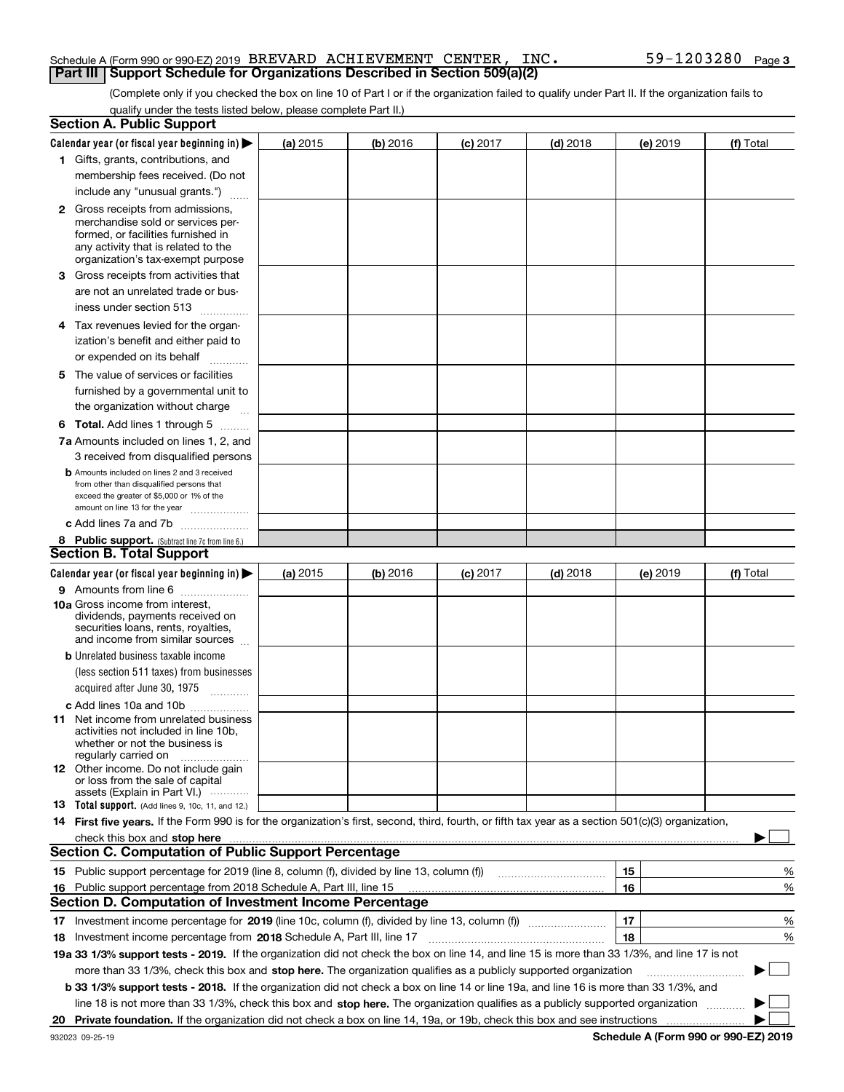#### Schedule A (Form 990 or 990-EZ) 2019 Page BREVARD ACHIEVEMENT CENTER, INC. 59-1203280**Part III Support Schedule for Organizations Described in Section 509(a)(2)**

(Complete only if you checked the box on line 10 of Part I or if the organization failed to qualify under Part II. If the organization fails to qualify under the tests listed below, please complete Part II.)

|    | <b>Section A. Public Support</b>                                                                                                                                                                                               |            |          |                 |            |          |           |
|----|--------------------------------------------------------------------------------------------------------------------------------------------------------------------------------------------------------------------------------|------------|----------|-----------------|------------|----------|-----------|
|    | Calendar year (or fiscal year beginning in) $\blacktriangleright$                                                                                                                                                              | (a) 2015   | (b) 2016 | <b>(c)</b> 2017 | $(d)$ 2018 | (e) 2019 | (f) Total |
|    | 1 Gifts, grants, contributions, and                                                                                                                                                                                            |            |          |                 |            |          |           |
|    | membership fees received. (Do not                                                                                                                                                                                              |            |          |                 |            |          |           |
|    | include any "unusual grants.")                                                                                                                                                                                                 |            |          |                 |            |          |           |
|    | <b>2</b> Gross receipts from admissions,                                                                                                                                                                                       |            |          |                 |            |          |           |
|    | merchandise sold or services per-                                                                                                                                                                                              |            |          |                 |            |          |           |
|    | formed, or facilities furnished in                                                                                                                                                                                             |            |          |                 |            |          |           |
|    | any activity that is related to the<br>organization's tax-exempt purpose                                                                                                                                                       |            |          |                 |            |          |           |
|    | 3 Gross receipts from activities that                                                                                                                                                                                          |            |          |                 |            |          |           |
|    | are not an unrelated trade or bus-                                                                                                                                                                                             |            |          |                 |            |          |           |
|    | iness under section 513                                                                                                                                                                                                        |            |          |                 |            |          |           |
|    | 4 Tax revenues levied for the organ-                                                                                                                                                                                           |            |          |                 |            |          |           |
|    | ization's benefit and either paid to                                                                                                                                                                                           |            |          |                 |            |          |           |
|    | or expended on its behalf                                                                                                                                                                                                      |            |          |                 |            |          |           |
|    | .                                                                                                                                                                                                                              |            |          |                 |            |          |           |
|    | 5 The value of services or facilities                                                                                                                                                                                          |            |          |                 |            |          |           |
|    | furnished by a governmental unit to                                                                                                                                                                                            |            |          |                 |            |          |           |
|    | the organization without charge                                                                                                                                                                                                |            |          |                 |            |          |           |
|    | <b>6 Total.</b> Add lines 1 through 5                                                                                                                                                                                          |            |          |                 |            |          |           |
|    | 7a Amounts included on lines 1, 2, and                                                                                                                                                                                         |            |          |                 |            |          |           |
|    | 3 received from disqualified persons                                                                                                                                                                                           |            |          |                 |            |          |           |
|    | <b>b</b> Amounts included on lines 2 and 3 received<br>from other than disqualified persons that                                                                                                                               |            |          |                 |            |          |           |
|    | exceed the greater of \$5,000 or 1% of the                                                                                                                                                                                     |            |          |                 |            |          |           |
|    | amount on line 13 for the year                                                                                                                                                                                                 |            |          |                 |            |          |           |
|    | c Add lines 7a and 7b                                                                                                                                                                                                          |            |          |                 |            |          |           |
|    | 8 Public support. (Subtract line 7c from line 6.)                                                                                                                                                                              |            |          |                 |            |          |           |
|    | <b>Section B. Total Support</b>                                                                                                                                                                                                |            |          |                 |            |          |           |
|    | Calendar year (or fiscal year beginning in)                                                                                                                                                                                    | (a) $2015$ | (b) 2016 | <b>(c)</b> 2017 | $(d)$ 2018 | (e) 2019 | (f) Total |
|    | 9 Amounts from line 6                                                                                                                                                                                                          |            |          |                 |            |          |           |
|    | 10a Gross income from interest,<br>dividends, payments received on                                                                                                                                                             |            |          |                 |            |          |           |
|    | securities loans, rents, royalties,                                                                                                                                                                                            |            |          |                 |            |          |           |
|    | and income from similar sources                                                                                                                                                                                                |            |          |                 |            |          |           |
|    | <b>b</b> Unrelated business taxable income                                                                                                                                                                                     |            |          |                 |            |          |           |
|    | (less section 511 taxes) from businesses                                                                                                                                                                                       |            |          |                 |            |          |           |
|    | acquired after June 30, 1975 [10001]                                                                                                                                                                                           |            |          |                 |            |          |           |
|    | c Add lines 10a and 10b                                                                                                                                                                                                        |            |          |                 |            |          |           |
|    | 11 Net income from unrelated business                                                                                                                                                                                          |            |          |                 |            |          |           |
|    | activities not included in line 10b,<br>whether or not the business is                                                                                                                                                         |            |          |                 |            |          |           |
|    | regularly carried on                                                                                                                                                                                                           |            |          |                 |            |          |           |
|    | <b>12</b> Other income. Do not include gain                                                                                                                                                                                    |            |          |                 |            |          |           |
|    | or loss from the sale of capital                                                                                                                                                                                               |            |          |                 |            |          |           |
|    | assets (Explain in Part VI.)<br>13 Total support. (Add lines 9, 10c, 11, and 12.)                                                                                                                                              |            |          |                 |            |          |           |
|    | 14 First five years. If the Form 990 is for the organization's first, second, third, fourth, or fifth tax year as a section 501(c)(3) organization,                                                                            |            |          |                 |            |          |           |
|    | check this box and stop here measurement content to the state of the state of the state of the state of the state of the state of the state of the state of the state of the state of the state of the state of the state of t |            |          |                 |            |          |           |
|    | <b>Section C. Computation of Public Support Percentage</b>                                                                                                                                                                     |            |          |                 |            |          |           |
|    | 15 Public support percentage for 2019 (line 8, column (f), divided by line 13, column (f))                                                                                                                                     |            |          |                 |            | 15       | %         |
| 16 | Public support percentage from 2018 Schedule A, Part III, line 15                                                                                                                                                              |            |          |                 |            | 16       | %         |
|    | <b>Section D. Computation of Investment Income Percentage</b>                                                                                                                                                                  |            |          |                 |            |          |           |
|    | 17 Investment income percentage for 2019 (line 10c, column (f), divided by line 13, column (f))                                                                                                                                |            |          |                 |            | 17       | %         |
|    | 18 Investment income percentage from 2018 Schedule A, Part III, line 17                                                                                                                                                        |            |          |                 |            | 18       | %         |
|    | 19a 33 1/3% support tests - 2019. If the organization did not check the box on line 14, and line 15 is more than 33 1/3%, and line 17 is not                                                                                   |            |          |                 |            |          |           |
|    |                                                                                                                                                                                                                                |            |          |                 |            |          | $\sim$ 1  |
|    | more than 33 1/3%, check this box and stop here. The organization qualifies as a publicly supported organization                                                                                                               |            |          |                 |            |          |           |
|    | b 33 1/3% support tests - 2018. If the organization did not check a box on line 14 or line 19a, and line 16 is more than 33 1/3%, and                                                                                          |            |          |                 |            |          |           |
|    | line 18 is not more than 33 1/3%, check this box and stop here. The organization qualifies as a publicly supported organization                                                                                                |            |          |                 |            |          |           |
| 20 | Private foundation. If the organization did not check a box on line 14, 19a, or 19b, check this box and see instructions                                                                                                       |            |          |                 |            |          |           |

**Schedule A (Form 990 or 990-EZ) 2019**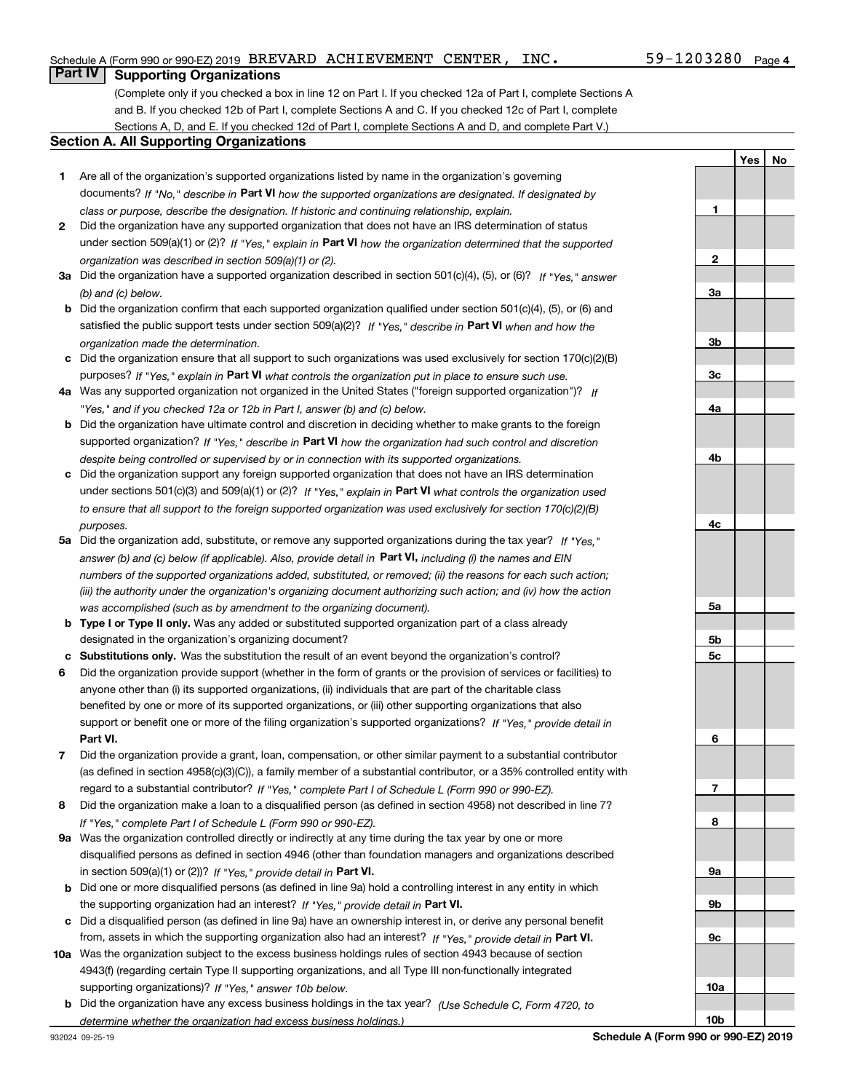### Schedule A (Form 990 or 990-EZ) 2019 Page BREVARD ACHIEVEMENT CENTER, INC. 59-1203280

### **Part IV Supporting Organizations**

(Complete only if you checked a box in line 12 on Part I. If you checked 12a of Part I, complete Sections A and B. If you checked 12b of Part I, complete Sections A and C. If you checked 12c of Part I, complete Sections A, D, and E. If you checked 12d of Part I, complete Sections A and D, and complete Part V.)

#### **Section A. All Supporting Organizations**

- **1** Are all of the organization's supported organizations listed by name in the organization's governing documents? If "No," describe in **Part VI** how the supported organizations are designated. If designated by *class or purpose, describe the designation. If historic and continuing relationship, explain.*
- **2** Did the organization have any supported organization that does not have an IRS determination of status under section 509(a)(1) or (2)? If "Yes," explain in Part VI how the organization determined that the supported *organization was described in section 509(a)(1) or (2).*
- **3a** Did the organization have a supported organization described in section 501(c)(4), (5), or (6)? If "Yes," answer *(b) and (c) below.*
- **b** Did the organization confirm that each supported organization qualified under section 501(c)(4), (5), or (6) and satisfied the public support tests under section 509(a)(2)? If "Yes," describe in **Part VI** when and how the *organization made the determination.*
- **c**Did the organization ensure that all support to such organizations was used exclusively for section 170(c)(2)(B) purposes? If "Yes," explain in **Part VI** what controls the organization put in place to ensure such use.
- **4a***If* Was any supported organization not organized in the United States ("foreign supported organization")? *"Yes," and if you checked 12a or 12b in Part I, answer (b) and (c) below.*
- **b** Did the organization have ultimate control and discretion in deciding whether to make grants to the foreign supported organization? If "Yes," describe in **Part VI** how the organization had such control and discretion *despite being controlled or supervised by or in connection with its supported organizations.*
- **c** Did the organization support any foreign supported organization that does not have an IRS determination under sections 501(c)(3) and 509(a)(1) or (2)? If "Yes," explain in **Part VI** what controls the organization used *to ensure that all support to the foreign supported organization was used exclusively for section 170(c)(2)(B) purposes.*
- **5a***If "Yes,"* Did the organization add, substitute, or remove any supported organizations during the tax year? answer (b) and (c) below (if applicable). Also, provide detail in **Part VI,** including (i) the names and EIN *numbers of the supported organizations added, substituted, or removed; (ii) the reasons for each such action; (iii) the authority under the organization's organizing document authorizing such action; and (iv) how the action was accomplished (such as by amendment to the organizing document).*
- **b** Type I or Type II only. Was any added or substituted supported organization part of a class already designated in the organization's organizing document?
- **cSubstitutions only.**  Was the substitution the result of an event beyond the organization's control?
- **6** Did the organization provide support (whether in the form of grants or the provision of services or facilities) to **Part VI.** *If "Yes," provide detail in* support or benefit one or more of the filing organization's supported organizations? anyone other than (i) its supported organizations, (ii) individuals that are part of the charitable class benefited by one or more of its supported organizations, or (iii) other supporting organizations that also
- **7**Did the organization provide a grant, loan, compensation, or other similar payment to a substantial contributor *If "Yes," complete Part I of Schedule L (Form 990 or 990-EZ).* regard to a substantial contributor? (as defined in section 4958(c)(3)(C)), a family member of a substantial contributor, or a 35% controlled entity with
- **8** Did the organization make a loan to a disqualified person (as defined in section 4958) not described in line 7? *If "Yes," complete Part I of Schedule L (Form 990 or 990-EZ).*
- **9a** Was the organization controlled directly or indirectly at any time during the tax year by one or more in section 509(a)(1) or (2))? If "Yes," *provide detail in* <code>Part VI.</code> disqualified persons as defined in section 4946 (other than foundation managers and organizations described
- **b** Did one or more disqualified persons (as defined in line 9a) hold a controlling interest in any entity in which the supporting organization had an interest? If "Yes," provide detail in P**art VI**.
- **c**Did a disqualified person (as defined in line 9a) have an ownership interest in, or derive any personal benefit from, assets in which the supporting organization also had an interest? If "Yes," provide detail in P**art VI.**
- **10a** Was the organization subject to the excess business holdings rules of section 4943 because of section supporting organizations)? If "Yes," answer 10b below. 4943(f) (regarding certain Type II supporting organizations, and all Type III non-functionally integrated
- **b** Did the organization have any excess business holdings in the tax year? (Use Schedule C, Form 4720, to *determine whether the organization had excess business holdings.)*

**1**

**2**

**3a**

**3b**

**3c**

**4a**

**4b**

**4c**

**5a**

**5b5c**

**6**

**7**

**8**

**9a**

**9b**

**9c**

**10a**

**10b**

**YesNo**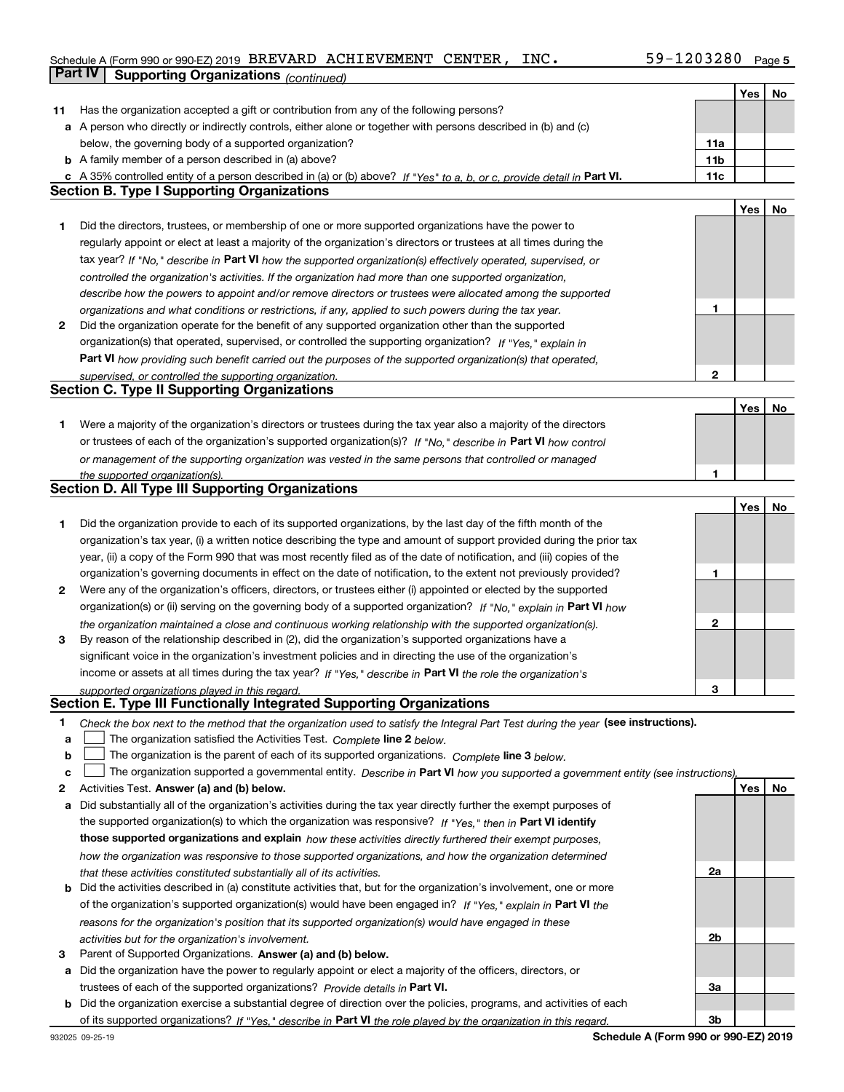## Schedule A (Form 990 or 990-EZ) 2019 Page BREVARD ACHIEVEMENT CENTER, INC. 59-1203280**Part IV Supporting Organizations** *(continued)*

|    |                                                                                                                                   |                 | Yes | No |
|----|-----------------------------------------------------------------------------------------------------------------------------------|-----------------|-----|----|
| 11 | Has the organization accepted a gift or contribution from any of the following persons?                                           |                 |     |    |
|    | a A person who directly or indirectly controls, either alone or together with persons described in (b) and (c)                    |                 |     |    |
|    | below, the governing body of a supported organization?                                                                            | 11a             |     |    |
|    | <b>b</b> A family member of a person described in (a) above?                                                                      | 11 <sub>b</sub> |     |    |
|    | c A 35% controlled entity of a person described in (a) or (b) above? If "Yes" to a, b, or c, provide detail in Part VI.           | 11c             |     |    |
|    | <b>Section B. Type I Supporting Organizations</b>                                                                                 |                 |     |    |
|    |                                                                                                                                   |                 | Yes | No |
| 1  | Did the directors, trustees, or membership of one or more supported organizations have the power to                               |                 |     |    |
|    | regularly appoint or elect at least a majority of the organization's directors or trustees at all times during the                |                 |     |    |
|    | tax year? If "No," describe in Part VI how the supported organization(s) effectively operated, supervised, or                     |                 |     |    |
|    | controlled the organization's activities. If the organization had more than one supported organization,                           |                 |     |    |
|    | describe how the powers to appoint and/or remove directors or trustees were allocated among the supported                         |                 |     |    |
|    | organizations and what conditions or restrictions, if any, applied to such powers during the tax year.                            | 1               |     |    |
| 2  | Did the organization operate for the benefit of any supported organization other than the supported                               |                 |     |    |
|    | organization(s) that operated, supervised, or controlled the supporting organization? If "Yes," explain in                        |                 |     |    |
|    | Part VI how providing such benefit carried out the purposes of the supported organization(s) that operated,                       |                 |     |    |
|    |                                                                                                                                   | $\mathbf{2}$    |     |    |
|    | supervised, or controlled the supporting organization.<br><b>Section C. Type II Supporting Organizations</b>                      |                 |     |    |
|    |                                                                                                                                   |                 | Yes | No |
| 1  | Were a majority of the organization's directors or trustees during the tax year also a majority of the directors                  |                 |     |    |
|    | or trustees of each of the organization's supported organization(s)? If "No." describe in Part VI how control                     |                 |     |    |
|    | or management of the supporting organization was vested in the same persons that controlled or managed                            |                 |     |    |
|    | the supported organization(s).                                                                                                    |                 |     |    |
|    | <b>Section D. All Type III Supporting Organizations</b>                                                                           |                 |     |    |
|    |                                                                                                                                   |                 | Yes | No |
| 1  | Did the organization provide to each of its supported organizations, by the last day of the fifth month of the                    |                 |     |    |
|    | organization's tax year, (i) a written notice describing the type and amount of support provided during the prior tax             |                 |     |    |
|    | year, (ii) a copy of the Form 990 that was most recently filed as of the date of notification, and (iii) copies of the            |                 |     |    |
|    | organization's governing documents in effect on the date of notification, to the extent not previously provided?                  | 1               |     |    |
| 2  | Were any of the organization's officers, directors, or trustees either (i) appointed or elected by the supported                  |                 |     |    |
|    | organization(s) or (ii) serving on the governing body of a supported organization? If "No," explain in Part VI how                |                 |     |    |
|    | the organization maintained a close and continuous working relationship with the supported organization(s).                       | 2               |     |    |
| 3  | By reason of the relationship described in (2), did the organization's supported organizations have a                             |                 |     |    |
|    | significant voice in the organization's investment policies and in directing the use of the organization's                        |                 |     |    |
|    | income or assets at all times during the tax year? If "Yes," describe in Part VI the role the organization's                      |                 |     |    |
|    | supported organizations played in this regard.                                                                                    | з               |     |    |
|    | Section E. Type III Functionally Integrated Supporting Organizations                                                              |                 |     |    |
| 1. | Check the box next to the method that the organization used to satisfy the Integral Part Test during the year (see instructions). |                 |     |    |
| a  | The organization satisfied the Activities Test. Complete line 2 below.                                                            |                 |     |    |
| b  | The organization is the parent of each of its supported organizations. Complete line 3 below.                                     |                 |     |    |
| c  | The organization supported a governmental entity. Describe in Part VI how you supported a government entity (see instructions).   |                 |     |    |
| 2  | Activities Test. Answer (a) and (b) below.                                                                                        |                 | Yes | No |
| а  | Did substantially all of the organization's activities during the tax year directly further the exempt purposes of                |                 |     |    |
|    | the supported organization(s) to which the organization was responsive? If "Yes." then in Part VI identify                        |                 |     |    |
|    | those supported organizations and explain how these activities directly furthered their exempt purposes,                          |                 |     |    |
|    | how the organization was responsive to those supported organizations, and how the organization determined                         |                 |     |    |
|    | that these activities constituted substantially all of its activities.                                                            | 2a              |     |    |
|    | <b>b</b> Did the activities described in (a) constitute activities that, but for the organization's involvement, one or more      |                 |     |    |
|    | of the organization's supported organization(s) would have been engaged in? If "Yes," explain in Part VI the                      |                 |     |    |
|    |                                                                                                                                   |                 |     |    |
|    | reasons for the organization's position that its supported organization(s) would have engaged in these                            | 2b              |     |    |
| з  | activities but for the organization's involvement.<br>Parent of Supported Organizations. Answer (a) and (b) below.                |                 |     |    |
|    | a Did the organization have the power to regularly appoint or elect a majority of the officers, directors, or                     |                 |     |    |
|    | trustees of each of the supported organizations? Provide details in Part VI.                                                      | За              |     |    |
|    | <b>b</b> Did the organization exercise a substantial degree of direction over the policies, programs, and activities of each      |                 |     |    |
|    |                                                                                                                                   | 3b              |     |    |
|    | of its supported organizations? If "Yes," describe in Part VI the role played by the organization in this regard.                 |                 |     |    |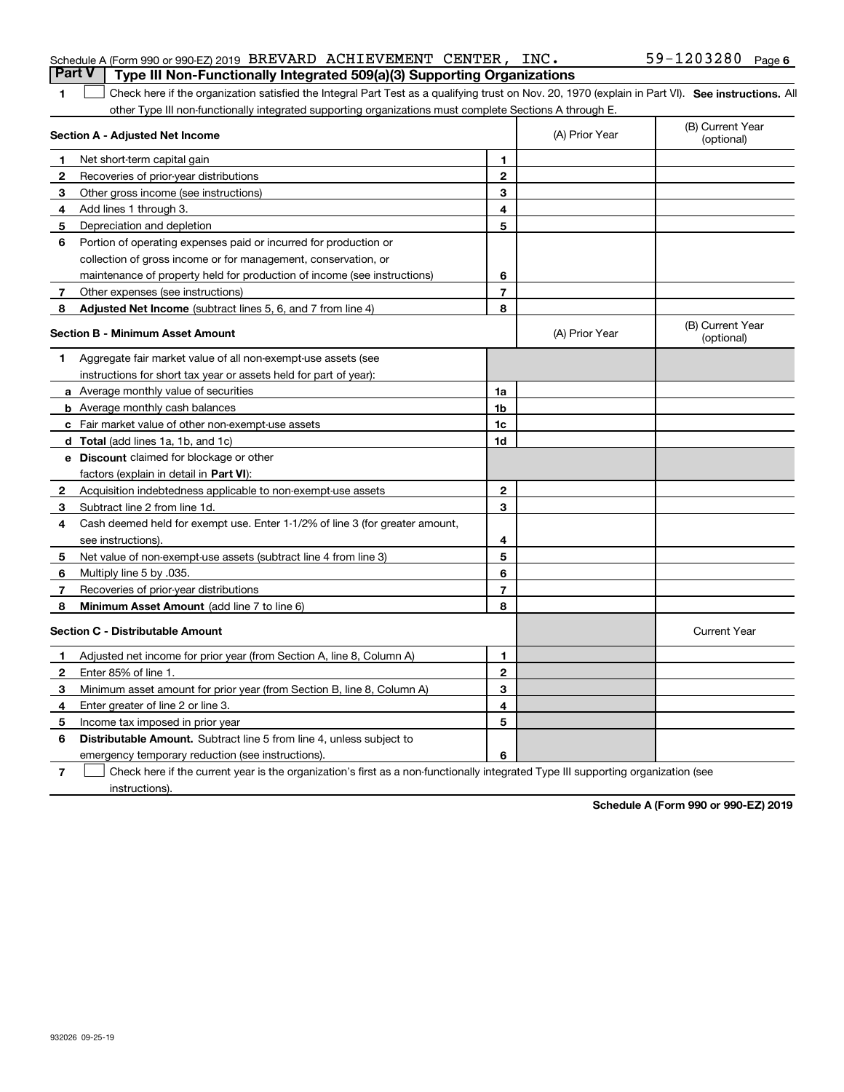| <b>UILT</b><br>i ype iii ivon-Functionally integrated bos(a)(b) Supporting Organizations                                                                |                |                |                                |
|---------------------------------------------------------------------------------------------------------------------------------------------------------|----------------|----------------|--------------------------------|
| Check here if the organization satisfied the Integral Part Test as a qualifying trust on Nov. 20, 1970 (explain in Part VI). See instructions. All<br>1 |                |                |                                |
| other Type III non-functionally integrated supporting organizations must complete Sections A through E.                                                 |                |                |                                |
| Section A - Adjusted Net Income                                                                                                                         |                | (A) Prior Year | (B) Current Year<br>(optional) |
| Net short-term capital gain<br>1                                                                                                                        | 1              |                |                                |
| 2<br>Recoveries of prior-year distributions                                                                                                             | $\overline{2}$ |                |                                |
| 3<br>Other gross income (see instructions)                                                                                                              | 3              |                |                                |
| Add lines 1 through 3.<br>4                                                                                                                             | 4              |                |                                |
| 5<br>Depreciation and depletion                                                                                                                         | 5              |                |                                |
| Portion of operating expenses paid or incurred for production or<br>6                                                                                   |                |                |                                |
| collection of gross income or for management, conservation, or                                                                                          |                |                |                                |
| maintenance of property held for production of income (see instructions)                                                                                | 6              |                |                                |
| Other expenses (see instructions)<br>7                                                                                                                  | $\overline{7}$ |                |                                |
| <b>Adjusted Net Income</b> (subtract lines 5, 6, and 7 from line 4)<br>8                                                                                | 8              |                |                                |
| <b>Section B - Minimum Asset Amount</b>                                                                                                                 |                | (A) Prior Year | (B) Current Year<br>(optional) |
| Aggregate fair market value of all non-exempt-use assets (see<br>1                                                                                      |                |                |                                |
| instructions for short tax year or assets held for part of year):                                                                                       |                |                |                                |
| a Average monthly value of securities                                                                                                                   | 1a             |                |                                |
| <b>b</b> Average monthly cash balances                                                                                                                  | 1b             |                |                                |
| c Fair market value of other non-exempt-use assets                                                                                                      | 1c             |                |                                |
| d Total (add lines 1a, 1b, and 1c)                                                                                                                      | 1d             |                |                                |
| e Discount claimed for blockage or other                                                                                                                |                |                |                                |
| factors (explain in detail in Part VI):                                                                                                                 |                |                |                                |
| Acquisition indebtedness applicable to non-exempt-use assets<br>2                                                                                       | $\overline{2}$ |                |                                |
| Subtract line 2 from line 1d.<br>З                                                                                                                      | 3              |                |                                |
| 4<br>Cash deemed held for exempt use. Enter 1-1/2% of line 3 (for greater amount,                                                                       |                |                |                                |
| see instructions)                                                                                                                                       | 4              |                |                                |
| 5<br>Net value of non-exempt-use assets (subtract line 4 from line 3)                                                                                   | 5              |                |                                |
| Multiply line 5 by .035.<br>6                                                                                                                           | 6              |                |                                |
| 7<br>Recoveries of prior-year distributions                                                                                                             | $\overline{7}$ |                |                                |
| Minimum Asset Amount (add line 7 to line 6)<br>8                                                                                                        | 8              |                |                                |
| <b>Section C - Distributable Amount</b>                                                                                                                 |                |                | <b>Current Year</b>            |
| Adjusted net income for prior year (from Section A, line 8, Column A)<br>1                                                                              | 1              |                |                                |
| Enter 85% of line 1.<br>$\mathbf{2}$                                                                                                                    | $\mathbf 2$    |                |                                |
| 3<br>Minimum asset amount for prior year (from Section B, line 8, Column A)                                                                             | 3              |                |                                |
| Enter greater of line 2 or line 3.<br>4                                                                                                                 | 4              |                |                                |
| 5<br>Income tax imposed in prior year                                                                                                                   | 5              |                |                                |
| 6<br><b>Distributable Amount.</b> Subtract line 5 from line 4, unless subject to                                                                        |                |                |                                |

emergency temporary reduction (see instructions).

**76** Check here if the current year is the organization's first as a non-functionally integrated Type III supporting organization (see instructions).

**Schedule A (Form 990 or 990-EZ) 2019**

**6**

#### Schedule A (Form 990 or 990-EZ) 2019 BREVARD ACHIEVEMENT CENTER, INC 。 59-IZU3Z8U Page BREVARD ACHIEVEMENT CENTER, INC. 59-1203280

**Part V Type III Non-Functionally Integrated 509(a)(3) Supporting Organizations**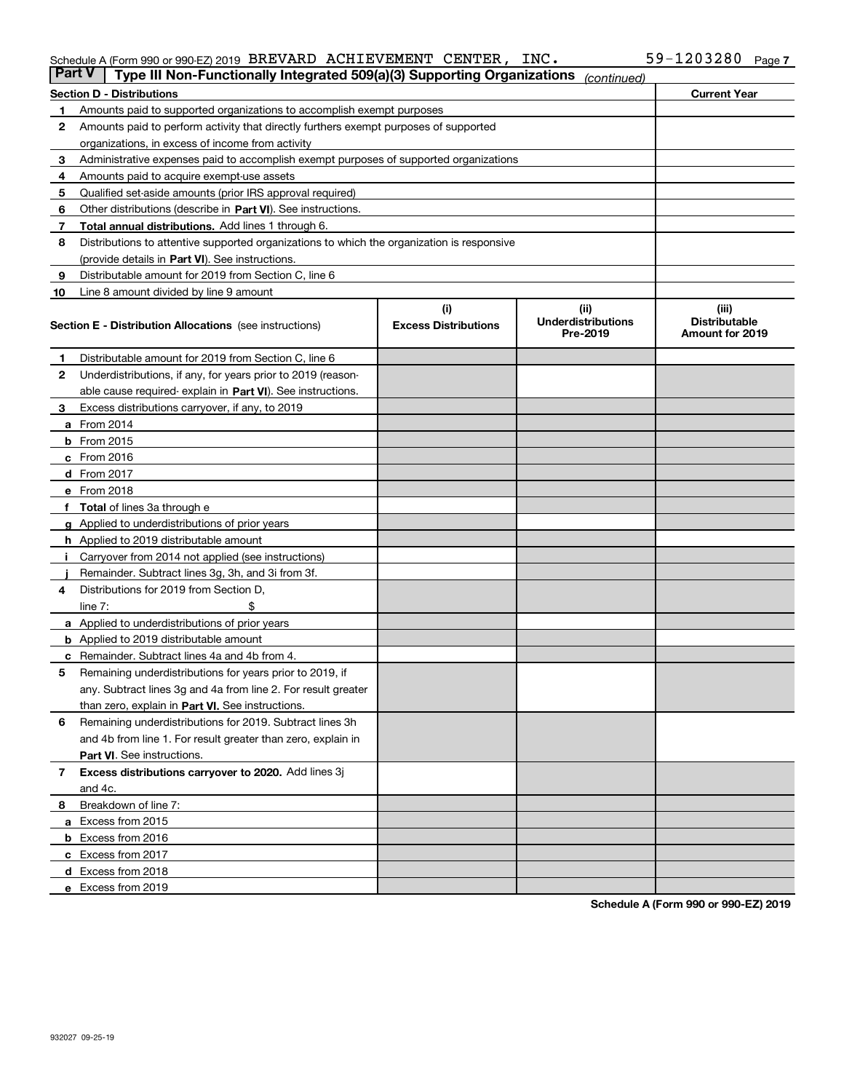### Schedule A (Form 990 or 990-EZ) 2019 Page BREVARD ACHIEVEMENT CENTER, INC. 59-1203280

| <b>Part V</b> | Type III Non-Functionally Integrated 509(a)(3) Supporting Organizations                    |                             | (continued)                           |                                         |
|---------------|--------------------------------------------------------------------------------------------|-----------------------------|---------------------------------------|-----------------------------------------|
|               | <b>Section D - Distributions</b>                                                           |                             |                                       | <b>Current Year</b>                     |
| 1             | Amounts paid to supported organizations to accomplish exempt purposes                      |                             |                                       |                                         |
| 2             | Amounts paid to perform activity that directly furthers exempt purposes of supported       |                             |                                       |                                         |
|               | organizations, in excess of income from activity                                           |                             |                                       |                                         |
| з             | Administrative expenses paid to accomplish exempt purposes of supported organizations      |                             |                                       |                                         |
| 4             | Amounts paid to acquire exempt-use assets                                                  |                             |                                       |                                         |
| 5             | Qualified set-aside amounts (prior IRS approval required)                                  |                             |                                       |                                         |
| 6             | Other distributions (describe in Part VI). See instructions.                               |                             |                                       |                                         |
| 7             | Total annual distributions. Add lines 1 through 6.                                         |                             |                                       |                                         |
| 8             | Distributions to attentive supported organizations to which the organization is responsive |                             |                                       |                                         |
|               | (provide details in Part VI). See instructions.                                            |                             |                                       |                                         |
| 9             | Distributable amount for 2019 from Section C, line 6                                       |                             |                                       |                                         |
| 10            | Line 8 amount divided by line 9 amount                                                     |                             |                                       |                                         |
|               |                                                                                            | (i)                         | (iii)                                 | (iii)                                   |
|               | <b>Section E - Distribution Allocations</b> (see instructions)                             | <b>Excess Distributions</b> | <b>Underdistributions</b><br>Pre-2019 | <b>Distributable</b><br>Amount for 2019 |
| 1             | Distributable amount for 2019 from Section C, line 6                                       |                             |                                       |                                         |
| 2             | Underdistributions, if any, for years prior to 2019 (reason-                               |                             |                                       |                                         |
|               | able cause required- explain in Part VI). See instructions.                                |                             |                                       |                                         |
| з             | Excess distributions carryover, if any, to 2019                                            |                             |                                       |                                         |
|               | <b>a</b> From 2014                                                                         |                             |                                       |                                         |
|               | <b>b</b> From $2015$                                                                       |                             |                                       |                                         |
|               | $c$ From 2016                                                                              |                             |                                       |                                         |
|               | <b>d</b> From 2017                                                                         |                             |                                       |                                         |
|               | e From 2018                                                                                |                             |                                       |                                         |
|               | Total of lines 3a through e                                                                |                             |                                       |                                         |
|               | <b>g</b> Applied to underdistributions of prior years                                      |                             |                                       |                                         |
|               | <b>h</b> Applied to 2019 distributable amount                                              |                             |                                       |                                         |
|               | Carryover from 2014 not applied (see instructions)                                         |                             |                                       |                                         |
|               | Remainder. Subtract lines 3g, 3h, and 3i from 3f.                                          |                             |                                       |                                         |
| 4             | Distributions for 2019 from Section D,                                                     |                             |                                       |                                         |
|               | line $7:$                                                                                  |                             |                                       |                                         |
|               | <b>a</b> Applied to underdistributions of prior years                                      |                             |                                       |                                         |
|               | <b>b</b> Applied to 2019 distributable amount                                              |                             |                                       |                                         |
| с             | Remainder. Subtract lines 4a and 4b from 4.                                                |                             |                                       |                                         |
| 5             | Remaining underdistributions for years prior to 2019, if                                   |                             |                                       |                                         |
|               | any. Subtract lines 3g and 4a from line 2. For result greater                              |                             |                                       |                                         |
|               | than zero, explain in Part VI. See instructions.                                           |                             |                                       |                                         |
| 6             | Remaining underdistributions for 2019. Subtract lines 3h                                   |                             |                                       |                                         |
|               | and 4b from line 1. For result greater than zero, explain in                               |                             |                                       |                                         |
|               | Part VI. See instructions.                                                                 |                             |                                       |                                         |
| 7             | Excess distributions carryover to 2020. Add lines 3j                                       |                             |                                       |                                         |
|               | and 4c.                                                                                    |                             |                                       |                                         |
| 8             | Breakdown of line 7:                                                                       |                             |                                       |                                         |
|               | a Excess from 2015                                                                         |                             |                                       |                                         |
|               |                                                                                            |                             |                                       |                                         |
|               | <b>b</b> Excess from 2016<br>c Excess from 2017                                            |                             |                                       |                                         |
|               |                                                                                            |                             |                                       |                                         |
|               | d Excess from 2018<br>e Excess from 2019                                                   |                             |                                       |                                         |
|               |                                                                                            |                             |                                       |                                         |

**Schedule A (Form 990 or 990-EZ) 2019**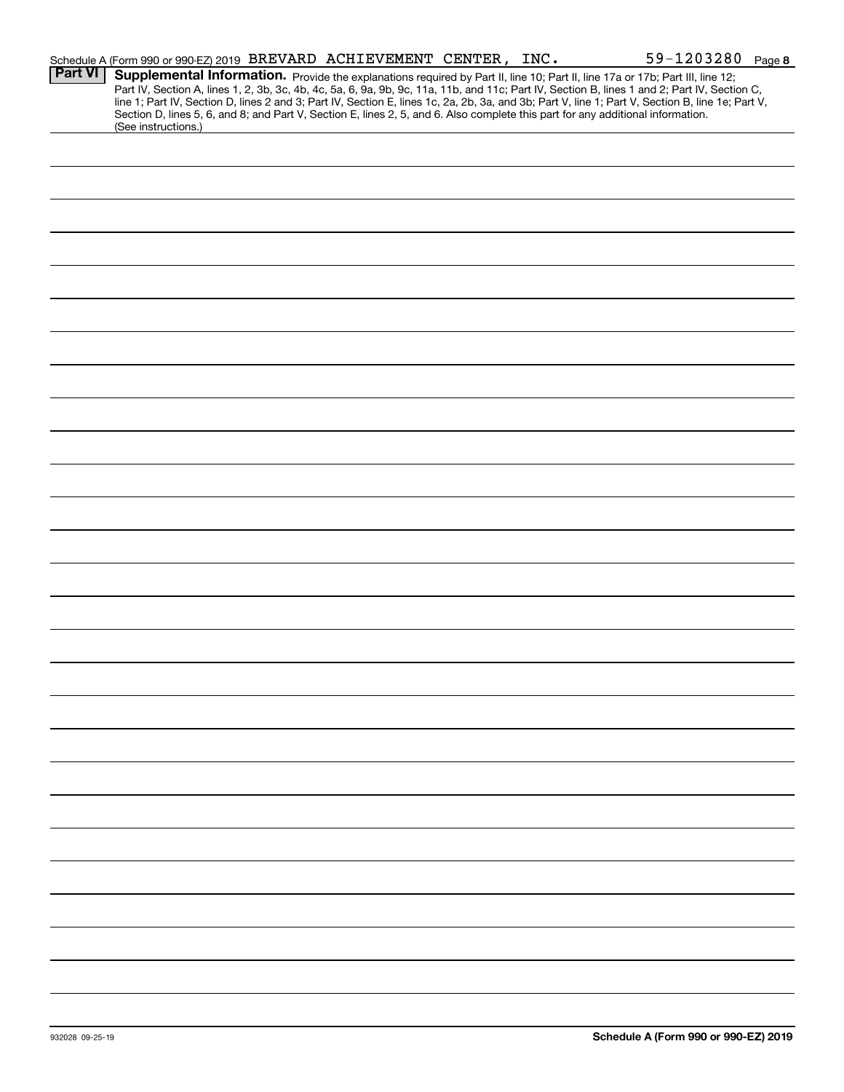|                | Schedule A (Form 990 or 990-EZ) 2019 BREVARD ACHIEVEMENT CENTER, INC.                                                                                                                                                                                                                                                                                                                                                                                                                                                                                                                       |  | 59-1203280 Page 8 |
|----------------|---------------------------------------------------------------------------------------------------------------------------------------------------------------------------------------------------------------------------------------------------------------------------------------------------------------------------------------------------------------------------------------------------------------------------------------------------------------------------------------------------------------------------------------------------------------------------------------------|--|-------------------|
| <b>Part VI</b> | Supplemental Information. Provide the explanations required by Part II, line 10; Part II, line 17a or 17b; Part III, line 12;<br>Part IV, Section A, lines 1, 2, 3b, 3c, 4b, 4c, 5a, 6, 9a, 9b, 9c, 11a, 11b, and 11c; Part IV, Section B, lines 1 and 2; Part IV, Section C,<br>line 1; Part IV, Section D, lines 2 and 3; Part IV, Section E, lines 1c, 2a, 2b, 3a, and 3b; Part V, line 1; Part V, Section B, line 1e; Part V,<br>Section D, lines 5, 6, and 8; and Part V, Section E, lines 2, 5, and 6. Also complete this part for any additional information.<br>(See instructions.) |  |                   |
|                |                                                                                                                                                                                                                                                                                                                                                                                                                                                                                                                                                                                             |  |                   |
|                |                                                                                                                                                                                                                                                                                                                                                                                                                                                                                                                                                                                             |  |                   |
|                |                                                                                                                                                                                                                                                                                                                                                                                                                                                                                                                                                                                             |  |                   |
|                |                                                                                                                                                                                                                                                                                                                                                                                                                                                                                                                                                                                             |  |                   |
|                |                                                                                                                                                                                                                                                                                                                                                                                                                                                                                                                                                                                             |  |                   |
|                |                                                                                                                                                                                                                                                                                                                                                                                                                                                                                                                                                                                             |  |                   |
|                |                                                                                                                                                                                                                                                                                                                                                                                                                                                                                                                                                                                             |  |                   |
|                |                                                                                                                                                                                                                                                                                                                                                                                                                                                                                                                                                                                             |  |                   |
|                |                                                                                                                                                                                                                                                                                                                                                                                                                                                                                                                                                                                             |  |                   |
|                |                                                                                                                                                                                                                                                                                                                                                                                                                                                                                                                                                                                             |  |                   |
|                |                                                                                                                                                                                                                                                                                                                                                                                                                                                                                                                                                                                             |  |                   |
|                |                                                                                                                                                                                                                                                                                                                                                                                                                                                                                                                                                                                             |  |                   |
|                |                                                                                                                                                                                                                                                                                                                                                                                                                                                                                                                                                                                             |  |                   |
|                |                                                                                                                                                                                                                                                                                                                                                                                                                                                                                                                                                                                             |  |                   |
|                |                                                                                                                                                                                                                                                                                                                                                                                                                                                                                                                                                                                             |  |                   |
|                |                                                                                                                                                                                                                                                                                                                                                                                                                                                                                                                                                                                             |  |                   |
|                |                                                                                                                                                                                                                                                                                                                                                                                                                                                                                                                                                                                             |  |                   |
|                |                                                                                                                                                                                                                                                                                                                                                                                                                                                                                                                                                                                             |  |                   |
|                |                                                                                                                                                                                                                                                                                                                                                                                                                                                                                                                                                                                             |  |                   |
|                |                                                                                                                                                                                                                                                                                                                                                                                                                                                                                                                                                                                             |  |                   |
|                |                                                                                                                                                                                                                                                                                                                                                                                                                                                                                                                                                                                             |  |                   |
|                |                                                                                                                                                                                                                                                                                                                                                                                                                                                                                                                                                                                             |  |                   |
|                |                                                                                                                                                                                                                                                                                                                                                                                                                                                                                                                                                                                             |  |                   |
|                |                                                                                                                                                                                                                                                                                                                                                                                                                                                                                                                                                                                             |  |                   |
|                |                                                                                                                                                                                                                                                                                                                                                                                                                                                                                                                                                                                             |  |                   |
|                |                                                                                                                                                                                                                                                                                                                                                                                                                                                                                                                                                                                             |  |                   |
|                |                                                                                                                                                                                                                                                                                                                                                                                                                                                                                                                                                                                             |  |                   |
|                |                                                                                                                                                                                                                                                                                                                                                                                                                                                                                                                                                                                             |  |                   |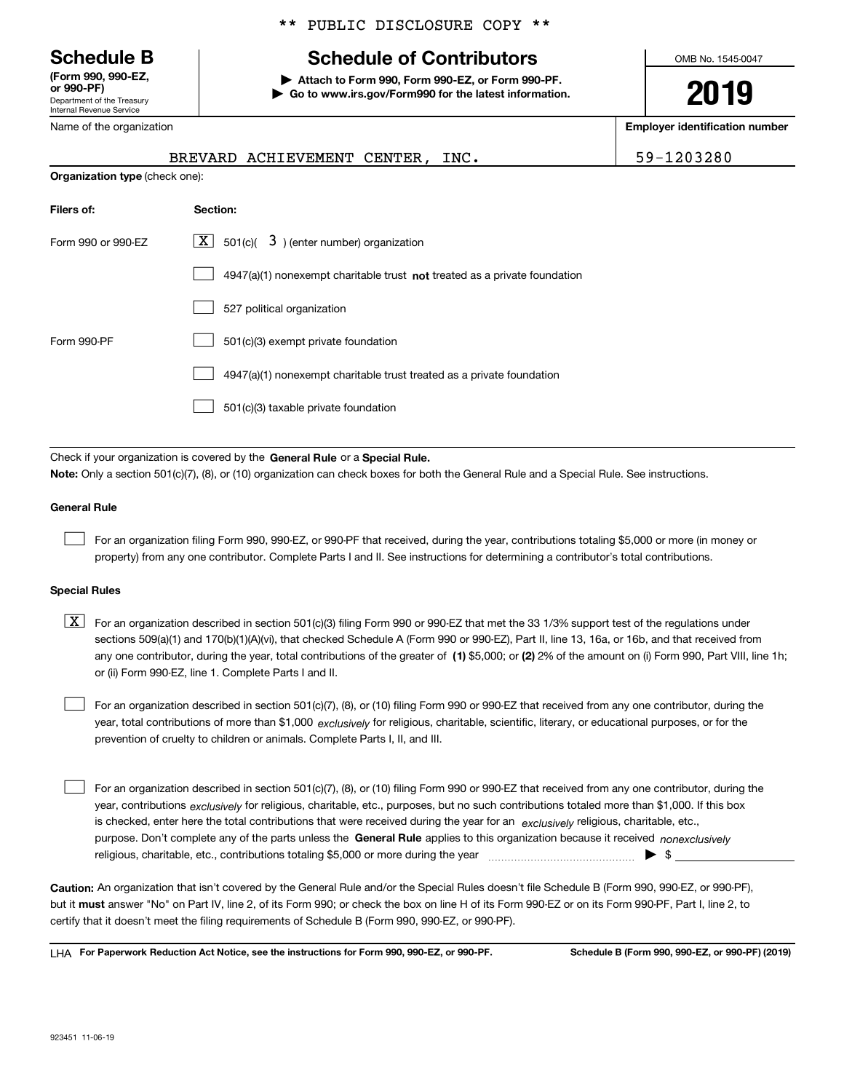Department of the Treasury Internal Revenue Service **(Form 990, 990-EZ, or 990-PF)**

Name of the organization

# \*\* PUBLIC DISCLOSURE COPY \*\*

# **Schedule B Schedule of Contributors**

**| Attach to Form 990, Form 990-EZ, or Form 990-PF. | Go to www.irs.gov/Form990 for the latest information.** OMB No. 1545-0047

**2019**

**Employer identification number**

|                                                                              | BREVARD ACHIEVEMENT CENTER, INC.                                                                                                          | 59-1203280 |  |  |  |
|------------------------------------------------------------------------------|-------------------------------------------------------------------------------------------------------------------------------------------|------------|--|--|--|
|                                                                              | <b>Organization type (check one):</b>                                                                                                     |            |  |  |  |
| Filers of:                                                                   | Section:                                                                                                                                  |            |  |  |  |
| Form 990 or 990-EZ                                                           | $\underline{\mathbf{X}}$ 501(c)( $3$ ) (enter number) organization                                                                        |            |  |  |  |
|                                                                              | $4947(a)(1)$ nonexempt charitable trust <b>not</b> treated as a private foundation                                                        |            |  |  |  |
|                                                                              | 527 political organization                                                                                                                |            |  |  |  |
| Form 990-PF                                                                  | 501(c)(3) exempt private foundation                                                                                                       |            |  |  |  |
|                                                                              | 4947(a)(1) nonexempt charitable trust treated as a private foundation                                                                     |            |  |  |  |
|                                                                              | 501(c)(3) taxable private foundation                                                                                                      |            |  |  |  |
|                                                                              |                                                                                                                                           |            |  |  |  |
| Check if your organization is covered by the General Rule or a Special Rule. |                                                                                                                                           |            |  |  |  |
|                                                                              | Note: Only a section 501(c)(7), (8), or (10) organization can check boxes for both the General Rule and a Special Rule. See instructions. |            |  |  |  |
| <b>General Rule</b>                                                          |                                                                                                                                           |            |  |  |  |

For an organization filing Form 990, 990-EZ, or 990-PF that received, during the year, contributions totaling \$5,000 or more (in money or property) from any one contributor. Complete Parts I and II. See instructions for determining a contributor's total contributions.

#### **Special Rules**

 $\mathcal{L}^{\text{max}}$ 

any one contributor, during the year, total contributions of the greater of  $\,$  (1) \$5,000; or **(2)** 2% of the amount on (i) Form 990, Part VIII, line 1h;  $\boxed{\textbf{X}}$  For an organization described in section 501(c)(3) filing Form 990 or 990-EZ that met the 33 1/3% support test of the regulations under sections 509(a)(1) and 170(b)(1)(A)(vi), that checked Schedule A (Form 990 or 990-EZ), Part II, line 13, 16a, or 16b, and that received from or (ii) Form 990-EZ, line 1. Complete Parts I and II.

year, total contributions of more than \$1,000 *exclusively* for religious, charitable, scientific, literary, or educational purposes, or for the For an organization described in section 501(c)(7), (8), or (10) filing Form 990 or 990-EZ that received from any one contributor, during the prevention of cruelty to children or animals. Complete Parts I, II, and III.

purpose. Don't complete any of the parts unless the **General Rule** applies to this organization because it received *nonexclusively* year, contributions <sub>exclusively</sub> for religious, charitable, etc., purposes, but no such contributions totaled more than \$1,000. If this box is checked, enter here the total contributions that were received during the year for an  $\;$ exclusively religious, charitable, etc., For an organization described in section 501(c)(7), (8), or (10) filing Form 990 or 990-EZ that received from any one contributor, during the religious, charitable, etc., contributions totaling \$5,000 or more during the year  $\Box$ — $\Box$  =  $\Box$  $\mathcal{L}^{\text{max}}$ 

**Caution:**  An organization that isn't covered by the General Rule and/or the Special Rules doesn't file Schedule B (Form 990, 990-EZ, or 990-PF),  **must** but it answer "No" on Part IV, line 2, of its Form 990; or check the box on line H of its Form 990-EZ or on its Form 990-PF, Part I, line 2, to certify that it doesn't meet the filing requirements of Schedule B (Form 990, 990-EZ, or 990-PF).

**For Paperwork Reduction Act Notice, see the instructions for Form 990, 990-EZ, or 990-PF. Schedule B (Form 990, 990-EZ, or 990-PF) (2019)** LHA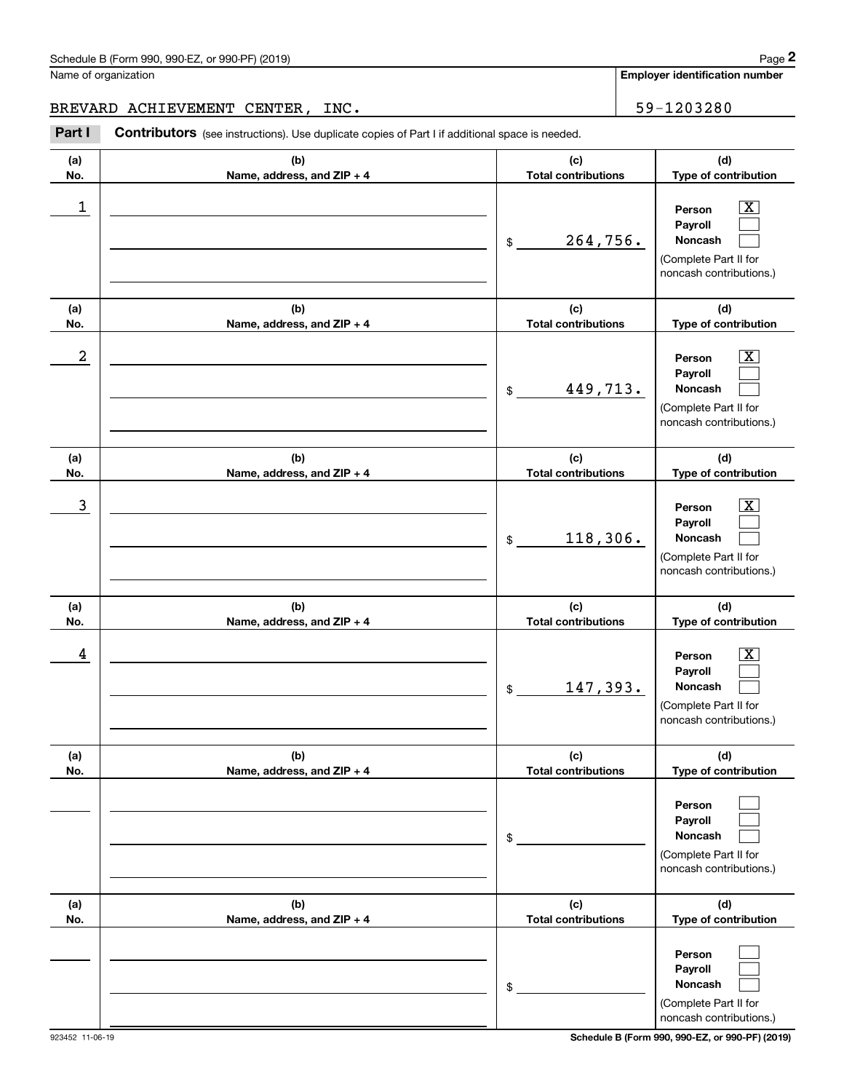Name of organization

**Employer identification number**

BREVARD ACHIEVEMENT CENTER, INC. 59-1203280

Chedule B (Form 990, 990-EZ, or 990-PF) (2019)<br>
lame of organization<br> **2PAREVARD ACHIEVEMENT CENTER, INC.**<br>
2Part I **Contributors** (see instructions). Use duplicate copies of Part I if additional space is needed.

| (a)<br>No. | (b)<br>Name, address, and ZIP + 4 | (c)<br><b>Total contributions</b> | (d)<br>Type of contribution                                                                                      |
|------------|-----------------------------------|-----------------------------------|------------------------------------------------------------------------------------------------------------------|
| 1          |                                   | 264,756.<br>\$                    | $\overline{\text{X}}$<br>Person<br>Payroll<br><b>Noncash</b><br>(Complete Part II for<br>noncash contributions.) |
| (a)<br>No. | (b)<br>Name, address, and ZIP + 4 | (c)<br><b>Total contributions</b> | (d)<br>Type of contribution                                                                                      |
| 2          |                                   | 449,713.<br>\$                    | $\overline{\text{X}}$<br>Person<br>Payroll<br>Noncash<br>(Complete Part II for<br>noncash contributions.)        |
| (a)<br>No. | (b)<br>Name, address, and ZIP + 4 | (c)<br><b>Total contributions</b> | (d)<br>Type of contribution                                                                                      |
| 3          |                                   | 118,306.<br>\$                    | $\overline{\text{X}}$<br>Person<br>Payroll<br>Noncash<br>(Complete Part II for<br>noncash contributions.)        |
| (a)<br>No. | (b)<br>Name, address, and ZIP + 4 | (c)<br><b>Total contributions</b> | (d)<br>Type of contribution                                                                                      |
| 4          |                                   | 147,393.<br>\$                    | $\overline{\texttt{X}}$<br>Person<br>Payroll<br>Noncash<br>(Complete Part II for<br>noncash contributions.)      |
| (a)<br>No. | (b)<br>Name, address, and ZIP + 4 | (c)<br><b>Total contributions</b> | (d)<br>Type of contribution                                                                                      |
|            |                                   | \$                                | Person<br>Payroll<br>Noncash<br>(Complete Part II for<br>noncash contributions.)                                 |
| (a)<br>No. | (b)<br>Name, address, and ZIP + 4 | (c)<br><b>Total contributions</b> | (d)<br>Type of contribution                                                                                      |
|            |                                   | \$                                | Person<br>Payroll<br>Noncash<br>(Complete Part II for<br>noncash contributions.)                                 |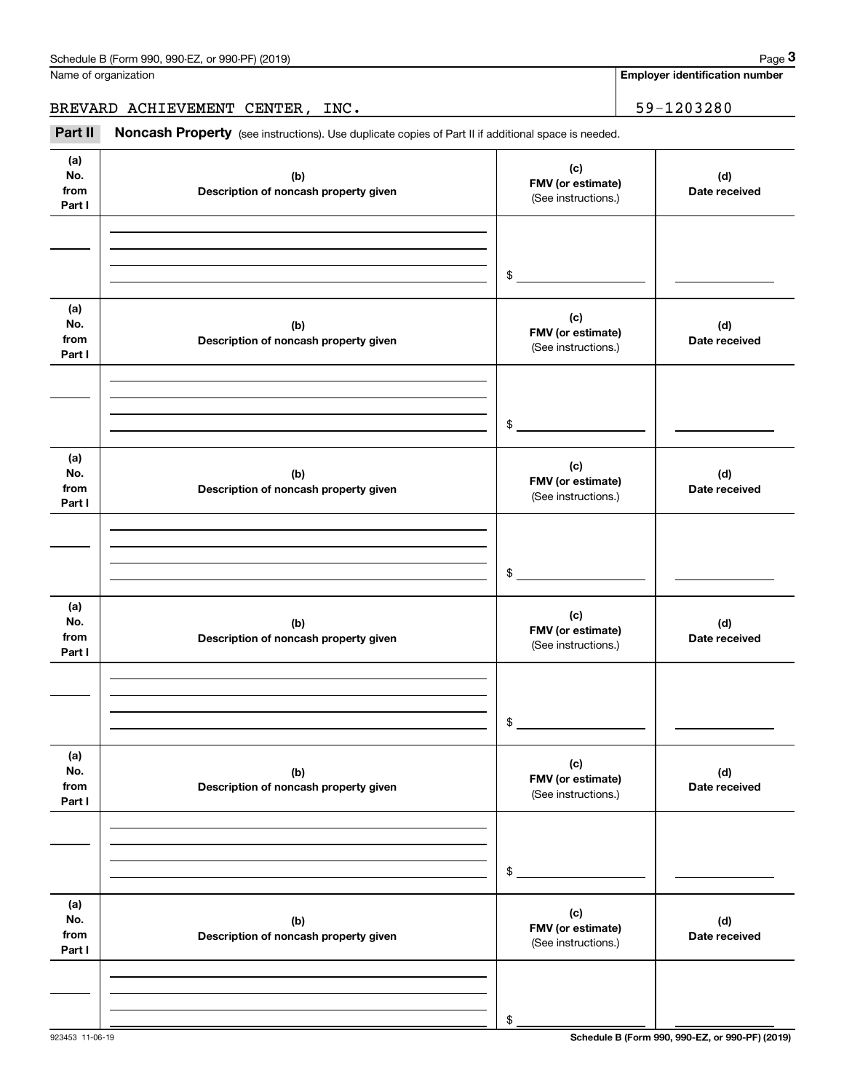| Schedule B (Form 990, 990-EZ, or 990-PF) (2019) | Page |
|-------------------------------------------------|------|
|-------------------------------------------------|------|

Name of organization

**Employer identification number**

BREVARD ACHIEVEMENT CENTER, INC. 59-1203280

Chedule B (Form 990, 990-EZ, or 990-PF) (2019)<br>
lame of organization<br> **3REVARD ACHIEVEMENT CENTER, INC.**<br> **Part II Noncash Property** (see instructions). Use duplicate copies of Part II if additional space is needed.

| (a)<br>No.<br>from<br>Part I | (b)<br>Description of noncash property given | (c)<br>FMV (or estimate)<br>(See instructions.) | (d)<br>Date received |
|------------------------------|----------------------------------------------|-------------------------------------------------|----------------------|
|                              |                                              | \$                                              |                      |
| (a)<br>No.<br>from<br>Part I | (b)<br>Description of noncash property given | (c)<br>FMV (or estimate)<br>(See instructions.) | (d)<br>Date received |
|                              |                                              | \$                                              |                      |
| (a)<br>No.<br>from<br>Part I | (b)<br>Description of noncash property given | (c)<br>FMV (or estimate)<br>(See instructions.) | (d)<br>Date received |
|                              |                                              | \$                                              |                      |
| (a)<br>No.<br>from<br>Part I | (b)<br>Description of noncash property given | (c)<br>FMV (or estimate)<br>(See instructions.) | (d)<br>Date received |
|                              |                                              | \$                                              |                      |
| (a)<br>No.<br>from<br>Part I | (b)<br>Description of noncash property given | (c)<br>FMV (or estimate)<br>(See instructions.) | (d)<br>Date received |
|                              |                                              | \$                                              |                      |
| (a)<br>No.<br>from<br>Part I | (b)<br>Description of noncash property given | (c)<br>FMV (or estimate)<br>(See instructions.) | (d)<br>Date received |
|                              |                                              | \$                                              |                      |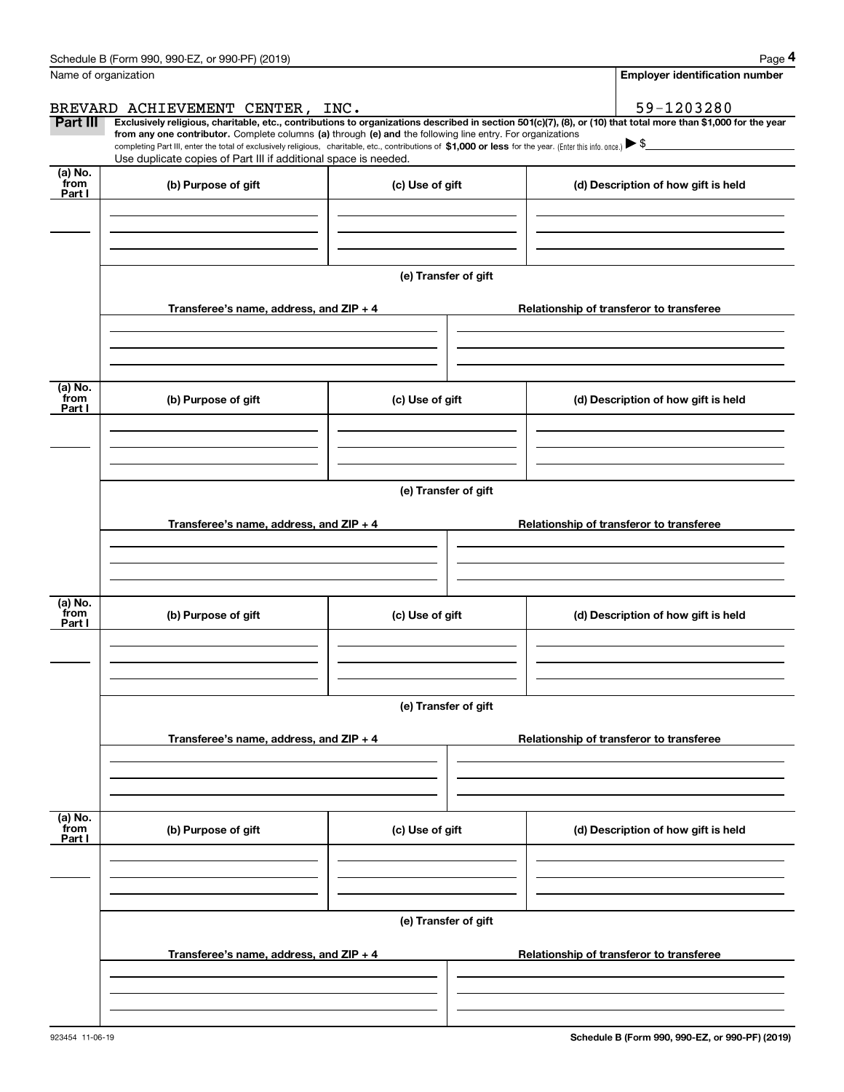|                           | Schedule B (Form 990, 990-EZ, or 990-PF) (2019)                                                                                                                                                                                                                                                 |                      | Page 4                                                                                                                                                         |
|---------------------------|-------------------------------------------------------------------------------------------------------------------------------------------------------------------------------------------------------------------------------------------------------------------------------------------------|----------------------|----------------------------------------------------------------------------------------------------------------------------------------------------------------|
|                           | Name of organization                                                                                                                                                                                                                                                                            |                      | <b>Employer identification number</b>                                                                                                                          |
|                           | BREVARD ACHIEVEMENT CENTER, INC.                                                                                                                                                                                                                                                                |                      | 59-1203280                                                                                                                                                     |
| <b>Part III</b>           | from any one contributor. Complete columns (a) through (e) and the following line entry. For organizations<br>completing Part III, enter the total of exclusively religious, charitable, etc., contributions of \$1,000 or less for the year. (Enter this info. once.) $\blacktriangleright$ \$ |                      | Exclusively religious, charitable, etc., contributions to organizations described in section 501(c)(7), (8), or (10) that total more than \$1,000 for the year |
| (a) No.                   | Use duplicate copies of Part III if additional space is needed.                                                                                                                                                                                                                                 |                      |                                                                                                                                                                |
| from<br>Part I            | (b) Purpose of gift                                                                                                                                                                                                                                                                             | (c) Use of gift      | (d) Description of how gift is held                                                                                                                            |
|                           |                                                                                                                                                                                                                                                                                                 | (e) Transfer of gift |                                                                                                                                                                |
|                           | Transferee's name, address, and $ZIP + 4$                                                                                                                                                                                                                                                       |                      | Relationship of transferor to transferee                                                                                                                       |
| (a) No.<br>from<br>Part I | (b) Purpose of gift                                                                                                                                                                                                                                                                             | (c) Use of gift      | (d) Description of how gift is held                                                                                                                            |
|                           |                                                                                                                                                                                                                                                                                                 |                      |                                                                                                                                                                |
|                           | Transferee's name, address, and $ZIP + 4$                                                                                                                                                                                                                                                       | (e) Transfer of gift | Relationship of transferor to transferee                                                                                                                       |
| (a) No.<br>from<br>Part I | (b) Purpose of gift                                                                                                                                                                                                                                                                             | (c) Use of gift      | (d) Description of how gift is held                                                                                                                            |
|                           |                                                                                                                                                                                                                                                                                                 | (e) Transfer of gift |                                                                                                                                                                |
|                           | Transferee's name, address, and $ZIP + 4$                                                                                                                                                                                                                                                       |                      | Relationship of transferor to transferee                                                                                                                       |
|                           |                                                                                                                                                                                                                                                                                                 |                      |                                                                                                                                                                |
| (a) No.<br>from<br>Part I | (b) Purpose of gift                                                                                                                                                                                                                                                                             | (c) Use of gift      | (d) Description of how gift is held                                                                                                                            |
|                           |                                                                                                                                                                                                                                                                                                 | (e) Transfer of gift |                                                                                                                                                                |
|                           | Transferee's name, address, and ZIP + 4                                                                                                                                                                                                                                                         |                      | Relationship of transferor to transferee                                                                                                                       |
|                           |                                                                                                                                                                                                                                                                                                 |                      |                                                                                                                                                                |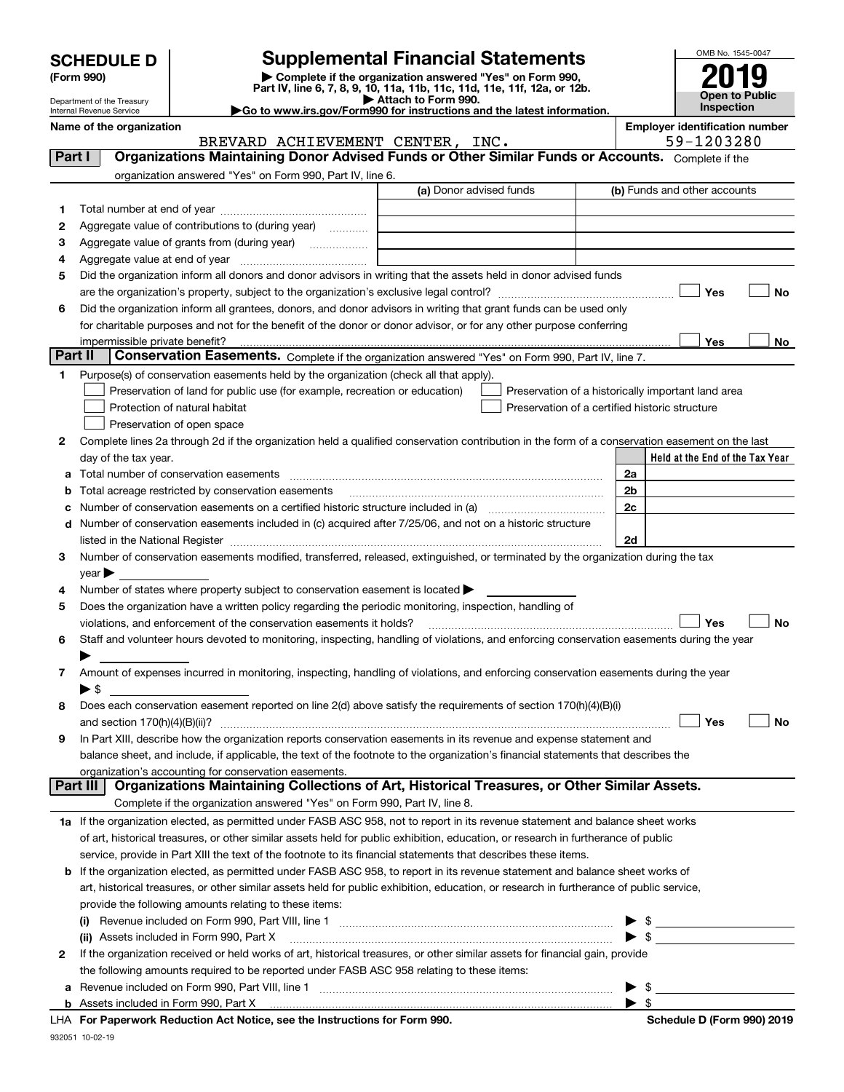| <b>SCHEDULE D</b> |  |
|-------------------|--|
|-------------------|--|

| (Form 990) |  |
|------------|--|
|------------|--|

## **SCHEDULE D Supplemental Financial Statements**

(Form 990)<br>
Pepartment of the Treasury<br>
Department of the Treasury<br>
Department of the Treasury<br>
Department of the Treasury<br> **Co to www.irs.gov/Form990 for instructions and the latest information.**<br> **Co to www.irs.gov/Form9** 



Department of the Treasury Internal Revenue Service

|              | Name of the organization<br>BREVARD ACHIEVEMENT CENTER, INC.                                                                                   | <b>Employer identification number</b><br>59-1203280 |
|--------------|------------------------------------------------------------------------------------------------------------------------------------------------|-----------------------------------------------------|
| Part I       | Organizations Maintaining Donor Advised Funds or Other Similar Funds or Accounts. Complete if the                                              |                                                     |
|              | organization answered "Yes" on Form 990, Part IV, line 6.                                                                                      |                                                     |
|              | (a) Donor advised funds                                                                                                                        | (b) Funds and other accounts                        |
| 1.           |                                                                                                                                                |                                                     |
| 2            | Aggregate value of contributions to (during year)                                                                                              |                                                     |
| з            | Aggregate value of grants from (during year)                                                                                                   |                                                     |
| 4            |                                                                                                                                                |                                                     |
| 5            | Did the organization inform all donors and donor advisors in writing that the assets held in donor advised funds                               |                                                     |
|              |                                                                                                                                                | Yes<br>No                                           |
| 6            | Did the organization inform all grantees, donors, and donor advisors in writing that grant funds can be used only                              |                                                     |
|              | for charitable purposes and not for the benefit of the donor or donor advisor, or for any other purpose conferring                             |                                                     |
|              |                                                                                                                                                | Yes<br>No                                           |
| Part II      | Conservation Easements. Complete if the organization answered "Yes" on Form 990, Part IV, line 7.                                              |                                                     |
| 1            | Purpose(s) of conservation easements held by the organization (check all that apply).                                                          |                                                     |
|              | Preservation of land for public use (for example, recreation or education)                                                                     | Preservation of a historically important land area  |
|              | Protection of natural habitat                                                                                                                  | Preservation of a certified historic structure      |
|              | Preservation of open space                                                                                                                     |                                                     |
| 2            | Complete lines 2a through 2d if the organization held a qualified conservation contribution in the form of a conservation easement on the last |                                                     |
|              | day of the tax year.                                                                                                                           | Held at the End of the Tax Year                     |
| а            |                                                                                                                                                | 2a                                                  |
| b            | Total acreage restricted by conservation easements                                                                                             | 2b                                                  |
| с            | Number of conservation easements on a certified historic structure included in (a) manufacture of conservation                                 | 2c                                                  |
| d            | Number of conservation easements included in (c) acquired after 7/25/06, and not on a historic structure                                       |                                                     |
|              |                                                                                                                                                | 2d                                                  |
| З.           | Number of conservation easements modified, transferred, released, extinguished, or terminated by the organization during the tax               |                                                     |
|              | year                                                                                                                                           |                                                     |
| 4            | Number of states where property subject to conservation easement is located >                                                                  |                                                     |
| 5            | Does the organization have a written policy regarding the periodic monitoring, inspection, handling of                                         |                                                     |
|              | violations, and enforcement of the conservation easements it holds?                                                                            | Yes<br><b>No</b>                                    |
| 6            | Staff and volunteer hours devoted to monitoring, inspecting, handling of violations, and enforcing conservation easements during the year      |                                                     |
|              |                                                                                                                                                |                                                     |
| 7            | Amount of expenses incurred in monitoring, inspecting, handling of violations, and enforcing conservation easements during the year            |                                                     |
|              | ▶ \$                                                                                                                                           |                                                     |
| 8            | Does each conservation easement reported on line 2(d) above satisfy the requirements of section 170(h)(4)(B)(i)                                |                                                     |
|              |                                                                                                                                                | Yes<br>No                                           |
|              | In Part XIII, describe how the organization reports conservation easements in its revenue and expense statement and                            |                                                     |
|              | balance sheet, and include, if applicable, the text of the footnote to the organization's financial statements that describes the              |                                                     |
|              | organization's accounting for conservation easements.                                                                                          |                                                     |
|              | Organizations Maintaining Collections of Art, Historical Treasures, or Other Similar Assets.<br>Part III                                       |                                                     |
|              | Complete if the organization answered "Yes" on Form 990, Part IV, line 8.                                                                      |                                                     |
|              | 1a If the organization elected, as permitted under FASB ASC 958, not to report in its revenue statement and balance sheet works                |                                                     |
|              | of art, historical treasures, or other similar assets held for public exhibition, education, or research in furtherance of public              |                                                     |
|              | service, provide in Part XIII the text of the footnote to its financial statements that describes these items.                                 |                                                     |
| b            | If the organization elected, as permitted under FASB ASC 958, to report in its revenue statement and balance sheet works of                    |                                                     |
|              | art, historical treasures, or other similar assets held for public exhibition, education, or research in furtherance of public service,        |                                                     |
|              | provide the following amounts relating to these items:                                                                                         |                                                     |
|              |                                                                                                                                                | $\frac{1}{2}$                                       |
|              | (ii) Assets included in Form 990, Part X                                                                                                       | $\triangleright$ \$                                 |
| $\mathbf{2}$ | If the organization received or held works of art, historical treasures, or other similar assets for financial gain, provide                   |                                                     |
|              | the following amounts required to be reported under FASB ASC 958 relating to these items:                                                      |                                                     |
| а            | Revenue included on Form 990, Part VIII, line 1 [2000] [2000] [2000] [2000] [3000] [3000] [3000] [3000] [3000                                  | \$<br>▶                                             |
|              |                                                                                                                                                | $\blacktriangleright$ \$                            |
|              | LHA For Paperwork Reduction Act Notice, see the Instructions for Form 990.                                                                     | Schedule D (Form 990) 2019                          |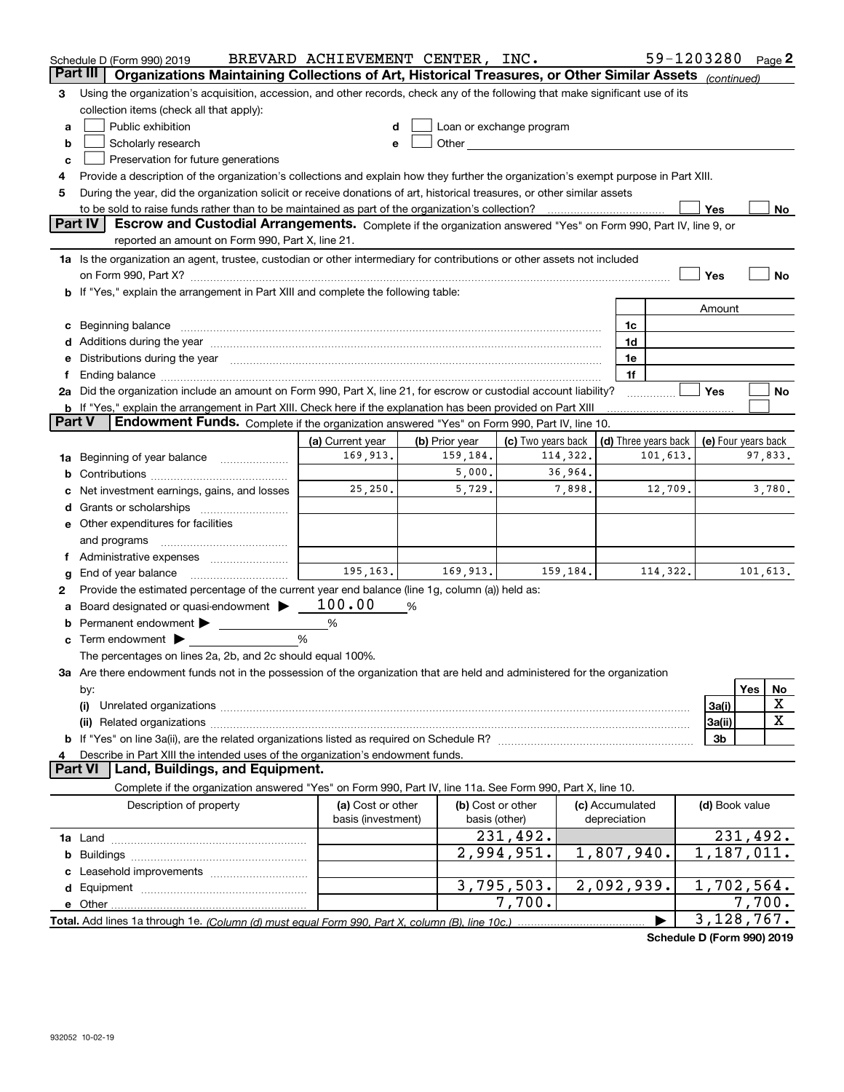|               | Schedule D (Form 990) 2019                                                                                                                                                                                                                                                                                                  | BREVARD ACHIEVEMENT CENTER, INC. |                |                                                                                                                                                                                                                               |         |                 |          |                | 59-1203280 Page 2                          |
|---------------|-----------------------------------------------------------------------------------------------------------------------------------------------------------------------------------------------------------------------------------------------------------------------------------------------------------------------------|----------------------------------|----------------|-------------------------------------------------------------------------------------------------------------------------------------------------------------------------------------------------------------------------------|---------|-----------------|----------|----------------|--------------------------------------------|
|               | Part III<br>Organizations Maintaining Collections of Art, Historical Treasures, or Other Similar Assets (continued)                                                                                                                                                                                                         |                                  |                |                                                                                                                                                                                                                               |         |                 |          |                |                                            |
| з             | Using the organization's acquisition, accession, and other records, check any of the following that make significant use of its                                                                                                                                                                                             |                                  |                |                                                                                                                                                                                                                               |         |                 |          |                |                                            |
|               | collection items (check all that apply):                                                                                                                                                                                                                                                                                    |                                  |                |                                                                                                                                                                                                                               |         |                 |          |                |                                            |
| a             | Public exhibition                                                                                                                                                                                                                                                                                                           |                                  |                | Loan or exchange program                                                                                                                                                                                                      |         |                 |          |                |                                            |
| b             | Scholarly research                                                                                                                                                                                                                                                                                                          |                                  |                | Other and the contract of the contract of the contract of the contract of the contract of the contract of the contract of the contract of the contract of the contract of the contract of the contract of the contract of the |         |                 |          |                |                                            |
| c             | Preservation for future generations                                                                                                                                                                                                                                                                                         |                                  |                |                                                                                                                                                                                                                               |         |                 |          |                |                                            |
|               | Provide a description of the organization's collections and explain how they further the organization's exempt purpose in Part XIII.                                                                                                                                                                                        |                                  |                |                                                                                                                                                                                                                               |         |                 |          |                |                                            |
| 5             | During the year, did the organization solicit or receive donations of art, historical treasures, or other similar assets                                                                                                                                                                                                    |                                  |                |                                                                                                                                                                                                                               |         |                 |          |                |                                            |
|               | to be sold to raise funds rather than to be maintained as part of the organization's collection?                                                                                                                                                                                                                            |                                  |                |                                                                                                                                                                                                                               |         |                 |          | Yes            | No                                         |
|               | <b>Part IV</b><br>Escrow and Custodial Arrangements. Complete if the organization answered "Yes" on Form 990, Part IV, line 9, or<br>reported an amount on Form 990, Part X, line 21.                                                                                                                                       |                                  |                |                                                                                                                                                                                                                               |         |                 |          |                |                                            |
|               |                                                                                                                                                                                                                                                                                                                             |                                  |                |                                                                                                                                                                                                                               |         |                 |          |                |                                            |
|               | 1a Is the organization an agent, trustee, custodian or other intermediary for contributions or other assets not included                                                                                                                                                                                                    |                                  |                |                                                                                                                                                                                                                               |         |                 |          | Yes            | No                                         |
|               | on Form 990, Part X? [11] matter and the contract of the contract of the contract of the contract of the contract of the contract of the contract of the contract of the contract of the contract of the contract of the contr<br><b>b</b> If "Yes," explain the arrangement in Part XIII and complete the following table: |                                  |                |                                                                                                                                                                                                                               |         |                 |          |                |                                            |
|               |                                                                                                                                                                                                                                                                                                                             |                                  |                |                                                                                                                                                                                                                               |         |                 |          | Amount         |                                            |
|               | c Beginning balance measurements and the contract of the contract of the contract of the contract of the contract of the contract of the contract of the contract of the contract of the contract of the contract of the contr                                                                                              |                                  |                |                                                                                                                                                                                                                               |         | 1c              |          |                |                                            |
|               |                                                                                                                                                                                                                                                                                                                             |                                  |                |                                                                                                                                                                                                                               |         | 1d              |          |                |                                            |
|               | e Distributions during the year manufactured and contained and contained and contained and contained and contained and contained and contained and contained and contained and contained and contained and contained and conta                                                                                              |                                  |                |                                                                                                                                                                                                                               |         | 1e              |          |                |                                            |
| Ť.            |                                                                                                                                                                                                                                                                                                                             |                                  |                |                                                                                                                                                                                                                               |         | 1f              |          |                |                                            |
|               | 2a Did the organization include an amount on Form 990, Part X, line 21, for escrow or custodial account liability?                                                                                                                                                                                                          |                                  |                |                                                                                                                                                                                                                               |         |                 |          | Yes            | No                                         |
|               | <b>b</b> If "Yes," explain the arrangement in Part XIII. Check here if the explanation has been provided on Part XIII                                                                                                                                                                                                       |                                  |                |                                                                                                                                                                                                                               |         |                 |          |                |                                            |
| <b>Part V</b> | Endowment Funds. Complete if the organization answered "Yes" on Form 990, Part IV, line 10.                                                                                                                                                                                                                                 |                                  |                |                                                                                                                                                                                                                               |         |                 |          |                |                                            |
|               |                                                                                                                                                                                                                                                                                                                             | (a) Current year                 | (b) Prior year | (c) Two years back                                                                                                                                                                                                            |         |                 |          |                | (d) Three years back   (e) Four years back |
| 1a            | Beginning of year balance                                                                                                                                                                                                                                                                                                   | 169,913.                         | 159,184.       | 114,322.                                                                                                                                                                                                                      |         |                 | 101,613. |                | 97,833.                                    |
|               |                                                                                                                                                                                                                                                                                                                             |                                  | 5,000.         |                                                                                                                                                                                                                               | 36,964. |                 |          |                |                                            |
|               | c Net investment earnings, gains, and losses                                                                                                                                                                                                                                                                                | 25, 250.                         | 5,729.         |                                                                                                                                                                                                                               | 7,898.  |                 | 12,709.  |                | 3,780.                                     |
|               |                                                                                                                                                                                                                                                                                                                             |                                  |                |                                                                                                                                                                                                                               |         |                 |          |                |                                            |
|               | e Other expenditures for facilities                                                                                                                                                                                                                                                                                         |                                  |                |                                                                                                                                                                                                                               |         |                 |          |                |                                            |
|               | and programs                                                                                                                                                                                                                                                                                                                |                                  |                |                                                                                                                                                                                                                               |         |                 |          |                |                                            |
|               | f Administrative expenses                                                                                                                                                                                                                                                                                                   |                                  |                |                                                                                                                                                                                                                               |         |                 |          |                |                                            |
| g             | End of year balance                                                                                                                                                                                                                                                                                                         | 195,163.                         | 169,913.       | 159,184.                                                                                                                                                                                                                      |         |                 | 114,322. |                | 101,613.                                   |
| 2             | Provide the estimated percentage of the current year end balance (line 1g, column (a)) held as:                                                                                                                                                                                                                             |                                  |                |                                                                                                                                                                                                                               |         |                 |          |                |                                            |
| a             | Board designated or quasi-endowment >                                                                                                                                                                                                                                                                                       | 100.00                           | %              |                                                                                                                                                                                                                               |         |                 |          |                |                                            |
|               | <b>b</b> Permanent endowment $\blacktriangleright$                                                                                                                                                                                                                                                                          | %                                |                |                                                                                                                                                                                                                               |         |                 |          |                |                                            |
|               | <b>c</b> Term endowment $\blacktriangleright$                                                                                                                                                                                                                                                                               | %                                |                |                                                                                                                                                                                                                               |         |                 |          |                |                                            |
|               | The percentages on lines 2a, 2b, and 2c should equal 100%.                                                                                                                                                                                                                                                                  |                                  |                |                                                                                                                                                                                                                               |         |                 |          |                |                                            |
|               | 3a Are there endowment funds not in the possession of the organization that are held and administered for the organization                                                                                                                                                                                                  |                                  |                |                                                                                                                                                                                                                               |         |                 |          |                |                                            |
|               | by:                                                                                                                                                                                                                                                                                                                         |                                  |                |                                                                                                                                                                                                                               |         |                 |          |                | Yes<br>No<br>х                             |
|               | (i)                                                                                                                                                                                                                                                                                                                         |                                  |                |                                                                                                                                                                                                                               |         |                 |          | 3a(i)          | х                                          |
|               |                                                                                                                                                                                                                                                                                                                             |                                  |                |                                                                                                                                                                                                                               |         |                 |          | 3a(ii)<br>3b   |                                            |
| 4             | Describe in Part XIII the intended uses of the organization's endowment funds.                                                                                                                                                                                                                                              |                                  |                |                                                                                                                                                                                                                               |         |                 |          |                |                                            |
|               | Land, Buildings, and Equipment.<br><b>Part VI</b>                                                                                                                                                                                                                                                                           |                                  |                |                                                                                                                                                                                                                               |         |                 |          |                |                                            |
|               | Complete if the organization answered "Yes" on Form 990, Part IV, line 11a. See Form 990, Part X, line 10.                                                                                                                                                                                                                  |                                  |                |                                                                                                                                                                                                                               |         |                 |          |                |                                            |
|               | Description of property                                                                                                                                                                                                                                                                                                     | (a) Cost or other                |                | (b) Cost or other                                                                                                                                                                                                             |         | (c) Accumulated |          | (d) Book value |                                            |
|               |                                                                                                                                                                                                                                                                                                                             | basis (investment)               |                | basis (other)                                                                                                                                                                                                                 |         | depreciation    |          |                |                                            |
|               |                                                                                                                                                                                                                                                                                                                             |                                  |                | 231,492.                                                                                                                                                                                                                      |         |                 |          |                | 231,492.                                   |
|               |                                                                                                                                                                                                                                                                                                                             |                                  |                | $\overline{2}$ , 994, 951.                                                                                                                                                                                                    |         | 1,807,940.      |          |                | 1,187,011.                                 |
|               |                                                                                                                                                                                                                                                                                                                             |                                  |                |                                                                                                                                                                                                                               |         |                 |          |                |                                            |
|               |                                                                                                                                                                                                                                                                                                                             |                                  |                | 3,795,503.                                                                                                                                                                                                                    |         | 2,092,939.      |          |                | 1,702,564.                                 |
|               |                                                                                                                                                                                                                                                                                                                             |                                  |                | 7,700.                                                                                                                                                                                                                        |         |                 |          |                | 7,700.                                     |
|               |                                                                                                                                                                                                                                                                                                                             |                                  |                |                                                                                                                                                                                                                               |         |                 |          |                | 3, 128, 767.                               |

**Schedule D (Form 990) 2019**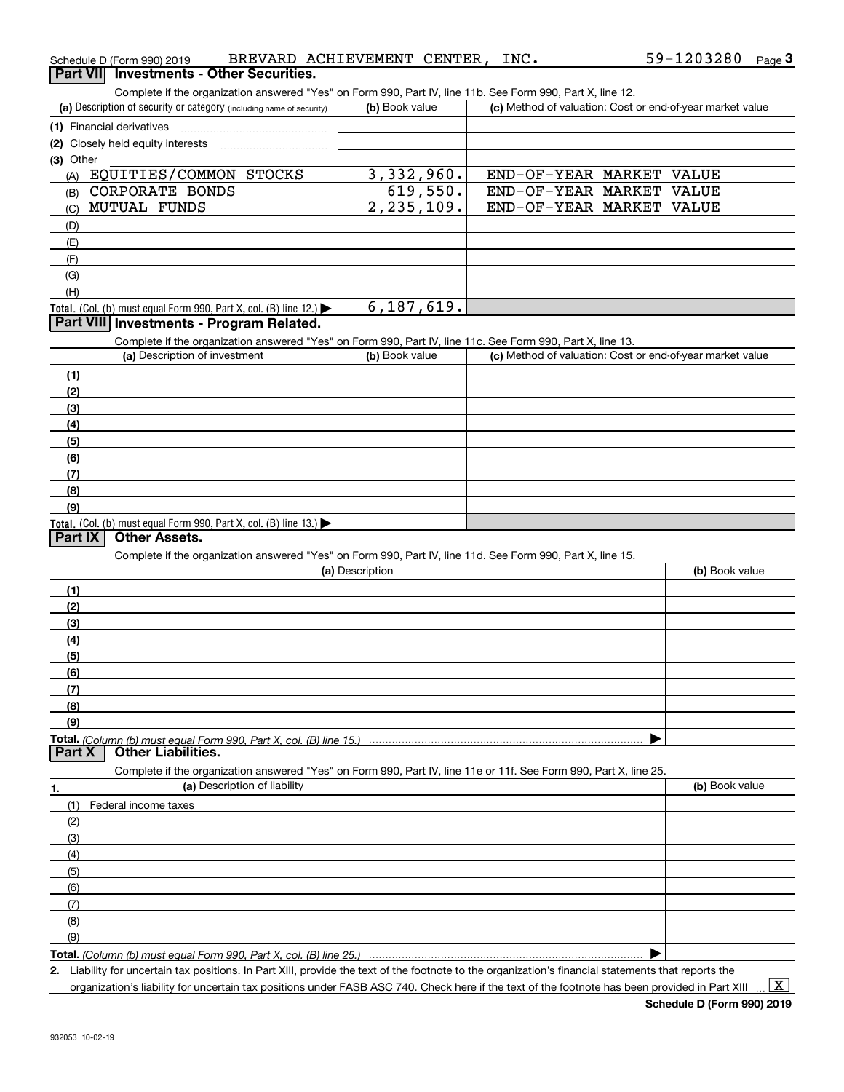| Schedule D (Form 990) 2019                                                                                        | BREVARD ACHIEVEMENT CENTER, INC. | 59-1203280<br>Page $3$                                    |
|-------------------------------------------------------------------------------------------------------------------|----------------------------------|-----------------------------------------------------------|
| Part VII Investments - Other Securities.                                                                          |                                  |                                                           |
| Complete if the organization answered "Yes" on Form 990, Part IV, line 11b. See Form 990, Part X, line 12.        |                                  |                                                           |
| (a) Description of security or category (including name of security)                                              | (b) Book value                   | (c) Method of valuation: Cost or end-of-year market value |
| (1) Financial derivatives                                                                                         |                                  |                                                           |
| (2) Closely held equity interests                                                                                 |                                  |                                                           |
| (3) Other                                                                                                         |                                  |                                                           |
| EQUITIES/COMMON STOCKS<br>(A)                                                                                     | 3,332,960.                       | END-OF-YEAR MARKET VALUE                                  |
| CORPORATE BONDS<br>(B)                                                                                            | 619,550.                         | END-OF-YEAR MARKET VALUE                                  |
| <b>MUTUAL FUNDS</b><br>(C)                                                                                        | 2, 235, 109.                     | END-OF-YEAR MARKET VALUE                                  |
| (D)                                                                                                               |                                  |                                                           |
| (E)                                                                                                               |                                  |                                                           |
| (F)                                                                                                               |                                  |                                                           |
| (G)                                                                                                               |                                  |                                                           |
| (H)                                                                                                               |                                  |                                                           |
| Total. (Col. (b) must equal Form 990, Part X, col. (B) line 12.) $\blacktriangleright$                            | 6, 187, 619.                     |                                                           |
| Part VIII Investments - Program Related.                                                                          |                                  |                                                           |
| Complete if the organization answered "Yes" on Form 990, Part IV, line 11c. See Form 990, Part X, line 13.        |                                  |                                                           |
| (a) Description of investment                                                                                     | (b) Book value                   | (c) Method of valuation: Cost or end-of-year market value |
| (1)                                                                                                               |                                  |                                                           |
| (2)                                                                                                               |                                  |                                                           |
| (3)                                                                                                               |                                  |                                                           |
|                                                                                                                   |                                  |                                                           |
| (4)                                                                                                               |                                  |                                                           |
| (5)                                                                                                               |                                  |                                                           |
| (6)                                                                                                               |                                  |                                                           |
| (7)                                                                                                               |                                  |                                                           |
| (8)                                                                                                               |                                  |                                                           |
| (9)                                                                                                               |                                  |                                                           |
| Total. (Col. (b) must equal Form 990, Part X, col. (B) line 13.)<br><b>Other Assets.</b><br>Part IX               |                                  |                                                           |
| Complete if the organization answered "Yes" on Form 990, Part IV, line 11d. See Form 990, Part X, line 15.        |                                  |                                                           |
|                                                                                                                   | (a) Description                  | (b) Book value                                            |
| (1)                                                                                                               |                                  |                                                           |
|                                                                                                                   |                                  |                                                           |
| (2)                                                                                                               |                                  |                                                           |
| (3)                                                                                                               |                                  |                                                           |
| (4)                                                                                                               |                                  |                                                           |
| (5)                                                                                                               |                                  |                                                           |
| (6)                                                                                                               |                                  |                                                           |
| (7)                                                                                                               |                                  |                                                           |
| (8)                                                                                                               |                                  |                                                           |
| (9)                                                                                                               |                                  |                                                           |
| Total. (Column (b) must equal Form 990. Part X, col. (B) line 15.)<br><b>Part X</b><br><b>Other Liabilities.</b>  |                                  |                                                           |
|                                                                                                                   |                                  |                                                           |
| Complete if the organization answered "Yes" on Form 990, Part IV, line 11e or 11f. See Form 990, Part X, line 25. |                                  |                                                           |
| (a) Description of liability<br>1.                                                                                |                                  | (b) Book value                                            |
| Federal income taxes<br>(1)                                                                                       |                                  |                                                           |
| (2)                                                                                                               |                                  |                                                           |
| (3)                                                                                                               |                                  |                                                           |
| (4)                                                                                                               |                                  |                                                           |
| (5)                                                                                                               |                                  |                                                           |
| (6)                                                                                                               |                                  |                                                           |
| (7)                                                                                                               |                                  |                                                           |
| (8)                                                                                                               |                                  |                                                           |
| (9)                                                                                                               |                                  |                                                           |
| Total. (Column (b) must equal Form 990, Part X, col. (B) line 25.)                                                |                                  |                                                           |

**2.** Liability for uncertain tax positions. In Part XIII, provide the text of the footnote to the organization's financial statements that reports the organization's liability for uncertain tax positions under FASB ASC 740. Check here if the text of the footnote has been provided in Part XIII

 $\vert$  X  $\vert$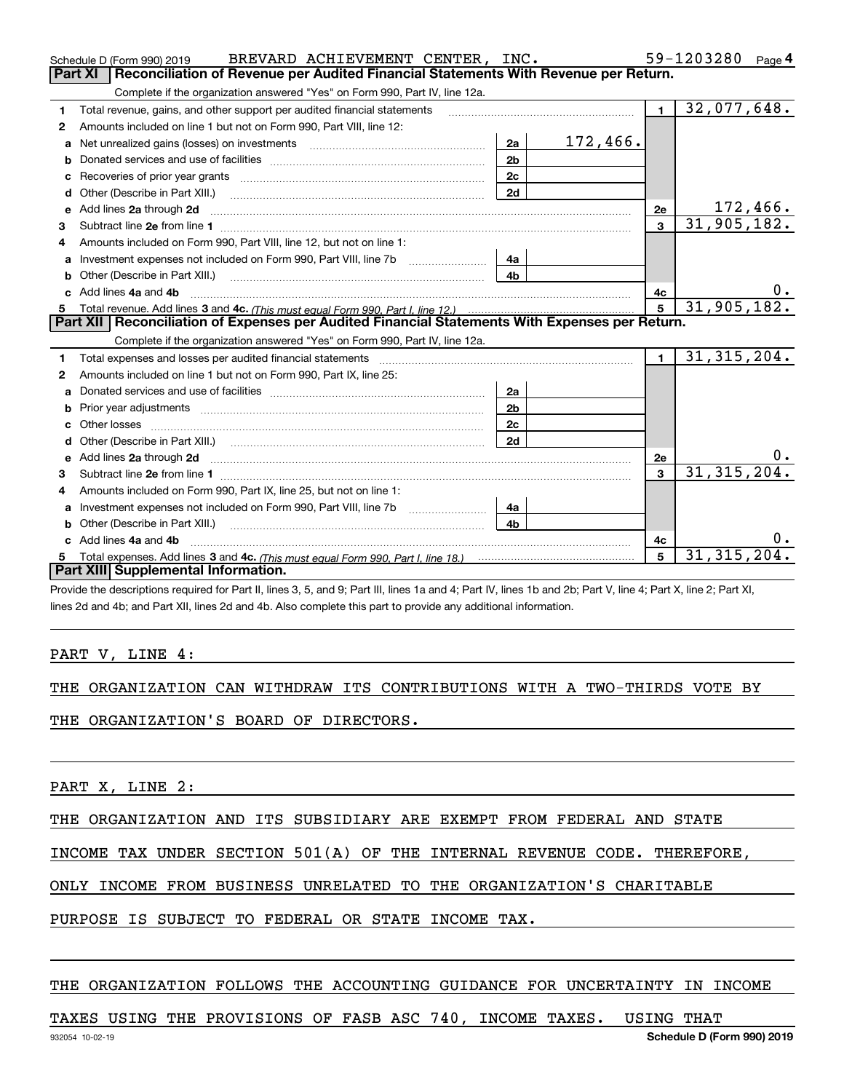|    | BREVARD ACHIEVEMENT CENTER, INC.<br>Schedule D (Form 990) 2019                                                                                                                                                                |                |                 |                | 59-1203280<br>Page 4 |
|----|-------------------------------------------------------------------------------------------------------------------------------------------------------------------------------------------------------------------------------|----------------|-----------------|----------------|----------------------|
|    | <b>Part XI</b><br>Reconciliation of Revenue per Audited Financial Statements With Revenue per Return.                                                                                                                         |                |                 |                |                      |
|    | Complete if the organization answered "Yes" on Form 990, Part IV, line 12a.                                                                                                                                                   |                |                 |                |                      |
| 1. | Total revenue, gains, and other support per audited financial statements                                                                                                                                                      |                |                 | $\blacksquare$ | 32,077,648.          |
| 2  | Amounts included on line 1 but not on Form 990, Part VIII, line 12:                                                                                                                                                           |                |                 |                |                      |
| a  | Net unrealized gains (losses) on investments [11] matter contracts and the unrealized gains (losses) on investments                                                                                                           | 2a             | <u>172,466.</u> |                |                      |
|    |                                                                                                                                                                                                                               | 2 <sub>b</sub> |                 |                |                      |
|    |                                                                                                                                                                                                                               | 2c             |                 |                |                      |
| d  |                                                                                                                                                                                                                               | 2d             |                 |                |                      |
| е  | Add lines 2a through 2d                                                                                                                                                                                                       |                |                 | 2e             | 172,466.             |
| 3  |                                                                                                                                                                                                                               |                |                 | $\mathbf{3}$   | 31,905,182.          |
| 4  | Amounts included on Form 990, Part VIII, line 12, but not on line 1:                                                                                                                                                          |                |                 |                |                      |
|    |                                                                                                                                                                                                                               | 4а             |                 |                |                      |
|    |                                                                                                                                                                                                                               | 4 <sub>b</sub> |                 |                |                      |
| c. | Add lines 4a and 4b                                                                                                                                                                                                           |                |                 | 4с             | $0$ .                |
|    |                                                                                                                                                                                                                               |                |                 |                | 31,905,182.          |
|    |                                                                                                                                                                                                                               |                |                 |                |                      |
|    | Part XII   Reconciliation of Expenses per Audited Financial Statements With Expenses per Return.                                                                                                                              |                |                 |                |                      |
|    | Complete if the organization answered "Yes" on Form 990, Part IV, line 12a.                                                                                                                                                   |                |                 |                |                      |
| 1  | Total expenses and losses per audited financial statements [11, 11] manuscription control expenses and losses per audited financial statements [11] manuscription of the statements [11] manuscription of the statements [11] |                |                 | $\blacksquare$ | 31, 315, 204.        |
| 2  | Amounts included on line 1 but not on Form 990, Part IX, line 25:                                                                                                                                                             |                |                 |                |                      |
| a  |                                                                                                                                                                                                                               | 2a             |                 |                |                      |
| b  |                                                                                                                                                                                                                               | 2 <sub>b</sub> |                 |                |                      |
| C. |                                                                                                                                                                                                                               | 2 <sub>c</sub> |                 |                |                      |
|    |                                                                                                                                                                                                                               | 2d             |                 |                |                      |
|    |                                                                                                                                                                                                                               |                |                 | 2e             | υ.                   |
| 3  |                                                                                                                                                                                                                               |                |                 | $\mathbf{a}$   | 31, 315, 204.        |
| 4  | Amounts included on Form 990, Part IX, line 25, but not on line 1:                                                                                                                                                            |                |                 |                |                      |
|    |                                                                                                                                                                                                                               | 4a             |                 |                |                      |
| b  |                                                                                                                                                                                                                               | 4b             |                 |                |                      |
|    | Add lines 4a and 4b                                                                                                                                                                                                           |                |                 | 4c             | υ.                   |
|    | Part XIII Supplemental Information.                                                                                                                                                                                           |                |                 | $\mathbf{5}$   | 31, 315, 204.        |

Provide the descriptions required for Part II, lines 3, 5, and 9; Part III, lines 1a and 4; Part IV, lines 1b and 2b; Part V, line 4; Part X, line 2; Part XI, lines 2d and 4b; and Part XII, lines 2d and 4b. Also complete this part to provide any additional information.

#### PART V, LINE 4:

|  |  |  |  |  | THE ORGANIZATION CAN WITHDRAW ITS CONTRIBUTIONS WITH A TWO-THIRDS VOTE BY |  |  |  |  |  |
|--|--|--|--|--|---------------------------------------------------------------------------|--|--|--|--|--|
|--|--|--|--|--|---------------------------------------------------------------------------|--|--|--|--|--|

THE ORGANIZATION'S BOARD OF DIRECTORS.

PART X, LINE 2:

THE ORGANIZATION AND ITS SUBSIDIARY ARE EXEMPT FROM FEDERAL AND STATE

INCOME TAX UNDER SECTION 501(A) OF THE INTERNAL REVENUE CODE. THEREFORE,

ONLY INCOME FROM BUSINESS UNRELATED TO THE ORGANIZATION'S CHARITABLE

PURPOSE IS SUBJECT TO FEDERAL OR STATE INCOME TAX.

#### THE ORGANIZATION FOLLOWS THE ACCOUNTING GUIDANCE FOR UNCERTAINTY IN INCOME

TAXES USING THE PROVISIONS OF FASB ASC 740, INCOME TAXES. USING THAT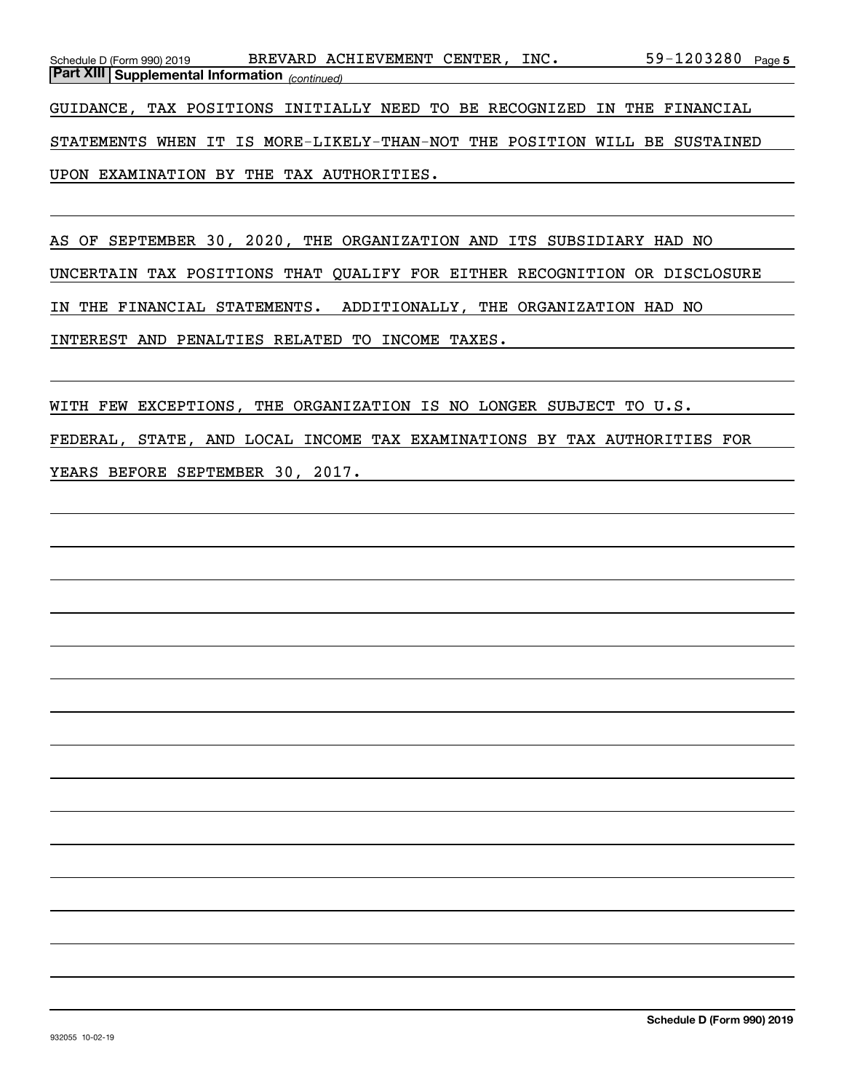| Schedule D (Form 990) 2019 |                                                                          |  | BREVARD ACHIEVEMENT CENTER. |  | INC. |  | 59-1203280 Page 5 |  |
|----------------------------|--------------------------------------------------------------------------|--|-----------------------------|--|------|--|-------------------|--|
|                            | <b>Part XIII Supplemental Information</b> (continued)                    |  |                             |  |      |  |                   |  |
|                            |                                                                          |  |                             |  |      |  |                   |  |
|                            | GUIDANCE, TAX POSITIONS INITIALLY NEED TO BE RECOGNIZED IN THE FINANCIAL |  |                             |  |      |  |                   |  |
|                            |                                                                          |  |                             |  |      |  |                   |  |

STATEMENTS WHEN IT IS MORE-LIKELY-THAN-NOT THE POSITION WILL BE SUSTAINED UPON EXAMINATION BY THE TAX AUTHORITIES.

AS OF SEPTEMBER 30, 2020, THE ORGANIZATION AND ITS SUBSIDIARY HAD NO UNCERTAIN TAX POSITIONS THAT QUALIFY FOR EITHER RECOGNITION OR DISCLOSURE IN THE FINANCIAL STATEMENTS. ADDITIONALLY, THE ORGANIZATION HAD NO INTEREST AND PENALTIES RELATED TO INCOME TAXES.

WITH FEW EXCEPTIONS, THE ORGANIZATION IS NO LONGER SUBJECT TO U.S. FEDERAL, STATE, AND LOCAL INCOME TAX EXAMINATIONS BY TAX AUTHORITIES FOR YEARS BEFORE SEPTEMBER 30, 2017.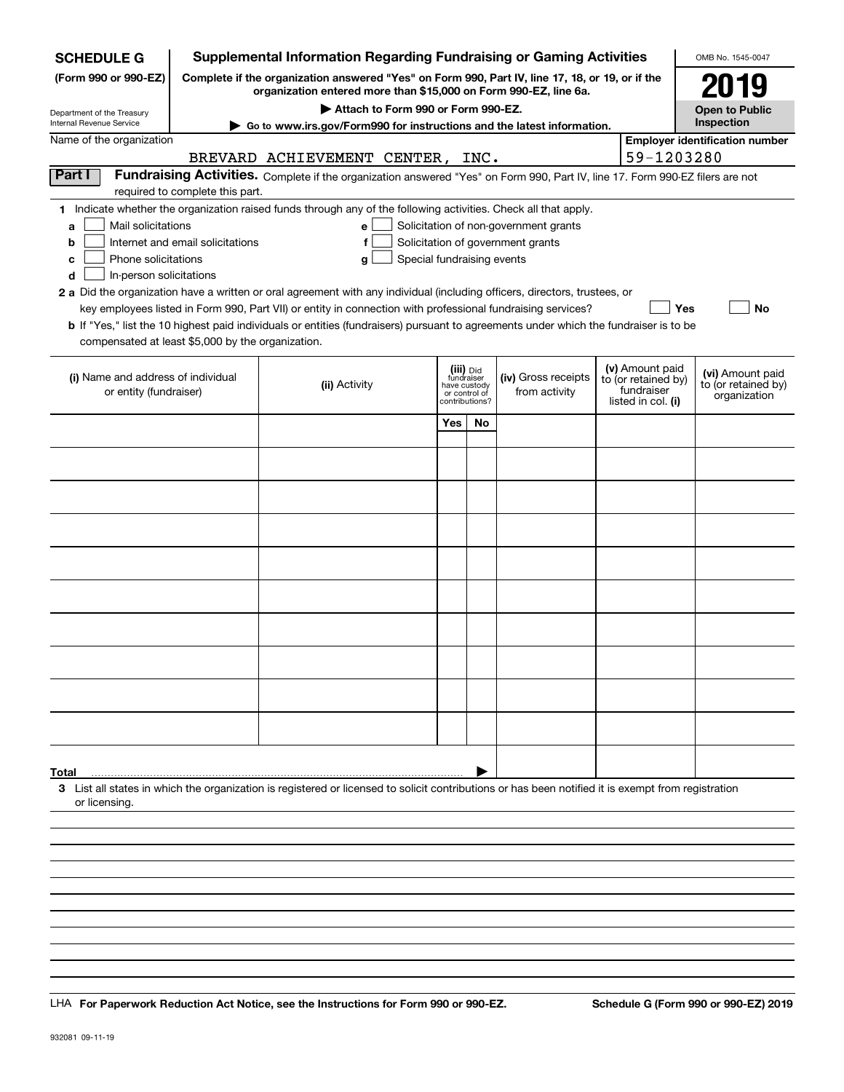| <b>SCHEDULE G</b>                                                     |                                  | <b>Supplemental Information Regarding Fundraising or Gaming Activities</b>                                                                                          |                            |                                         |                                      |  |                                   | OMB No. 1545-0047                       |  |  |
|-----------------------------------------------------------------------|----------------------------------|---------------------------------------------------------------------------------------------------------------------------------------------------------------------|----------------------------|-----------------------------------------|--------------------------------------|--|-----------------------------------|-----------------------------------------|--|--|
| (Form 990 or 990-EZ)                                                  |                                  | Complete if the organization answered "Yes" on Form 990, Part IV, line 17, 18, or 19, or if the<br>organization entered more than \$15,000 on Form 990-EZ, line 6a. |                            |                                         |                                      |  |                                   | 2019                                    |  |  |
| Department of the Treasury                                            |                                  | Attach to Form 990 or Form 990-EZ.                                                                                                                                  |                            |                                         |                                      |  |                                   | <b>Open to Public</b>                   |  |  |
| Internal Revenue Service                                              |                                  | Go to www.irs.gov/Form990 for instructions and the latest information.                                                                                              |                            |                                         |                                      |  |                                   | Inspection                              |  |  |
| Name of the organization                                              |                                  | <b>Employer identification number</b>                                                                                                                               |                            |                                         |                                      |  |                                   |                                         |  |  |
| Part I                                                                |                                  | BREVARD ACHIEVEMENT CENTER, INC.                                                                                                                                    |                            |                                         |                                      |  | 59-1203280                        |                                         |  |  |
|                                                                       | required to complete this part.  | Fundraising Activities. Complete if the organization answered "Yes" on Form 990, Part IV, line 17. Form 990-EZ filers are not                                       |                            |                                         |                                      |  |                                   |                                         |  |  |
|                                                                       |                                  | 1 Indicate whether the organization raised funds through any of the following activities. Check all that apply.                                                     |                            |                                         |                                      |  |                                   |                                         |  |  |
| Mail solicitations<br>Solicitation of non-government grants<br>a<br>e |                                  |                                                                                                                                                                     |                            |                                         |                                      |  |                                   |                                         |  |  |
| b                                                                     | Internet and email solicitations | f                                                                                                                                                                   |                            |                                         | Solicitation of government grants    |  |                                   |                                         |  |  |
| Phone solicitations<br>с                                              |                                  | g                                                                                                                                                                   | Special fundraising events |                                         |                                      |  |                                   |                                         |  |  |
| In-person solicitations<br>d                                          |                                  | 2 a Did the organization have a written or oral agreement with any individual (including officers, directors, trustees, or                                          |                            |                                         |                                      |  |                                   |                                         |  |  |
|                                                                       |                                  | key employees listed in Form 990, Part VII) or entity in connection with professional fundraising services?                                                         |                            |                                         |                                      |  | Yes                               | No                                      |  |  |
|                                                                       |                                  | <b>b</b> If "Yes," list the 10 highest paid individuals or entities (fundraisers) pursuant to agreements under which the fundraiser is to be                        |                            |                                         |                                      |  |                                   |                                         |  |  |
| compensated at least \$5,000 by the organization.                     |                                  |                                                                                                                                                                     |                            |                                         |                                      |  |                                   |                                         |  |  |
|                                                                       |                                  |                                                                                                                                                                     |                            |                                         |                                      |  | (v) Amount paid                   |                                         |  |  |
| (i) Name and address of individual<br>or entity (fundraiser)          |                                  | (ii) Activity                                                                                                                                                       |                            | (iii) Did<br>fundraiser<br>have custody | (iv) Gross receipts<br>from activity |  | to (or retained by)<br>fundraiser | (vi) Amount paid<br>to (or retained by) |  |  |
|                                                                       |                                  |                                                                                                                                                                     |                            | or control of<br>contributions?         |                                      |  | listed in col. (i)                | organization                            |  |  |
|                                                                       |                                  |                                                                                                                                                                     | Yes                        | No                                      |                                      |  |                                   |                                         |  |  |
|                                                                       |                                  |                                                                                                                                                                     |                            |                                         |                                      |  |                                   |                                         |  |  |
|                                                                       |                                  |                                                                                                                                                                     |                            |                                         |                                      |  |                                   |                                         |  |  |
|                                                                       |                                  |                                                                                                                                                                     |                            |                                         |                                      |  |                                   |                                         |  |  |
|                                                                       |                                  |                                                                                                                                                                     |                            |                                         |                                      |  |                                   |                                         |  |  |
|                                                                       |                                  |                                                                                                                                                                     |                            |                                         |                                      |  |                                   |                                         |  |  |
|                                                                       |                                  |                                                                                                                                                                     |                            |                                         |                                      |  |                                   |                                         |  |  |
|                                                                       |                                  |                                                                                                                                                                     |                            |                                         |                                      |  |                                   |                                         |  |  |
|                                                                       |                                  |                                                                                                                                                                     |                            |                                         |                                      |  |                                   |                                         |  |  |
|                                                                       |                                  |                                                                                                                                                                     |                            |                                         |                                      |  |                                   |                                         |  |  |
|                                                                       |                                  |                                                                                                                                                                     |                            |                                         |                                      |  |                                   |                                         |  |  |
|                                                                       |                                  |                                                                                                                                                                     |                            |                                         |                                      |  |                                   |                                         |  |  |
|                                                                       |                                  |                                                                                                                                                                     |                            |                                         |                                      |  |                                   |                                         |  |  |
|                                                                       |                                  |                                                                                                                                                                     |                            |                                         |                                      |  |                                   |                                         |  |  |
|                                                                       |                                  |                                                                                                                                                                     |                            |                                         |                                      |  |                                   |                                         |  |  |
|                                                                       |                                  |                                                                                                                                                                     |                            |                                         |                                      |  |                                   |                                         |  |  |
|                                                                       |                                  |                                                                                                                                                                     |                            |                                         |                                      |  |                                   |                                         |  |  |
|                                                                       |                                  |                                                                                                                                                                     |                            |                                         |                                      |  |                                   |                                         |  |  |
| Total                                                                 |                                  | 3 List all states in which the organization is registered or licensed to solicit contributions or has been notified it is exempt from registration                  |                            |                                         |                                      |  |                                   |                                         |  |  |
| or licensing.                                                         |                                  |                                                                                                                                                                     |                            |                                         |                                      |  |                                   |                                         |  |  |
|                                                                       |                                  |                                                                                                                                                                     |                            |                                         |                                      |  |                                   |                                         |  |  |
|                                                                       |                                  |                                                                                                                                                                     |                            |                                         |                                      |  |                                   |                                         |  |  |
|                                                                       |                                  |                                                                                                                                                                     |                            |                                         |                                      |  |                                   |                                         |  |  |
|                                                                       |                                  |                                                                                                                                                                     |                            |                                         |                                      |  |                                   |                                         |  |  |
|                                                                       |                                  |                                                                                                                                                                     |                            |                                         |                                      |  |                                   |                                         |  |  |

LHA For Paperwork Reduction Act Notice, see the Instructions for Form 990 or 990-EZ. Schedule G (Form 990 or 990-EZ) 2019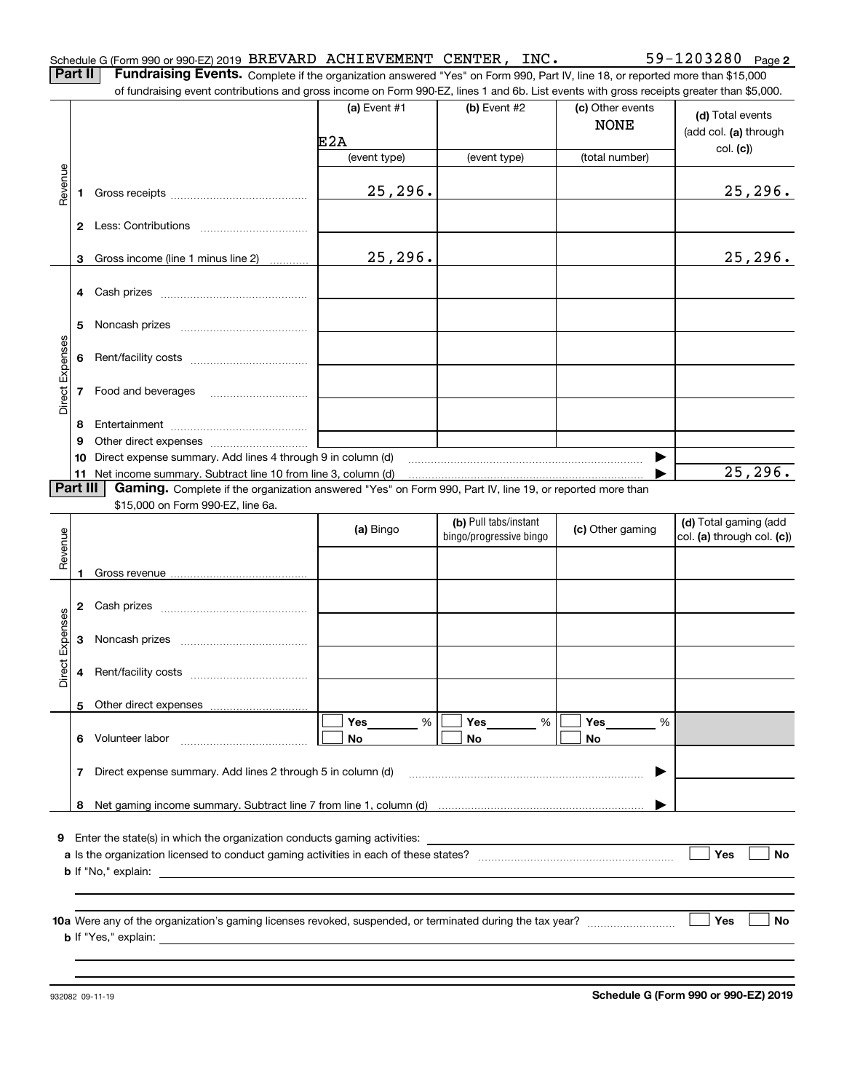| Schedule G (Form 990 or 990-EZ) 2019 BREVARD ACHIEVEMENT CENTER, |  | INC. | $59 - 1203280$ Page 2 |  |
|------------------------------------------------------------------|--|------|-----------------------|--|
|                                                                  |  |      |                       |  |

**Part II** | Fundraising Events. Complete if the organization answered "Yes" on Form 990, Part IV, line 18, or reported more than \$15,000 of fundraising event contributions and gross income on Form 990-EZ, lines 1 and 6b. List events with gross receipts greater than \$5,000.

|                 |          | 01 Turidialshig event contributions and gross income on Form 990-EZ, inles T and ob. Elst events with gross receipts greater than \$0,000. |                       |                                                  |                                 |                                                     |
|-----------------|----------|--------------------------------------------------------------------------------------------------------------------------------------------|-----------------------|--------------------------------------------------|---------------------------------|-----------------------------------------------------|
|                 |          |                                                                                                                                            | (a) Event $#1$<br>E2A | $(b)$ Event #2                                   | (c) Other events<br><b>NONE</b> | (d) Total events<br>(add col. (a) through           |
|                 |          |                                                                                                                                            | (event type)          | (event type)                                     | (total number)                  | col. (c)                                            |
| Revenue         |          |                                                                                                                                            | 25, 296.              |                                                  |                                 | 25, 296.                                            |
|                 |          |                                                                                                                                            |                       |                                                  |                                 |                                                     |
|                 |          | 3 Gross income (line 1 minus line 2)                                                                                                       | 25, 296.              |                                                  |                                 | 25, 296.                                            |
|                 |          | 4 Cash prizes                                                                                                                              |                       |                                                  |                                 |                                                     |
|                 | 5        |                                                                                                                                            |                       |                                                  |                                 |                                                     |
|                 |          |                                                                                                                                            |                       |                                                  |                                 |                                                     |
| Direct Expenses |          | 7 Food and beverages                                                                                                                       |                       |                                                  |                                 |                                                     |
|                 | 8        |                                                                                                                                            |                       |                                                  |                                 |                                                     |
|                 | 9        |                                                                                                                                            |                       |                                                  |                                 |                                                     |
|                 | 10       | Direct expense summary. Add lines 4 through 9 in column (d)<br>11 Net income summary. Subtract line 10 from line 3, column (d)             |                       |                                                  |                                 | 25, 296.                                            |
|                 | Part III | Gaming. Complete if the organization answered "Yes" on Form 990, Part IV, line 19, or reported more than                                   |                       |                                                  |                                 |                                                     |
|                 |          | \$15,000 on Form 990-EZ, line 6a.                                                                                                          |                       |                                                  |                                 |                                                     |
| Revenue         |          |                                                                                                                                            | (a) Bingo             | (b) Pull tabs/instant<br>bingo/progressive bingo | (c) Other gaming                | (d) Total gaming (add<br>col. (a) through col. (c)) |
|                 | 1        |                                                                                                                                            |                       |                                                  |                                 |                                                     |
|                 |          |                                                                                                                                            |                       |                                                  |                                 |                                                     |
| Direct Expenses |          |                                                                                                                                            |                       |                                                  |                                 |                                                     |
|                 |          |                                                                                                                                            |                       |                                                  |                                 |                                                     |
|                 |          | 5 Other direct expenses                                                                                                                    |                       |                                                  |                                 |                                                     |
|                 | 6        | Volunteer labor                                                                                                                            | $\%$<br>Yes<br>No     | Yes<br>%<br>No                                   | Yes<br>%<br>No                  |                                                     |
|                 | 7        | Direct expense summary. Add lines 2 through 5 in column (d)                                                                                |                       |                                                  |                                 |                                                     |
|                 | 8        |                                                                                                                                            |                       |                                                  |                                 |                                                     |
| 9               |          | Enter the state(s) in which the organization conducts gaming activities:<br><b>b</b> If "No," explain:                                     |                       |                                                  |                                 | Yes<br>No                                           |
|                 |          | <b>b</b> If "Yes," explain:                                                                                                                |                       |                                                  |                                 | Yes<br>No                                           |
|                 |          |                                                                                                                                            |                       |                                                  |                                 |                                                     |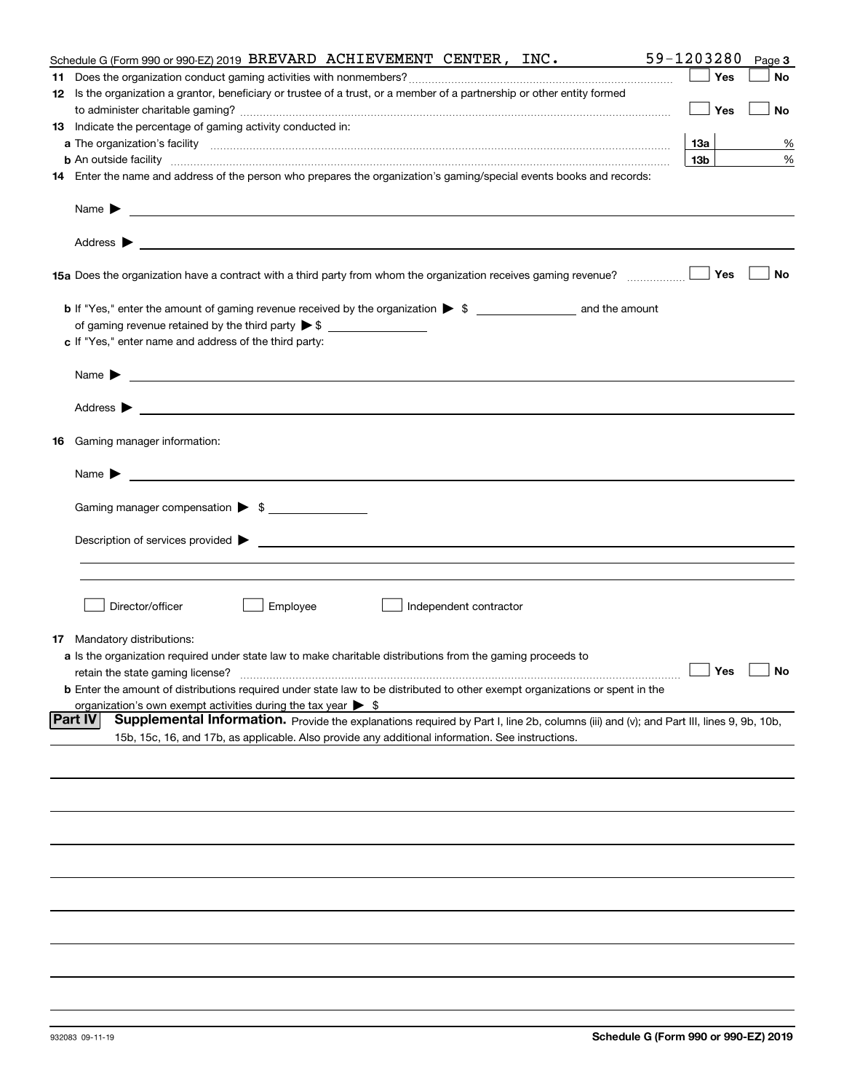| Schedule G (Form 990 or 990-EZ) 2019 BREVARD ACHIEVEMENT CENTER, INC.                                                                                                                                                                                                                                                                                                                                                 | 59-1203280      |     | Page 3               |
|-----------------------------------------------------------------------------------------------------------------------------------------------------------------------------------------------------------------------------------------------------------------------------------------------------------------------------------------------------------------------------------------------------------------------|-----------------|-----|----------------------|
|                                                                                                                                                                                                                                                                                                                                                                                                                       |                 | Yes | No                   |
| 12 Is the organization a grantor, beneficiary or trustee of a trust, or a member of a partnership or other entity formed                                                                                                                                                                                                                                                                                              |                 |     |                      |
|                                                                                                                                                                                                                                                                                                                                                                                                                       |                 | Yes | No                   |
| 13 Indicate the percentage of gaming activity conducted in:                                                                                                                                                                                                                                                                                                                                                           |                 |     |                      |
|                                                                                                                                                                                                                                                                                                                                                                                                                       | 13а             |     | %                    |
| <b>b</b> An outside facility <i>www.communicality communicality communicality communicality communicality communicality communicality communicality communicality communicality communicality communicality communicality communicali</i>                                                                                                                                                                             | 13 <sub>b</sub> |     | %                    |
| 14 Enter the name and address of the person who prepares the organization's gaming/special events books and records:                                                                                                                                                                                                                                                                                                  |                 |     |                      |
|                                                                                                                                                                                                                                                                                                                                                                                                                       |                 |     |                      |
| Name $\blacktriangleright$ $\frac{1}{\sqrt{1-\frac{1}{2}}\sqrt{1-\frac{1}{2}}\sqrt{1-\frac{1}{2}}\sqrt{1-\frac{1}{2}}\sqrt{1-\frac{1}{2}}\sqrt{1-\frac{1}{2}}\sqrt{1-\frac{1}{2}}\sqrt{1-\frac{1}{2}}\sqrt{1-\frac{1}{2}}\sqrt{1-\frac{1}{2}}\sqrt{1-\frac{1}{2}}\sqrt{1-\frac{1}{2}}\sqrt{1-\frac{1}{2}}\sqrt{1-\frac{1}{2}}\sqrt{1-\frac{1}{2}}\sqrt{1-\frac{1}{2}}\sqrt{1-\frac{1}{2}}\sqrt{1-\frac{1}{2}}\sqrt{1$ |                 |     |                      |
|                                                                                                                                                                                                                                                                                                                                                                                                                       |                 |     |                      |
| 15a Does the organization have a contract with a third party from whom the organization receives gaming revenue?                                                                                                                                                                                                                                                                                                      |                 | Yes | No                   |
|                                                                                                                                                                                                                                                                                                                                                                                                                       |                 |     |                      |
| b If "Yes," enter the amount of gaming revenue received by the organization > \$ ____________________ and the amount                                                                                                                                                                                                                                                                                                  |                 |     |                      |
| of gaming revenue retained by the third party $\triangleright$ \$ $\_\_\_\_\_\_\_\_\_\_\_\_\_\_\_\_\_\_\_\_\_\_\_\_\_\_\_$                                                                                                                                                                                                                                                                                            |                 |     |                      |
| c If "Yes," enter name and address of the third party:                                                                                                                                                                                                                                                                                                                                                                |                 |     |                      |
|                                                                                                                                                                                                                                                                                                                                                                                                                       |                 |     |                      |
|                                                                                                                                                                                                                                                                                                                                                                                                                       |                 |     |                      |
|                                                                                                                                                                                                                                                                                                                                                                                                                       |                 |     |                      |
| <b>16</b> Gaming manager information:                                                                                                                                                                                                                                                                                                                                                                                 |                 |     |                      |
|                                                                                                                                                                                                                                                                                                                                                                                                                       |                 |     |                      |
| Gaming manager compensation > \$                                                                                                                                                                                                                                                                                                                                                                                      |                 |     |                      |
|                                                                                                                                                                                                                                                                                                                                                                                                                       |                 |     |                      |
|                                                                                                                                                                                                                                                                                                                                                                                                                       |                 |     |                      |
|                                                                                                                                                                                                                                                                                                                                                                                                                       |                 |     |                      |
|                                                                                                                                                                                                                                                                                                                                                                                                                       |                 |     |                      |
| Director/officer<br>Employee<br>Independent contractor                                                                                                                                                                                                                                                                                                                                                                |                 |     |                      |
|                                                                                                                                                                                                                                                                                                                                                                                                                       |                 |     |                      |
| <b>17</b> Mandatory distributions:                                                                                                                                                                                                                                                                                                                                                                                    |                 |     |                      |
| a Is the organization required under state law to make charitable distributions from the gaming proceeds to                                                                                                                                                                                                                                                                                                           |                 |     | $\Box$ Yes $\Box$ No |
|                                                                                                                                                                                                                                                                                                                                                                                                                       |                 |     |                      |
| <b>b</b> Enter the amount of distributions required under state law to be distributed to other exempt organizations or spent in the<br>organization's own exempt activities during the tax year $\triangleright$ \$                                                                                                                                                                                                   |                 |     |                      |
| <b>Part IV</b><br>Supplemental Information. Provide the explanations required by Part I, line 2b, columns (iii) and (v); and Part III, lines 9, 9b, 10b,                                                                                                                                                                                                                                                              |                 |     |                      |
| 15b, 15c, 16, and 17b, as applicable. Also provide any additional information. See instructions.                                                                                                                                                                                                                                                                                                                      |                 |     |                      |
|                                                                                                                                                                                                                                                                                                                                                                                                                       |                 |     |                      |
|                                                                                                                                                                                                                                                                                                                                                                                                                       |                 |     |                      |
|                                                                                                                                                                                                                                                                                                                                                                                                                       |                 |     |                      |
|                                                                                                                                                                                                                                                                                                                                                                                                                       |                 |     |                      |
|                                                                                                                                                                                                                                                                                                                                                                                                                       |                 |     |                      |
|                                                                                                                                                                                                                                                                                                                                                                                                                       |                 |     |                      |
|                                                                                                                                                                                                                                                                                                                                                                                                                       |                 |     |                      |
|                                                                                                                                                                                                                                                                                                                                                                                                                       |                 |     |                      |
|                                                                                                                                                                                                                                                                                                                                                                                                                       |                 |     |                      |
|                                                                                                                                                                                                                                                                                                                                                                                                                       |                 |     |                      |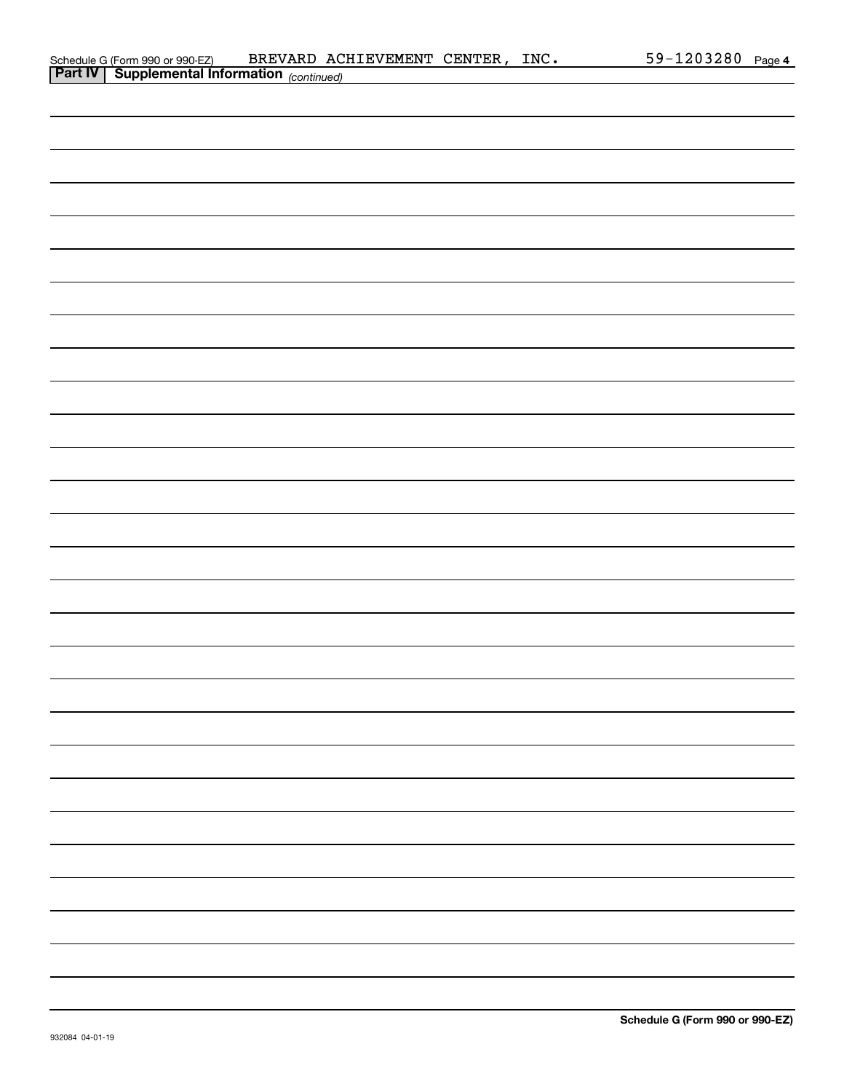|                | Schedule G (Form 990 or 990-EZ)     | BREVARD ACHIEVEMENT | CENTER | INC. | .203280<br>59- | Page 4 |
|----------------|-------------------------------------|---------------------|--------|------|----------------|--------|
| <b>Part IV</b> | $\mathbf S$ unnlemental Information |                     |        |      |                |        |

| <b>Part IV   Supplemental Information</b> (continued) |
|-------------------------------------------------------|
|                                                       |
|                                                       |
|                                                       |
|                                                       |
|                                                       |
|                                                       |
|                                                       |
|                                                       |
|                                                       |
|                                                       |
|                                                       |
|                                                       |
|                                                       |
|                                                       |
|                                                       |
|                                                       |
|                                                       |
|                                                       |
|                                                       |
|                                                       |
|                                                       |
|                                                       |
|                                                       |
|                                                       |
|                                                       |
|                                                       |
|                                                       |
|                                                       |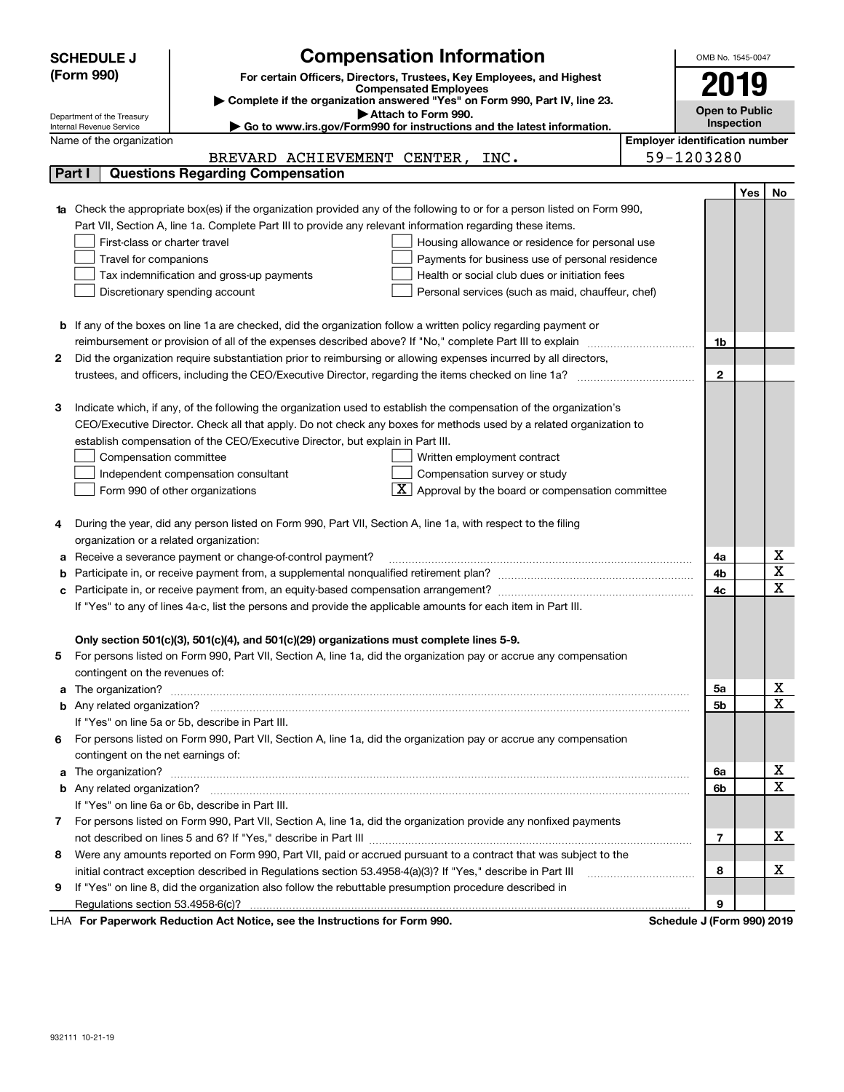|    | <b>Compensation Information</b><br><b>SCHEDULE J</b>                                                                                                                                                          |                                       |              | OMB No. 1545-0047     |             |  |  |  |  |
|----|---------------------------------------------------------------------------------------------------------------------------------------------------------------------------------------------------------------|---------------------------------------|--------------|-----------------------|-------------|--|--|--|--|
|    | (Form 990)<br>For certain Officers, Directors, Trustees, Key Employees, and Highest                                                                                                                           |                                       |              |                       |             |  |  |  |  |
|    | <b>Compensated Employees</b>                                                                                                                                                                                  |                                       |              | 2019                  |             |  |  |  |  |
|    | Complete if the organization answered "Yes" on Form 990, Part IV, line 23.<br>Attach to Form 990.                                                                                                             |                                       |              | <b>Open to Public</b> |             |  |  |  |  |
|    | Department of the Treasury<br>► Go to www.irs.gov/Form990 for instructions and the latest information.<br>Internal Revenue Service                                                                            |                                       |              | Inspection            |             |  |  |  |  |
|    | Name of the organization                                                                                                                                                                                      | <b>Employer identification number</b> |              |                       |             |  |  |  |  |
|    | BREVARD ACHIEVEMENT CENTER, INC.                                                                                                                                                                              | 59-1203280                            |              |                       |             |  |  |  |  |
|    | <b>Questions Regarding Compensation</b><br>Part I                                                                                                                                                             |                                       |              |                       |             |  |  |  |  |
|    |                                                                                                                                                                                                               |                                       |              | Yes                   | No          |  |  |  |  |
|    | Check the appropriate box(es) if the organization provided any of the following to or for a person listed on Form 990,                                                                                        |                                       |              |                       |             |  |  |  |  |
|    | Part VII, Section A, line 1a. Complete Part III to provide any relevant information regarding these items.                                                                                                    |                                       |              |                       |             |  |  |  |  |
|    | First-class or charter travel<br>Housing allowance or residence for personal use                                                                                                                              |                                       |              |                       |             |  |  |  |  |
|    | Travel for companions<br>Payments for business use of personal residence                                                                                                                                      |                                       |              |                       |             |  |  |  |  |
|    | Health or social club dues or initiation fees<br>Tax indemnification and gross-up payments                                                                                                                    |                                       |              |                       |             |  |  |  |  |
|    | Discretionary spending account<br>Personal services (such as maid, chauffeur, chef)                                                                                                                           |                                       |              |                       |             |  |  |  |  |
|    |                                                                                                                                                                                                               |                                       |              |                       |             |  |  |  |  |
| b  | If any of the boxes on line 1a are checked, did the organization follow a written policy regarding payment or                                                                                                 |                                       |              |                       |             |  |  |  |  |
|    |                                                                                                                                                                                                               |                                       | 1b           |                       |             |  |  |  |  |
| 2  | Did the organization require substantiation prior to reimbursing or allowing expenses incurred by all directors,                                                                                              |                                       |              |                       |             |  |  |  |  |
|    |                                                                                                                                                                                                               |                                       | $\mathbf{2}$ |                       |             |  |  |  |  |
|    |                                                                                                                                                                                                               |                                       |              |                       |             |  |  |  |  |
| з  | Indicate which, if any, of the following the organization used to establish the compensation of the organization's                                                                                            |                                       |              |                       |             |  |  |  |  |
|    | CEO/Executive Director. Check all that apply. Do not check any boxes for methods used by a related organization to                                                                                            |                                       |              |                       |             |  |  |  |  |
|    | establish compensation of the CEO/Executive Director, but explain in Part III.                                                                                                                                |                                       |              |                       |             |  |  |  |  |
|    | Compensation committee<br>Written employment contract                                                                                                                                                         |                                       |              |                       |             |  |  |  |  |
|    | Compensation survey or study<br>Independent compensation consultant                                                                                                                                           |                                       |              |                       |             |  |  |  |  |
|    | $\boxed{\textbf{X}}$ Approval by the board or compensation committee<br>Form 990 of other organizations                                                                                                       |                                       |              |                       |             |  |  |  |  |
|    |                                                                                                                                                                                                               |                                       |              |                       |             |  |  |  |  |
| 4  | During the year, did any person listed on Form 990, Part VII, Section A, line 1a, with respect to the filing                                                                                                  |                                       |              |                       |             |  |  |  |  |
|    | organization or a related organization:                                                                                                                                                                       |                                       |              |                       |             |  |  |  |  |
| а  | Receive a severance payment or change-of-control payment?                                                                                                                                                     |                                       | 4a           |                       | х<br>X      |  |  |  |  |
| b  |                                                                                                                                                                                                               |                                       | 4b           |                       | х           |  |  |  |  |
|    |                                                                                                                                                                                                               |                                       | 4c           |                       |             |  |  |  |  |
|    | If "Yes" to any of lines 4a-c, list the persons and provide the applicable amounts for each item in Part III.                                                                                                 |                                       |              |                       |             |  |  |  |  |
|    |                                                                                                                                                                                                               |                                       |              |                       |             |  |  |  |  |
|    | Only section 501(c)(3), 501(c)(4), and 501(c)(29) organizations must complete lines 5-9.<br>For persons listed on Form 990, Part VII, Section A, line 1a, did the organization pay or accrue any compensation |                                       |              |                       |             |  |  |  |  |
| 5  | contingent on the revenues of:                                                                                                                                                                                |                                       |              |                       |             |  |  |  |  |
| a  |                                                                                                                                                                                                               |                                       | 5а           |                       | х           |  |  |  |  |
|    |                                                                                                                                                                                                               |                                       | 5b           |                       | х           |  |  |  |  |
|    | If "Yes" on line 5a or 5b, describe in Part III.                                                                                                                                                              |                                       |              |                       |             |  |  |  |  |
|    | 6 For persons listed on Form 990, Part VII, Section A, line 1a, did the organization pay or accrue any compensation                                                                                           |                                       |              |                       |             |  |  |  |  |
|    | contingent on the net earnings of:                                                                                                                                                                            |                                       |              |                       |             |  |  |  |  |
| a  |                                                                                                                                                                                                               |                                       | 6a           |                       | X           |  |  |  |  |
|    |                                                                                                                                                                                                               |                                       | 6b           |                       | $\mathbf X$ |  |  |  |  |
|    | If "Yes" on line 6a or 6b, describe in Part III.                                                                                                                                                              |                                       |              |                       |             |  |  |  |  |
| 7. | For persons listed on Form 990, Part VII, Section A, line 1a, did the organization provide any nonfixed payments                                                                                              |                                       |              |                       |             |  |  |  |  |
|    |                                                                                                                                                                                                               |                                       | 7            |                       | x           |  |  |  |  |
| 8  | Were any amounts reported on Form 990, Part VII, paid or accrued pursuant to a contract that was subject to the                                                                                               |                                       |              |                       |             |  |  |  |  |
|    | initial contract exception described in Regulations section 53.4958-4(a)(3)? If "Yes," describe in Part III                                                                                                   |                                       | 8            |                       | x           |  |  |  |  |
| 9  | If "Yes" on line 8, did the organization also follow the rebuttable presumption procedure described in                                                                                                        |                                       |              |                       |             |  |  |  |  |
|    |                                                                                                                                                                                                               |                                       | 9            |                       |             |  |  |  |  |
|    |                                                                                                                                                                                                               |                                       |              |                       |             |  |  |  |  |

LHA For Paperwork Reduction Act Notice, see the Instructions for Form 990. Schedule J (Form 990) 2019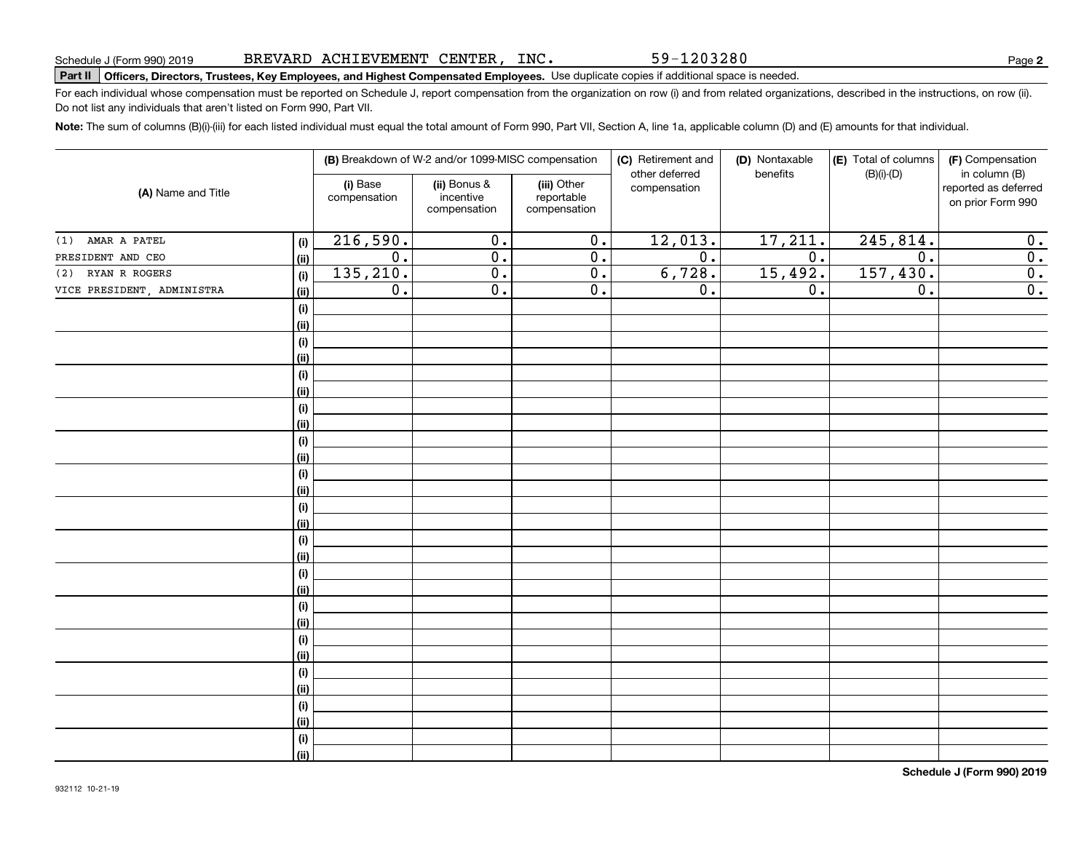# **Part II Officers, Directors, Trustees, Key Employees, and Highest Compensated Employees.**  Schedule J (Form 990) 2019 Page Use duplicate copies if additional space is needed.

For each individual whose compensation must be reported on Schedule J, report compensation from the organization on row (i) and from related organizations, described in the instructions, on row (ii). Do not list any individuals that aren't listed on Form 990, Part VII.

**Note:**  The sum of columns (B)(i)-(iii) for each listed individual must equal the total amount of Form 990, Part VII, Section A, line 1a, applicable column (D) and (E) amounts for that individual.

|                            |             |                          | (B) Breakdown of W-2 and/or 1099-MISC compensation |                                           | (C) Retirement and<br>other deferred | (D) Nontaxable<br>benefits | (E) Total of columns<br>$(B)(i)-(D)$ | (F) Compensation<br>in column (B)         |
|----------------------------|-------------|--------------------------|----------------------------------------------------|-------------------------------------------|--------------------------------------|----------------------------|--------------------------------------|-------------------------------------------|
| (A) Name and Title         |             | (i) Base<br>compensation | (ii) Bonus &<br>incentive<br>compensation          | (iii) Other<br>reportable<br>compensation | compensation                         |                            |                                      | reported as deferred<br>on prior Form 990 |
| AMAR A PATEL<br>(1)        | (i)         | 216,590.                 | $\overline{0}$ .                                   | $\overline{0}$ .                          | 12,013.                              | 17,211.                    | 245,814.                             | 0.                                        |
| PRESIDENT AND CEO          | (ii)        | $\overline{0}$ .         | $\overline{0}$ .                                   | 0.                                        | $\overline{0}$ .                     | $\overline{0}$ .           | $\overline{0}$ .                     | $\overline{\mathbf{0}}$ .                 |
| RYAN R ROGERS<br>(2)       | (i)         | 135,210.                 | $\overline{0}$ .                                   | 0.                                        | 6,728.                               | 15,492.                    | 157, 430.                            | $\overline{\mathbf{0}}$ .                 |
| VICE PRESIDENT, ADMINISTRA | (ii)        | $\overline{0}$ .         | $\overline{0}$ .                                   | $\overline{0}$ .                          | $\overline{0}$ .                     | 0.                         | $\overline{0}$ .                     | $\overline{0}$ .                          |
|                            | (i)         |                          |                                                    |                                           |                                      |                            |                                      |                                           |
|                            | (ii)        |                          |                                                    |                                           |                                      |                            |                                      |                                           |
|                            | (i)         |                          |                                                    |                                           |                                      |                            |                                      |                                           |
|                            | (ii)        |                          |                                                    |                                           |                                      |                            |                                      |                                           |
|                            | (i)         |                          |                                                    |                                           |                                      |                            |                                      |                                           |
|                            | (ii)        |                          |                                                    |                                           |                                      |                            |                                      |                                           |
|                            | (i)         |                          |                                                    |                                           |                                      |                            |                                      |                                           |
|                            | (ii)        |                          |                                                    |                                           |                                      |                            |                                      |                                           |
|                            | (i)         |                          |                                                    |                                           |                                      |                            |                                      |                                           |
|                            | (ii)        |                          |                                                    |                                           |                                      |                            |                                      |                                           |
|                            | (i)         |                          |                                                    |                                           |                                      |                            |                                      |                                           |
|                            | (ii)        |                          |                                                    |                                           |                                      |                            |                                      |                                           |
|                            | (i)         |                          |                                                    |                                           |                                      |                            |                                      |                                           |
|                            | (ii)        |                          |                                                    |                                           |                                      |                            |                                      |                                           |
|                            | (i)         |                          |                                                    |                                           |                                      |                            |                                      |                                           |
|                            | (ii)        |                          |                                                    |                                           |                                      |                            |                                      |                                           |
|                            | (i)<br>(ii) |                          |                                                    |                                           |                                      |                            |                                      |                                           |
|                            | (i)         |                          |                                                    |                                           |                                      |                            |                                      |                                           |
|                            | (ii)        |                          |                                                    |                                           |                                      |                            |                                      |                                           |
|                            | (i)         |                          |                                                    |                                           |                                      |                            |                                      |                                           |
|                            | (ii)        |                          |                                                    |                                           |                                      |                            |                                      |                                           |
|                            | (i)         |                          |                                                    |                                           |                                      |                            |                                      |                                           |
|                            | (ii)        |                          |                                                    |                                           |                                      |                            |                                      |                                           |
|                            | (i)         |                          |                                                    |                                           |                                      |                            |                                      |                                           |
|                            | (ii)        |                          |                                                    |                                           |                                      |                            |                                      |                                           |
|                            | (i)         |                          |                                                    |                                           |                                      |                            |                                      |                                           |
|                            | (ii)        |                          |                                                    |                                           |                                      |                            |                                      |                                           |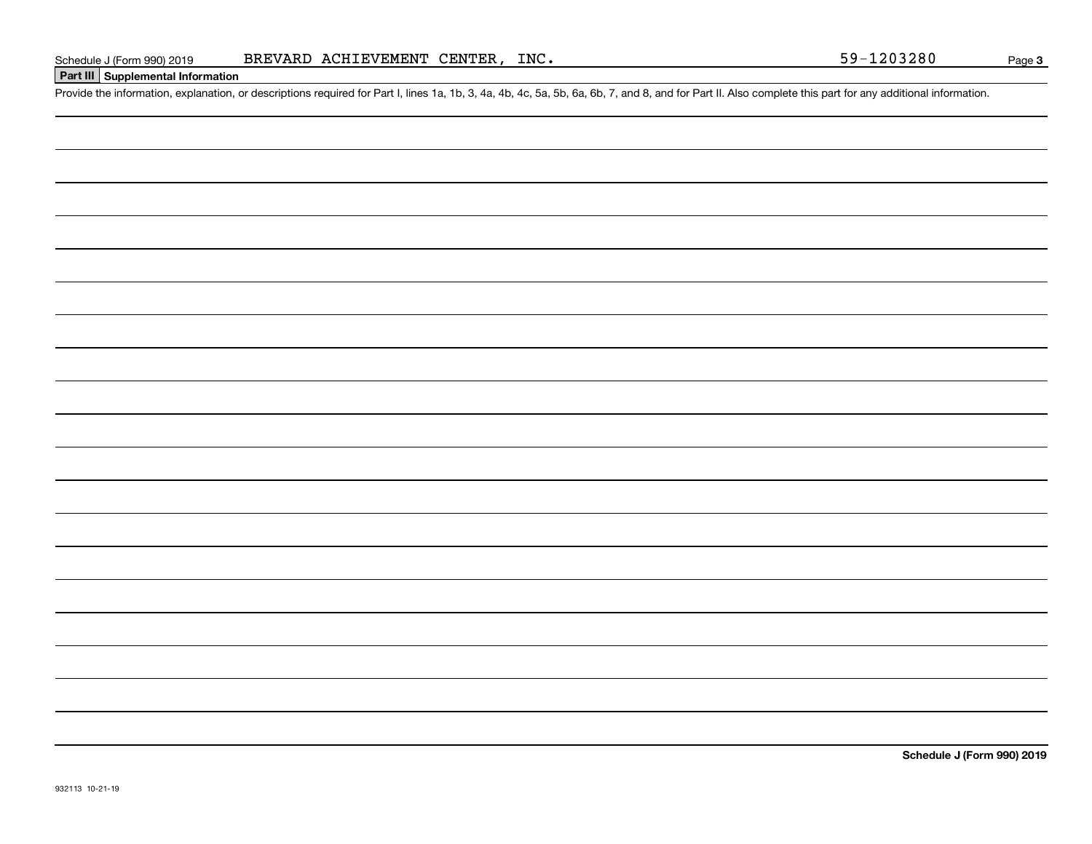|  | Schedule J (Form 990) 2019 |  |  |  |  |
|--|----------------------------|--|--|--|--|
|--|----------------------------|--|--|--|--|

### **Part III Supplemental Information**

Schedule J (Form 990) 2019 BREVARD ACHIEVEMENT CENTER, INC.<br>Part III Supplemental Information<br>Provide the information, explanation, or descriptions required for Part I, lines 1a, 1b, 3, 4a, 4b, 4c, 5a, 5b, 6a, 6b, 7, and 8

**Schedule J (Form 990) 2019**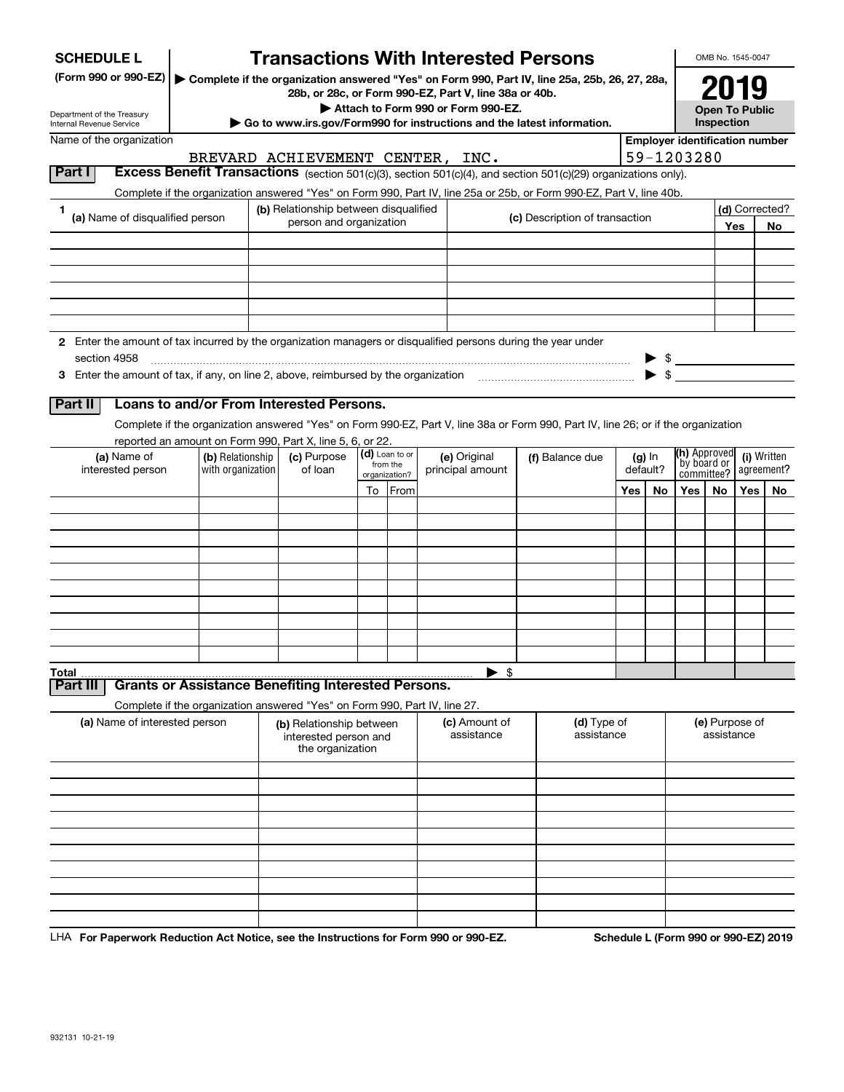| <b>SCHEDULE L</b>                                                                                             |                                                                            |                                                                                                                                                               |                                                                       |  |                            | <b>Transactions With Interested Persons</b>                                                                                                        |                                |                 |          |          |                                       | OMB No. 1545-0047     |     |                           |  |
|---------------------------------------------------------------------------------------------------------------|----------------------------------------------------------------------------|---------------------------------------------------------------------------------------------------------------------------------------------------------------|-----------------------------------------------------------------------|--|----------------------------|----------------------------------------------------------------------------------------------------------------------------------------------------|--------------------------------|-----------------|----------|----------|---------------------------------------|-----------------------|-----|---------------------------|--|
| (Form 990 or 990-EZ)                                                                                          |                                                                            |                                                                                                                                                               |                                                                       |  |                            | ▶ Complete if the organization answered "Yes" on Form 990, Part IV, line 25a, 25b, 26, 27, 28a,                                                    |                                |                 |          |          |                                       | 2019                  |     |                           |  |
| Department of the Treasury                                                                                    |                                                                            |                                                                                                                                                               |                                                                       |  |                            | 28b, or 28c, or Form 990-EZ, Part V, line 38a or 40b.<br>Attach to Form 990 or Form 990-EZ.                                                        |                                |                 |          |          |                                       | <b>Open To Public</b> |     |                           |  |
| Internal Revenue Service                                                                                      |                                                                            |                                                                                                                                                               |                                                                       |  |                            | Go to www.irs.gov/Form990 for instructions and the latest information.                                                                             |                                |                 |          |          |                                       | Inspection            |     |                           |  |
| Name of the organization                                                                                      |                                                                            |                                                                                                                                                               |                                                                       |  |                            |                                                                                                                                                    |                                |                 |          |          | <b>Employer identification number</b> |                       |     |                           |  |
| Part I                                                                                                        |                                                                            |                                                                                                                                                               |                                                                       |  |                            | BREVARD ACHIEVEMENT CENTER, INC.<br>Excess Benefit Transactions (section 501(c)(3), section 501(c)(4), and section 501(c)(29) organizations only). |                                |                 |          |          | 59-1203280                            |                       |     |                           |  |
|                                                                                                               |                                                                            |                                                                                                                                                               |                                                                       |  |                            |                                                                                                                                                    |                                |                 |          |          |                                       |                       |     |                           |  |
| 1                                                                                                             |                                                                            | Complete if the organization answered "Yes" on Form 990, Part IV, line 25a or 25b, or Form 990-EZ, Part V, line 40b.<br>(b) Relationship between disqualified |                                                                       |  |                            |                                                                                                                                                    |                                |                 |          |          | (d) Corrected?                        |                       |     |                           |  |
| (a) Name of disqualified person                                                                               |                                                                            |                                                                                                                                                               | person and organization                                               |  |                            |                                                                                                                                                    | (c) Description of transaction |                 |          |          | Yes<br>No                             |                       |     |                           |  |
|                                                                                                               |                                                                            |                                                                                                                                                               |                                                                       |  |                            |                                                                                                                                                    |                                |                 |          |          |                                       |                       |     |                           |  |
|                                                                                                               |                                                                            |                                                                                                                                                               |                                                                       |  |                            |                                                                                                                                                    |                                |                 |          |          |                                       |                       |     |                           |  |
|                                                                                                               |                                                                            |                                                                                                                                                               |                                                                       |  |                            |                                                                                                                                                    |                                |                 |          |          |                                       |                       |     |                           |  |
|                                                                                                               |                                                                            |                                                                                                                                                               |                                                                       |  |                            |                                                                                                                                                    |                                |                 |          |          |                                       |                       |     |                           |  |
|                                                                                                               |                                                                            |                                                                                                                                                               |                                                                       |  |                            |                                                                                                                                                    |                                |                 |          |          |                                       |                       |     |                           |  |
| 2 Enter the amount of tax incurred by the organization managers or disqualified persons during the year under |                                                                            |                                                                                                                                                               |                                                                       |  |                            |                                                                                                                                                    |                                |                 |          |          |                                       |                       |     |                           |  |
| section 4958                                                                                                  |                                                                            |                                                                                                                                                               |                                                                       |  |                            |                                                                                                                                                    |                                |                 |          |          | $\frac{1}{2}$                         |                       |     |                           |  |
|                                                                                                               |                                                                            |                                                                                                                                                               |                                                                       |  |                            |                                                                                                                                                    |                                |                 |          | \$       |                                       |                       |     |                           |  |
| Part II                                                                                                       | Loans to and/or From Interested Persons.                                   |                                                                                                                                                               |                                                                       |  |                            |                                                                                                                                                    |                                |                 |          |          |                                       |                       |     |                           |  |
|                                                                                                               |                                                                            |                                                                                                                                                               |                                                                       |  |                            | Complete if the organization answered "Yes" on Form 990-EZ, Part V, line 38a or Form 990, Part IV, line 26; or if the organization                 |                                |                 |          |          |                                       |                       |     |                           |  |
|                                                                                                               | reported an amount on Form 990, Part X, line 5, 6, or 22.                  |                                                                                                                                                               |                                                                       |  |                            |                                                                                                                                                    |                                |                 |          |          |                                       |                       |     |                           |  |
| (a) Name of<br>interested person                                                                              | (b) Relationship<br>with organization                                      |                                                                                                                                                               | (c) Purpose<br>of loan                                                |  | (d) Loan to or<br>from the | (e) Original<br>principal amount                                                                                                                   |                                | (f) Balance due | default? | $(g)$ In | (h) Approved<br>by board or           |                       |     | (i) Written<br>agreement? |  |
|                                                                                                               |                                                                            |                                                                                                                                                               |                                                                       |  | organization?              |                                                                                                                                                    |                                |                 |          |          | committee?                            |                       |     |                           |  |
|                                                                                                               |                                                                            |                                                                                                                                                               |                                                                       |  | To From                    |                                                                                                                                                    |                                |                 | Yes      | No       | Yes                                   | No.                   | Yes | No                        |  |
|                                                                                                               |                                                                            |                                                                                                                                                               |                                                                       |  |                            |                                                                                                                                                    |                                |                 |          |          |                                       |                       |     |                           |  |
|                                                                                                               |                                                                            |                                                                                                                                                               |                                                                       |  |                            |                                                                                                                                                    |                                |                 |          |          |                                       |                       |     |                           |  |
|                                                                                                               |                                                                            |                                                                                                                                                               |                                                                       |  |                            |                                                                                                                                                    |                                |                 |          |          |                                       |                       |     |                           |  |
|                                                                                                               |                                                                            |                                                                                                                                                               |                                                                       |  |                            |                                                                                                                                                    |                                |                 |          |          |                                       |                       |     |                           |  |
|                                                                                                               |                                                                            |                                                                                                                                                               |                                                                       |  |                            |                                                                                                                                                    |                                |                 |          |          |                                       |                       |     |                           |  |
|                                                                                                               |                                                                            |                                                                                                                                                               |                                                                       |  |                            |                                                                                                                                                    |                                |                 |          |          |                                       |                       |     |                           |  |
|                                                                                                               |                                                                            |                                                                                                                                                               |                                                                       |  |                            |                                                                                                                                                    |                                |                 |          |          |                                       |                       |     |                           |  |
|                                                                                                               |                                                                            |                                                                                                                                                               |                                                                       |  |                            |                                                                                                                                                    |                                |                 |          |          |                                       |                       |     |                           |  |
| <b>Total</b>                                                                                                  |                                                                            |                                                                                                                                                               |                                                                       |  |                            | $\blacktriangleright$ \$                                                                                                                           |                                |                 |          |          |                                       |                       |     |                           |  |
| Part II                                                                                                       | <b>Grants or Assistance Benefiting Interested Persons.</b>                 |                                                                                                                                                               |                                                                       |  |                            |                                                                                                                                                    |                                |                 |          |          |                                       |                       |     |                           |  |
| (a) Name of interested person                                                                                 | Complete if the organization answered "Yes" on Form 990, Part IV, line 27. |                                                                                                                                                               |                                                                       |  |                            | (c) Amount of                                                                                                                                      |                                | (d) Type of     |          |          |                                       | (e) Purpose of        |     |                           |  |
|                                                                                                               |                                                                            |                                                                                                                                                               | (b) Relationship between<br>interested person and<br>the organization |  |                            | assistance                                                                                                                                         |                                | assistance      |          |          |                                       | assistance            |     |                           |  |
|                                                                                                               |                                                                            |                                                                                                                                                               |                                                                       |  |                            |                                                                                                                                                    |                                |                 |          |          |                                       |                       |     |                           |  |
|                                                                                                               |                                                                            |                                                                                                                                                               |                                                                       |  |                            |                                                                                                                                                    |                                |                 |          |          |                                       |                       |     |                           |  |
|                                                                                                               |                                                                            |                                                                                                                                                               |                                                                       |  |                            |                                                                                                                                                    |                                |                 |          |          |                                       |                       |     |                           |  |
|                                                                                                               |                                                                            |                                                                                                                                                               |                                                                       |  |                            |                                                                                                                                                    |                                |                 |          |          |                                       |                       |     |                           |  |
|                                                                                                               |                                                                            |                                                                                                                                                               |                                                                       |  |                            |                                                                                                                                                    |                                |                 |          |          |                                       |                       |     |                           |  |
|                                                                                                               |                                                                            |                                                                                                                                                               |                                                                       |  |                            |                                                                                                                                                    |                                |                 |          |          |                                       |                       |     |                           |  |
|                                                                                                               |                                                                            |                                                                                                                                                               |                                                                       |  |                            |                                                                                                                                                    |                                |                 |          |          |                                       |                       |     |                           |  |
|                                                                                                               |                                                                            |                                                                                                                                                               |                                                                       |  |                            |                                                                                                                                                    |                                |                 |          |          |                                       |                       |     |                           |  |
|                                                                                                               |                                                                            |                                                                                                                                                               |                                                                       |  |                            |                                                                                                                                                    |                                |                 |          |          |                                       |                       |     |                           |  |

LHA For Paperwork Reduction Act Notice, see the Instructions for Form 990 or 990-EZ. Schedule L (Form 990 or 990-EZ) 2019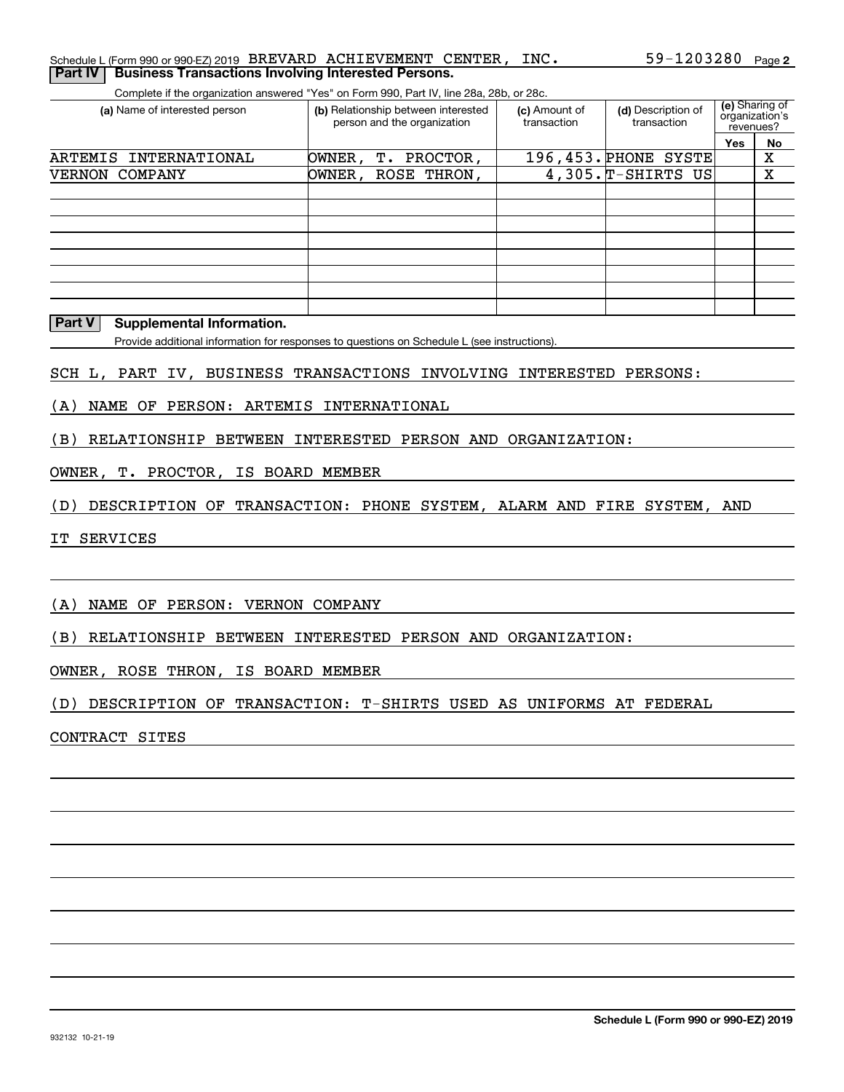#### **2** Schedule L (Form 990 or 990-EZ) 2019 Page 59-1203280 BREVARD ACHIEVEMENT CENTER, INC.**Part IV | Business Transactions Involving Interested Persons.**

Complete if the organization answered "Yes" on Form 990, Part IV, line 28a, 28b, or 28c.

| (a) Name of interested person | (b) Relationship between interested<br>person and the organization | (c) Amount of<br>transaction | (d) Description of<br>transaction | revenues?  | (e) Sharing of<br>organization's |
|-------------------------------|--------------------------------------------------------------------|------------------------------|-----------------------------------|------------|----------------------------------|
|                               |                                                                    |                              |                                   | <b>Yes</b> | No                               |
| INTERNATIONAL<br>ARTEMIS      | OWNER ,<br>T. PROCTOR,                                             |                              | 196,453. PHONE SYSTE              |            | х                                |
| VERNON COMPANY                | OWNER, ROSE THRON,                                                 |                              | $4,305.\n$ T-SHIRTS US            |            | x                                |
|                               |                                                                    |                              |                                   |            |                                  |
|                               |                                                                    |                              |                                   |            |                                  |
|                               |                                                                    |                              |                                   |            |                                  |
|                               |                                                                    |                              |                                   |            |                                  |
|                               |                                                                    |                              |                                   |            |                                  |
|                               |                                                                    |                              |                                   |            |                                  |
|                               |                                                                    |                              |                                   |            |                                  |
|                               |                                                                    |                              |                                   |            |                                  |

#### **Part V** Supplemental Information.

Provide additional information for responses to questions on Schedule L (see instructions).

#### SCH L, PART IV, BUSINESS TRANSACTIONS INVOLVING INTERESTED PERSONS:

(A) NAME OF PERSON: ARTEMIS INTERNATIONAL

(B) RELATIONSHIP BETWEEN INTERESTED PERSON AND ORGANIZATION:

#### OWNER, T. PROCTOR, IS BOARD MEMBER

(D) DESCRIPTION OF TRANSACTION: PHONE SYSTEM, ALARM AND FIRE SYSTEM, AND

IT SERVICES

(A) NAME OF PERSON: VERNON COMPANY

(B) RELATIONSHIP BETWEEN INTERESTED PERSON AND ORGANIZATION:

OWNER, ROSE THRON, IS BOARD MEMBER

(D) DESCRIPTION OF TRANSACTION: T-SHIRTS USED AS UNIFORMS AT FEDERAL

CONTRACT SITES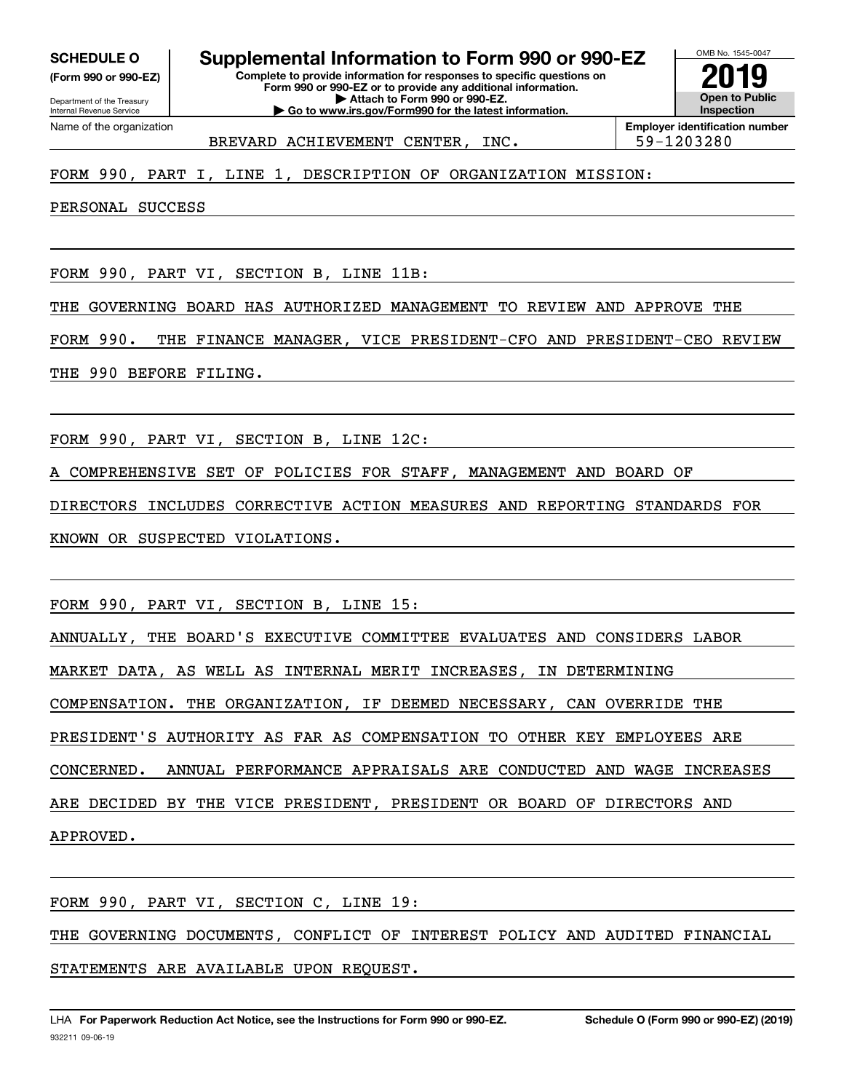**(Form 990 or 990-EZ)**

Department of the Treasury Internal Revenue Service Name of the organization

**Complete to provide information for responses to specific questions on SCHEDULE O Supplemental Information to Form 990 or 990-EZ**

**Form 990 or 990-EZ or to provide any additional information. | Attach to Form 990 or 990-EZ. | Go to www.irs.gov/Form990 for the latest information.**



BREVARD ACHIEVEMENT CENTER, INC.  $\vert$  59-1203280

### FORM 990, PART I, LINE 1, DESCRIPTION OF ORGANIZATION MISSION:

PERSONAL SUCCESS

FORM 990, PART VI, SECTION B, LINE 11B:

THE GOVERNING BOARD HAS AUTHORIZED MANAGEMENT TO REVIEW AND APPROVE THE

FORM 990. THE FINANCE MANAGER, VICE PRESIDENT-CFO AND PRESIDENT-CEO REVIEW

THE 990 BEFORE FILING.

FORM 990, PART VI, SECTION B, LINE 12C:

A COMPREHENSIVE SET OF POLICIES FOR STAFF, MANAGEMENT AND BOARD OF

DIRECTORS INCLUDES CORRECTIVE ACTION MEASURES AND REPORTING STANDARDS FOR KNOWN OR SUSPECTED VIOLATIONS.

FORM 990, PART VI, SECTION B, LINE 15:

ANNUALLY, THE BOARD'S EXECUTIVE COMMITTEE EVALUATES AND CONSIDERS LABOR

MARKET DATA, AS WELL AS INTERNAL MERIT INCREASES, IN DETERMINING

COMPENSATION. THE ORGANIZATION, IF DEEMED NECESSARY, CAN OVERRIDE THE

PRESIDENT'S AUTHORITY AS FAR AS COMPENSATION TO OTHER KEY EMPLOYEES ARE

CONCERNED. ANNUAL PERFORMANCE APPRAISALS ARE CONDUCTED AND WAGE INCREASES

ARE DECIDED BY THE VICE PRESIDENT, PRESIDENT OR BOARD OF DIRECTORS AND

APPROVED.

FORM 990, PART VI, SECTION C, LINE 19:

THE GOVERNING DOCUMENTS, CONFLICT OF INTEREST POLICY AND AUDITED FINANCIAL

STATEMENTS ARE AVAILABLE UPON REQUEST.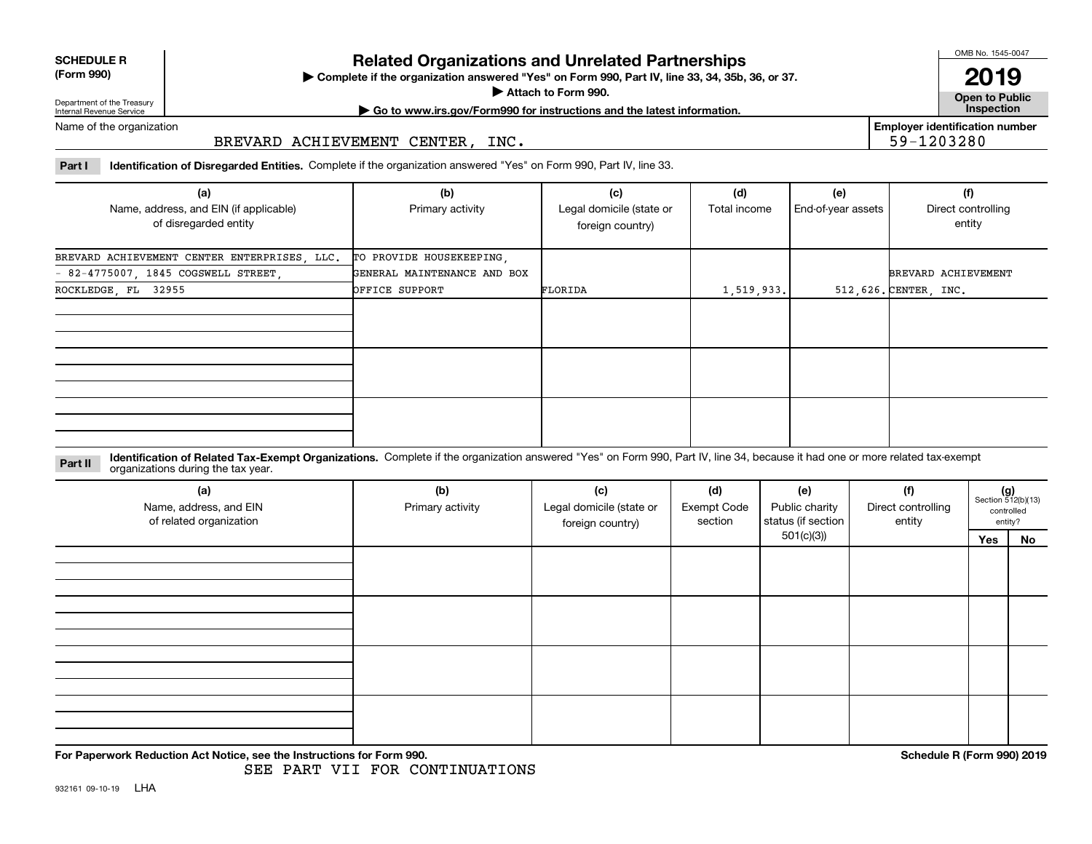**SCHEDULE R**

### **(Form 990)**

## **Related Organizations and Unrelated Partnerships**

**Complete if the organization answered "Yes" on Form 990, Part IV, line 33, 34, 35b, 36, or 37.** |

**Attach to Form 990.**  |

OMB No. 1545-0047

**Open to Public 2019**

**Employer identification number**

59-1203280

Department of the Treasury Internal Revenue Service

# **| Go to www.irs.gov/Form990 for instructions and the latest information. Inspection**

Name of the organization

#### BREVARD ACHIEVEMENT CENTER, INC.

**Part I Identification of Disregarded Entities.**  Complete if the organization answered "Yes" on Form 990, Part IV, line 33.

| (a)<br>Name, address, and EIN (if applicable)<br>of disregarded entity | (b)<br>Primary activity     | (c)<br>Legal domicile (state or<br>foreign country) | (d)<br>Total income | (e)<br>End-of-year assets | (f)<br>Direct controlling<br>entity |
|------------------------------------------------------------------------|-----------------------------|-----------------------------------------------------|---------------------|---------------------------|-------------------------------------|
| BREVARD ACHIEVEMENT CENTER ENTERPRISES, LLC.                           | TO PROVIDE HOUSEKEEPING,    |                                                     |                     |                           |                                     |
| - 82-4775007, 1845 COGSWELL STREET,                                    | GENERAL MAINTENANCE AND BOX |                                                     |                     |                           | BREVARD ACHIEVEMENT                 |
| ROCKLEDGE, FL 32955                                                    | OFFICE SUPPORT              | FLORIDA                                             | 1,519,933.          |                           | 512,626. CENTER, INC.               |
|                                                                        |                             |                                                     |                     |                           |                                     |
|                                                                        |                             |                                                     |                     |                           |                                     |
|                                                                        |                             |                                                     |                     |                           |                                     |

#### **Identification of Related Tax-Exempt Organizations.** Complete if the organization answered "Yes" on Form 990, Part IV, line 34, because it had one or more related tax-exempt **Part II** organizations during the tax year.

| (a)<br>Name, address, and EIN<br>of related organization | (b)<br>Primary activity | (c)<br>Legal domicile (state or<br>foreign country) | (d)<br><b>Exempt Code</b><br>section | (e)<br>Public charity<br>status (if section | (f)<br>Direct controlling<br>entity |     | $(g)$<br>Section 512(b)(13)<br>controlled<br>entity? |
|----------------------------------------------------------|-------------------------|-----------------------------------------------------|--------------------------------------|---------------------------------------------|-------------------------------------|-----|------------------------------------------------------|
|                                                          |                         |                                                     |                                      | 501(c)(3)                                   |                                     | Yes | No                                                   |
|                                                          |                         |                                                     |                                      |                                             |                                     |     |                                                      |
|                                                          |                         |                                                     |                                      |                                             |                                     |     |                                                      |
|                                                          |                         |                                                     |                                      |                                             |                                     |     |                                                      |
|                                                          |                         |                                                     |                                      |                                             |                                     |     |                                                      |

**For Paperwork Reduction Act Notice, see the Instructions for Form 990. Schedule R (Form 990) 2019**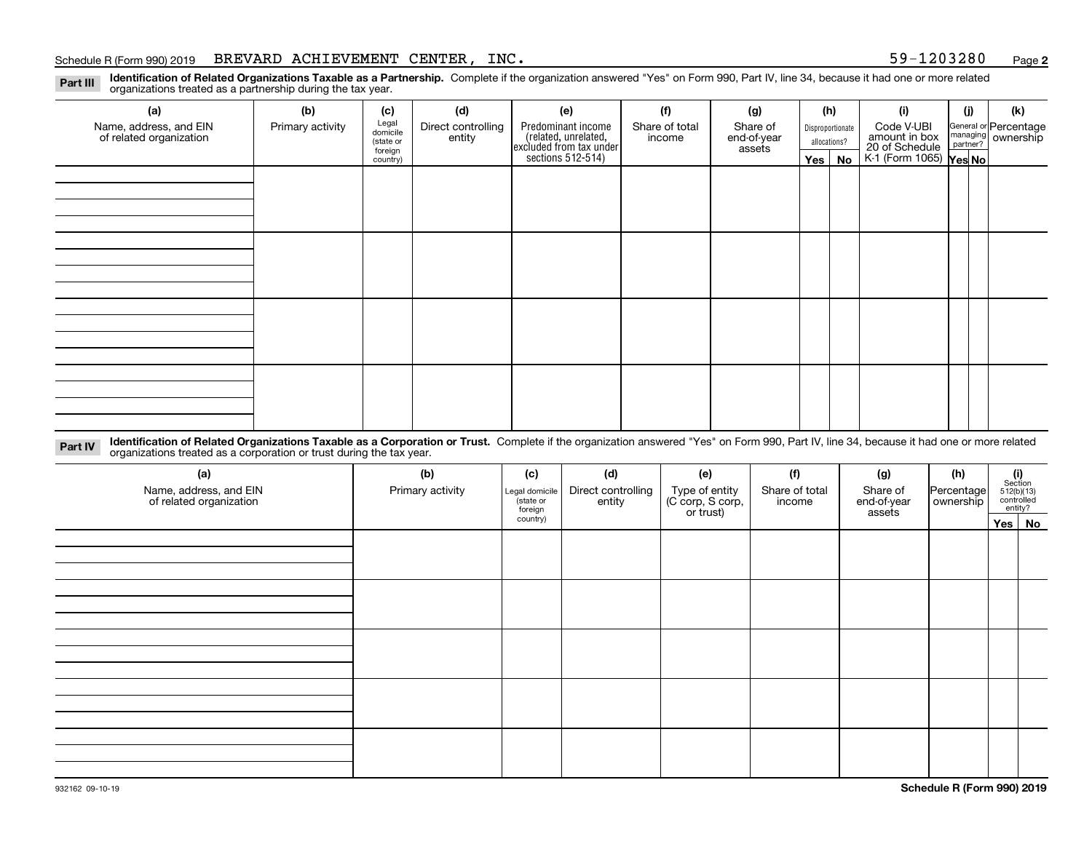#### Schedule R (Form 990) 2019 BREVARD ACHIEVEMENT CENTER, INC. 59-1203280 <sub>Page</sub>

**2**

**Identification of Related Organizations Taxable as a Partnership.** Complete if the organization answered "Yes" on Form 990, Part IV, line 34, because it had one or more related **Part III** organizations treated as a partnership during the tax year.

| (a)                     | (b)              | (c)                  | (d)                | (e)                                                                 | (f)              | (g)         |              | (h)              | (i)                                               | (j) | (k)                   |
|-------------------------|------------------|----------------------|--------------------|---------------------------------------------------------------------|------------------|-------------|--------------|------------------|---------------------------------------------------|-----|-----------------------|
| Name, address, and EIN  | Primary activity | Legal<br>domicile    | Direct controlling | Predominant income                                                  | Share of total   | Share of    |              | Disproportionate | Code V-UBI                                        |     | General or Percentage |
| of related organization |                  | (state or<br>foreign | entity             | related, unrelated,<br>excluded from tax under<br>sections 512-514) | income<br>assets | end-of-year | allocations? |                  | amount in box                                     |     | managing ownership    |
|                         |                  | country)             |                    |                                                                     |                  |             |              | Yes   No         | 20 of Schedule Partner?<br>K-1 (Form 1065) Yes No |     |                       |
|                         |                  |                      |                    |                                                                     |                  |             |              |                  |                                                   |     |                       |
|                         |                  |                      |                    |                                                                     |                  |             |              |                  |                                                   |     |                       |
|                         |                  |                      |                    |                                                                     |                  |             |              |                  |                                                   |     |                       |
|                         |                  |                      |                    |                                                                     |                  |             |              |                  |                                                   |     |                       |
|                         |                  |                      |                    |                                                                     |                  |             |              |                  |                                                   |     |                       |
|                         |                  |                      |                    |                                                                     |                  |             |              |                  |                                                   |     |                       |
|                         |                  |                      |                    |                                                                     |                  |             |              |                  |                                                   |     |                       |
|                         |                  |                      |                    |                                                                     |                  |             |              |                  |                                                   |     |                       |
|                         |                  |                      |                    |                                                                     |                  |             |              |                  |                                                   |     |                       |
|                         |                  |                      |                    |                                                                     |                  |             |              |                  |                                                   |     |                       |
|                         |                  |                      |                    |                                                                     |                  |             |              |                  |                                                   |     |                       |
|                         |                  |                      |                    |                                                                     |                  |             |              |                  |                                                   |     |                       |
|                         |                  |                      |                    |                                                                     |                  |             |              |                  |                                                   |     |                       |
|                         |                  |                      |                    |                                                                     |                  |             |              |                  |                                                   |     |                       |
|                         |                  |                      |                    |                                                                     |                  |             |              |                  |                                                   |     |                       |
|                         |                  |                      |                    |                                                                     |                  |             |              |                  |                                                   |     |                       |
|                         |                  |                      |                    |                                                                     |                  |             |              |                  |                                                   |     |                       |

**Identification of Related Organizations Taxable as a Corporation or Trust.** Complete if the organization answered "Yes" on Form 990, Part IV, line 34, because it had one or more related **Part IV** organizations treated as a corporation or trust during the tax year.

| (a)<br>Name, address, and EIN<br>of related organization | (b)<br>Primary activity | (c)<br>Legal domicile<br>(state or<br>foreign | (d)<br>Direct controlling<br>entity | (e)<br>Type of entity<br>(C corp, S corp,<br>or trust) | (f)<br>Share of total<br>income | (g)<br>Share of<br>end-of-year<br>assets | (h)<br>Percentage<br>ownership | $(i)$ Section<br>512(b)(13)<br>controlled<br>entity? |
|----------------------------------------------------------|-------------------------|-----------------------------------------------|-------------------------------------|--------------------------------------------------------|---------------------------------|------------------------------------------|--------------------------------|------------------------------------------------------|
|                                                          |                         | country)                                      |                                     |                                                        |                                 |                                          |                                | Yes No                                               |
|                                                          |                         |                                               |                                     |                                                        |                                 |                                          |                                |                                                      |
|                                                          |                         |                                               |                                     |                                                        |                                 |                                          |                                |                                                      |
|                                                          |                         |                                               |                                     |                                                        |                                 |                                          |                                |                                                      |
|                                                          |                         |                                               |                                     |                                                        |                                 |                                          |                                |                                                      |
|                                                          |                         |                                               |                                     |                                                        |                                 |                                          |                                |                                                      |
|                                                          |                         |                                               |                                     |                                                        |                                 |                                          |                                |                                                      |
|                                                          |                         |                                               |                                     |                                                        |                                 |                                          |                                |                                                      |
|                                                          |                         |                                               |                                     |                                                        |                                 |                                          |                                |                                                      |
|                                                          |                         |                                               |                                     |                                                        |                                 |                                          |                                |                                                      |
|                                                          |                         |                                               |                                     |                                                        |                                 |                                          |                                |                                                      |
|                                                          |                         |                                               |                                     |                                                        |                                 |                                          |                                |                                                      |
|                                                          |                         |                                               |                                     |                                                        |                                 |                                          |                                |                                                      |
|                                                          |                         |                                               |                                     |                                                        |                                 |                                          |                                |                                                      |
|                                                          |                         |                                               |                                     |                                                        |                                 |                                          |                                |                                                      |
|                                                          |                         |                                               |                                     |                                                        |                                 |                                          |                                |                                                      |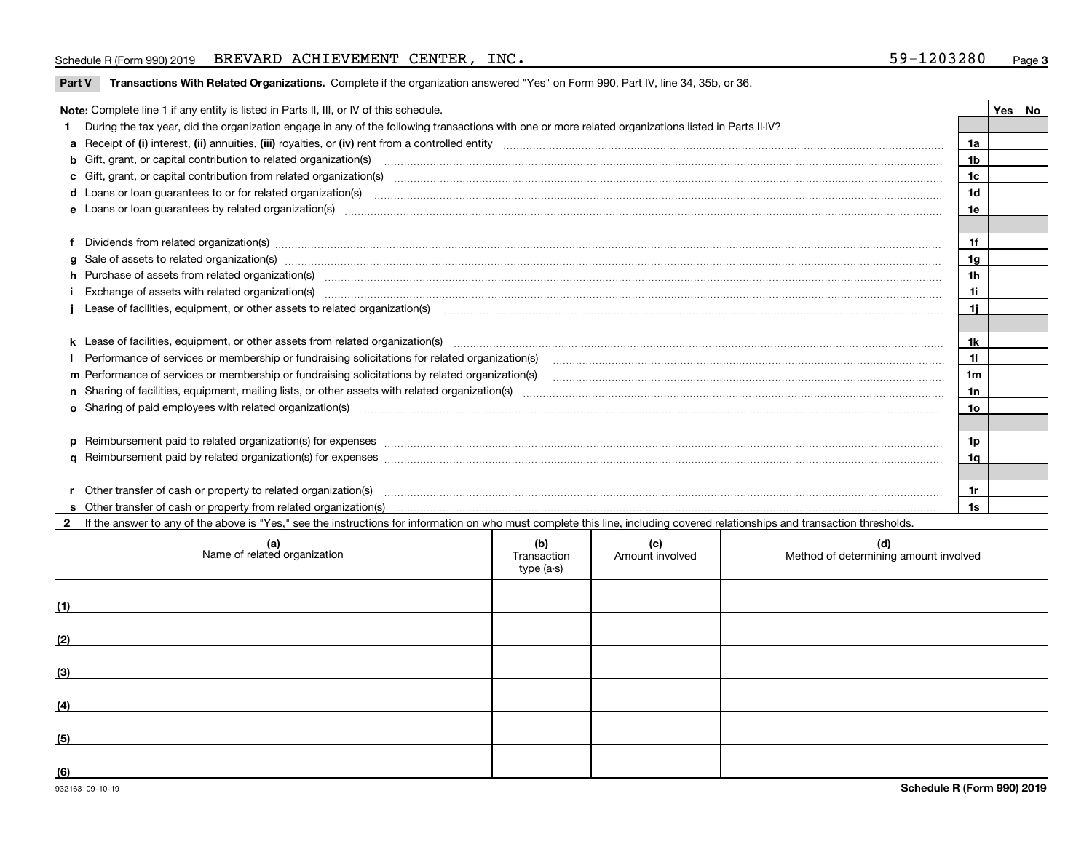#### Schedule R (Form 990) 2019 BREVARD ACHIEVEMENT CENTER, INC. 59-1203280 <sub>Page</sub>

**Schedule R (Form 990) 2019**

| Part V Transactions With Related Organizations. Complete if the organization answered "Yes" on Form 990, Part IV, line 34, 35b, or 36 |  |
|---------------------------------------------------------------------------------------------------------------------------------------|--|
|                                                                                                                                       |  |

| Note: Complete line 1 if any entity is listed in Parts II, III, or IV of this schedule. |                                                                                                                                                                                                                                      |     |  |  |  |
|-----------------------------------------------------------------------------------------|--------------------------------------------------------------------------------------------------------------------------------------------------------------------------------------------------------------------------------------|-----|--|--|--|
|                                                                                         | 1 During the tax year, did the organization engage in any of the following transactions with one or more related organizations listed in Parts II-IV?                                                                                |     |  |  |  |
|                                                                                         |                                                                                                                                                                                                                                      | 1a  |  |  |  |
|                                                                                         | <b>b</b> Gift, grant, or capital contribution to related organization(s)                                                                                                                                                             | 1b  |  |  |  |
|                                                                                         | c Gift, grant, or capital contribution from related organization(s) manufaction content to content and contribution from related organization(s) manufaction content and contribution from related organization(s) manufaction       | 1c  |  |  |  |
|                                                                                         | <b>d</b> Loans or loan quarantees to or for related organization(s)                                                                                                                                                                  | 1d  |  |  |  |
|                                                                                         | e Loans or loan guarantees by related organization(s) manufactured and content to content the content of the content of the content of the content of the content of the content of the content of the content of the content        | 1e  |  |  |  |
|                                                                                         |                                                                                                                                                                                                                                      |     |  |  |  |
|                                                                                         |                                                                                                                                                                                                                                      | 1f  |  |  |  |
|                                                                                         |                                                                                                                                                                                                                                      | 1g  |  |  |  |
|                                                                                         | h Purchase of assets from related organization(s) manufactured and content to content the content of assets from related organization(s)                                                                                             | 1h  |  |  |  |
|                                                                                         |                                                                                                                                                                                                                                      | 1i  |  |  |  |
|                                                                                         | j Lease of facilities, equipment, or other assets to related organization(s) matter content to content the content of facilities, equipment, or other assets to related organization(s) matter content content content to cont       | 1i. |  |  |  |
|                                                                                         |                                                                                                                                                                                                                                      |     |  |  |  |
|                                                                                         |                                                                                                                                                                                                                                      | 1k  |  |  |  |
|                                                                                         | I Performance of services or membership or fundraising solicitations for related organization(s)                                                                                                                                     | 11  |  |  |  |
|                                                                                         | m Performance of services or membership or fundraising solicitations by related organization(s)<br>1 <sub>m</sub>                                                                                                                    |     |  |  |  |
|                                                                                         |                                                                                                                                                                                                                                      | 1n  |  |  |  |
|                                                                                         | o Sharing of paid employees with related organization(s) <b>contract to consume the contract of the consumer consumer the consumer consumer consumer consumer consumer consumer consumer consumer consumer consumer consumer con</b> | 1o  |  |  |  |
|                                                                                         |                                                                                                                                                                                                                                      |     |  |  |  |
|                                                                                         | p Reimbursement paid to related organization(s) for expenses [111] All and the content of the content of the content of the content of the content of the content of the content of the content of the content of the content        | 1p  |  |  |  |
|                                                                                         |                                                                                                                                                                                                                                      | 1q  |  |  |  |
|                                                                                         |                                                                                                                                                                                                                                      |     |  |  |  |
|                                                                                         |                                                                                                                                                                                                                                      | 1r  |  |  |  |
|                                                                                         |                                                                                                                                                                                                                                      | 1s  |  |  |  |

**2**If the answer to any of the above is "Yes," see the instructions for information on who must complete this line, including covered relationships and transaction thresholds.

|     | (a)<br>Name of related organization | (b)<br>Transaction<br>type (a-s) | (c)<br>Amount involved | (d)<br>Method of determining amount involved |
|-----|-------------------------------------|----------------------------------|------------------------|----------------------------------------------|
| (1) |                                     |                                  |                        |                                              |
| (2) |                                     |                                  |                        |                                              |
| (3) |                                     |                                  |                        |                                              |
| (4) |                                     |                                  |                        |                                              |
| (5) |                                     |                                  |                        |                                              |
| (6) |                                     |                                  |                        |                                              |

 $\overline{\phantom{a}}$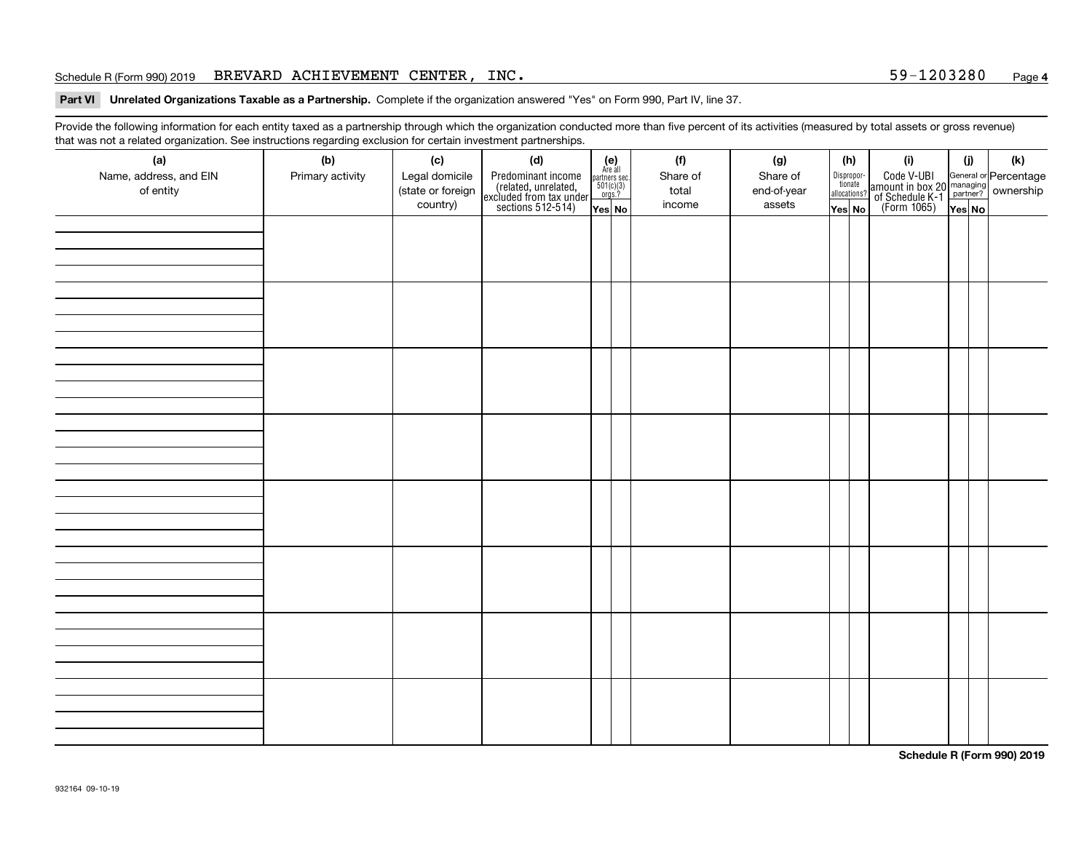#### Schedule R (Form 990) 2019 BREVARD ACHIEVEMENT CENTER, INC. 59-1203280 <sub>Page</sub>

#### **4**

**Part VI Unrelated Organizations Taxable as a Partnership. Complete if the organization answered "Yes" on Form 990, Part IV, line 37.** 

Provide the following information for each entity taxed as a partnership through which the organization conducted more than five percent of its activities (measured by total assets or gross revenue) that was not a related organization. See instructions regarding exclusion for certain investment partnerships.

| ັ<br>(a)<br>Name, address, and EIN | ັ<br>ັ<br>(b)<br>Primary activity | (c)<br>Legal domicile         | and the state of the state<br>(d)                                                          | (e)<br>Are all<br>partners sec.<br>$\frac{501(c)(3)}{0rgs.?}$ |  | (f)<br>Share of | (g)<br>Share of       |                                                 | (h) | (i)                                                                                              | (i)    | (k) |  |
|------------------------------------|-----------------------------------|-------------------------------|--------------------------------------------------------------------------------------------|---------------------------------------------------------------|--|-----------------|-----------------------|-------------------------------------------------|-----|--------------------------------------------------------------------------------------------------|--------|-----|--|
| of entity                          |                                   | (state or foreign<br>country) | Predominant income<br>(related, unrelated,<br>excluded from tax under<br>sections 512-514) | Yes No                                                        |  | total<br>income | end-of-year<br>assets | Dispropor-<br>tionate<br>allocations?<br>Yes No |     | Code V-UBI<br>amount in box 20 managing<br>of Schedule K-1<br>(Form 1065)<br>$\overline{Yes}$ No | Yes No |     |  |
|                                    |                                   |                               |                                                                                            |                                                               |  |                 |                       |                                                 |     |                                                                                                  |        |     |  |
|                                    |                                   |                               |                                                                                            |                                                               |  |                 |                       |                                                 |     |                                                                                                  |        |     |  |
|                                    |                                   |                               |                                                                                            |                                                               |  |                 |                       |                                                 |     |                                                                                                  |        |     |  |
|                                    |                                   |                               |                                                                                            |                                                               |  |                 |                       |                                                 |     |                                                                                                  |        |     |  |
|                                    |                                   |                               |                                                                                            |                                                               |  |                 |                       |                                                 |     |                                                                                                  |        |     |  |
|                                    |                                   |                               |                                                                                            |                                                               |  |                 |                       |                                                 |     |                                                                                                  |        |     |  |
|                                    |                                   |                               |                                                                                            |                                                               |  |                 |                       |                                                 |     |                                                                                                  |        |     |  |
|                                    |                                   |                               |                                                                                            |                                                               |  |                 |                       |                                                 |     |                                                                                                  |        |     |  |
|                                    |                                   |                               |                                                                                            |                                                               |  |                 |                       |                                                 |     |                                                                                                  |        |     |  |
|                                    |                                   |                               |                                                                                            |                                                               |  |                 |                       |                                                 |     |                                                                                                  |        |     |  |
|                                    |                                   |                               |                                                                                            |                                                               |  |                 |                       |                                                 |     |                                                                                                  |        |     |  |
|                                    |                                   |                               |                                                                                            |                                                               |  |                 |                       |                                                 |     |                                                                                                  |        |     |  |
|                                    |                                   |                               |                                                                                            |                                                               |  |                 |                       |                                                 |     |                                                                                                  |        |     |  |
|                                    |                                   |                               |                                                                                            |                                                               |  |                 |                       |                                                 |     |                                                                                                  |        |     |  |
|                                    |                                   |                               |                                                                                            |                                                               |  |                 |                       |                                                 |     |                                                                                                  |        |     |  |
|                                    |                                   |                               |                                                                                            |                                                               |  |                 |                       |                                                 |     |                                                                                                  |        |     |  |
|                                    |                                   |                               |                                                                                            |                                                               |  |                 |                       |                                                 |     |                                                                                                  |        |     |  |
|                                    |                                   |                               |                                                                                            |                                                               |  |                 |                       |                                                 |     |                                                                                                  |        |     |  |
|                                    |                                   |                               |                                                                                            |                                                               |  |                 |                       |                                                 |     |                                                                                                  |        |     |  |
|                                    |                                   |                               |                                                                                            |                                                               |  |                 |                       |                                                 |     |                                                                                                  |        |     |  |

**Schedule R (Form 990) 2019**